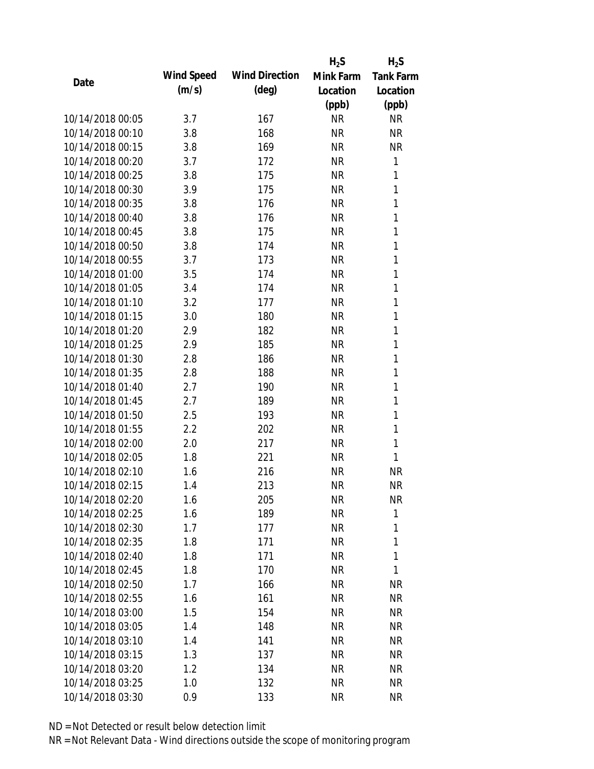|                  |            |                       | $H_2S$    | $H_2S$           |
|------------------|------------|-----------------------|-----------|------------------|
| Date             | Wind Speed | <b>Wind Direction</b> | Mink Farm | <b>Tank Farm</b> |
|                  | (m/s)      | $(\text{deg})$        | Location  | Location         |
|                  |            |                       | (ppb)     | (ppb)            |
| 10/14/2018 00:05 | 3.7        | 167                   | <b>NR</b> | <b>NR</b>        |
| 10/14/2018 00:10 | 3.8        | 168                   | <b>NR</b> | <b>NR</b>        |
| 10/14/2018 00:15 | 3.8        | 169                   | <b>NR</b> | <b>NR</b>        |
| 10/14/2018 00:20 | 3.7        | 172                   | <b>NR</b> | 1                |
| 10/14/2018 00:25 | 3.8        | 175                   | <b>NR</b> | 1                |
| 10/14/2018 00:30 | 3.9        | 175                   | <b>NR</b> | 1                |
| 10/14/2018 00:35 | 3.8        | 176                   | <b>NR</b> | 1                |
| 10/14/2018 00:40 | 3.8        | 176                   | <b>NR</b> | 1                |
| 10/14/2018 00:45 | 3.8        | 175                   | <b>NR</b> | 1                |
| 10/14/2018 00:50 | 3.8        | 174                   | <b>NR</b> | 1                |
| 10/14/2018 00:55 | 3.7        | 173                   | <b>NR</b> | 1                |
| 10/14/2018 01:00 | 3.5        | 174                   | <b>NR</b> | 1                |
| 10/14/2018 01:05 | 3.4        | 174                   | <b>NR</b> | 1                |
| 10/14/2018 01:10 | 3.2        | 177                   | <b>NR</b> | 1                |
| 10/14/2018 01:15 | 3.0        | 180                   | <b>NR</b> | $\mathbf{1}$     |
| 10/14/2018 01:20 | 2.9        | 182                   | <b>NR</b> | 1                |
| 10/14/2018 01:25 | 2.9        | 185                   | <b>NR</b> | 1                |
| 10/14/2018 01:30 | 2.8        | 186                   | <b>NR</b> | 1                |
| 10/14/2018 01:35 | 2.8        | 188                   | <b>NR</b> | 1                |
| 10/14/2018 01:40 | 2.7        | 190                   | <b>NR</b> | 1                |
| 10/14/2018 01:45 | 2.7        | 189                   | <b>NR</b> | 1                |
| 10/14/2018 01:50 | 2.5        | 193                   | <b>NR</b> | $\mathbf{1}$     |
| 10/14/2018 01:55 | 2.2        | 202                   | <b>NR</b> | 1                |
| 10/14/2018 02:00 | 2.0        | 217                   | <b>NR</b> | $\mathbf{1}$     |
| 10/14/2018 02:05 | 1.8        | 221                   | <b>NR</b> | 1                |
| 10/14/2018 02:10 | 1.6        | 216                   | <b>NR</b> | <b>NR</b>        |
| 10/14/2018 02:15 | 1.4        | 213                   | <b>NR</b> | <b>NR</b>        |
| 10/14/2018 02:20 | 1.6        | 205                   | <b>NR</b> | <b>NR</b>        |
| 10/14/2018 02:25 | 1.6        | 189                   | <b>NR</b> | 1                |
| 10/14/2018 02:30 | 1.7        | 177                   | <b>NR</b> | 1                |
| 10/14/2018 02:35 | 1.8        | 171                   | <b>NR</b> | 1                |
| 10/14/2018 02:40 | 1.8        | 171                   | <b>NR</b> | 1                |
| 10/14/2018 02:45 | 1.8        | 170                   | <b>NR</b> | 1                |
| 10/14/2018 02:50 | 1.7        | 166                   | <b>NR</b> | <b>NR</b>        |
| 10/14/2018 02:55 | 1.6        | 161                   | <b>NR</b> | <b>NR</b>        |
| 10/14/2018 03:00 | 1.5        | 154                   | <b>NR</b> | <b>NR</b>        |
| 10/14/2018 03:05 | 1.4        | 148                   | <b>NR</b> | <b>NR</b>        |
| 10/14/2018 03:10 | 1.4        | 141                   | <b>NR</b> | <b>NR</b>        |
| 10/14/2018 03:15 | 1.3        | 137                   | <b>NR</b> | NR               |
| 10/14/2018 03:20 | 1.2        | 134                   | <b>NR</b> | <b>NR</b>        |
| 10/14/2018 03:25 | 1.0        | 132                   | <b>NR</b> | <b>NR</b>        |
| 10/14/2018 03:30 | 0.9        | 133                   | <b>NR</b> | <b>NR</b>        |
|                  |            |                       |           |                  |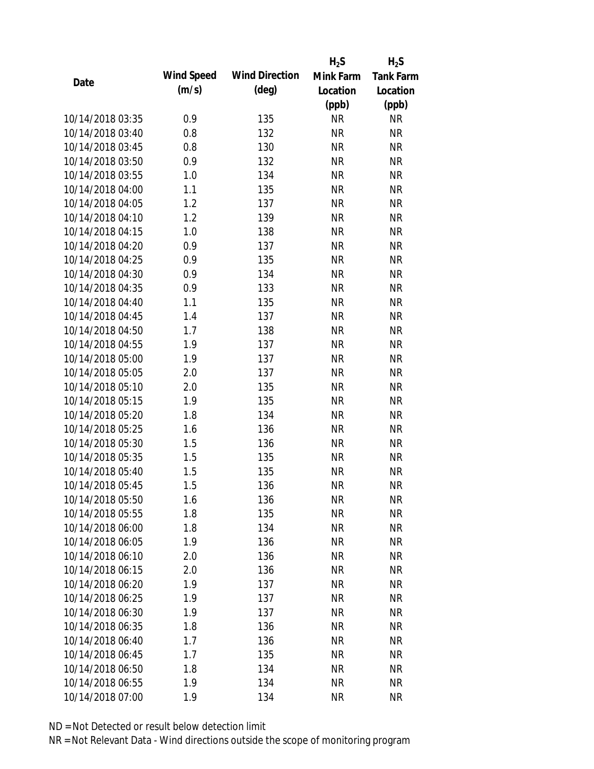|                  |            |                       | $H_2S$    | $H_2S$           |
|------------------|------------|-----------------------|-----------|------------------|
|                  | Wind Speed | <b>Wind Direction</b> | Mink Farm | <b>Tank Farm</b> |
| Date             | (m/s)      | $(\text{deg})$        | Location  | Location         |
|                  |            |                       | (ppb)     | (ppb)            |
| 10/14/2018 03:35 | 0.9        | 135                   | <b>NR</b> | <b>NR</b>        |
| 10/14/2018 03:40 | 0.8        | 132                   | <b>NR</b> | <b>NR</b>        |
| 10/14/2018 03:45 | 0.8        | 130                   | <b>NR</b> | <b>NR</b>        |
| 10/14/2018 03:50 | 0.9        | 132                   | <b>NR</b> | <b>NR</b>        |
| 10/14/2018 03:55 | 1.0        | 134                   | <b>NR</b> | <b>NR</b>        |
| 10/14/2018 04:00 | 1.1        | 135                   | <b>NR</b> | <b>NR</b>        |
| 10/14/2018 04:05 | 1.2        | 137                   | <b>NR</b> | <b>NR</b>        |
| 10/14/2018 04:10 | 1.2        | 139                   | <b>NR</b> | <b>NR</b>        |
| 10/14/2018 04:15 | 1.0        | 138                   | <b>NR</b> | <b>NR</b>        |
| 10/14/2018 04:20 | 0.9        | 137                   | <b>NR</b> | <b>NR</b>        |
| 10/14/2018 04:25 | 0.9        | 135                   | <b>NR</b> | <b>NR</b>        |
| 10/14/2018 04:30 | 0.9        | 134                   | <b>NR</b> | <b>NR</b>        |
| 10/14/2018 04:35 | 0.9        | 133                   | <b>NR</b> | <b>NR</b>        |
| 10/14/2018 04:40 | 1.1        | 135                   | <b>NR</b> | <b>NR</b>        |
| 10/14/2018 04:45 | 1.4        | 137                   | <b>NR</b> | <b>NR</b>        |
| 10/14/2018 04:50 | 1.7        | 138                   | <b>NR</b> | <b>NR</b>        |
| 10/14/2018 04:55 | 1.9        | 137                   | <b>NR</b> | <b>NR</b>        |
| 10/14/2018 05:00 | 1.9        | 137                   | <b>NR</b> | <b>NR</b>        |
| 10/14/2018 05:05 | 2.0        | 137                   | <b>NR</b> | <b>NR</b>        |
| 10/14/2018 05:10 | 2.0        | 135                   | <b>NR</b> | <b>NR</b>        |
| 10/14/2018 05:15 | 1.9        | 135                   | <b>NR</b> | <b>NR</b>        |
| 10/14/2018 05:20 | 1.8        | 134                   | <b>NR</b> | <b>NR</b>        |
| 10/14/2018 05:25 | 1.6        | 136                   | <b>NR</b> | <b>NR</b>        |
| 10/14/2018 05:30 | 1.5        | 136                   | <b>NR</b> | <b>NR</b>        |
| 10/14/2018 05:35 | 1.5        | 135                   | <b>NR</b> | <b>NR</b>        |
| 10/14/2018 05:40 | 1.5        | 135                   | <b>NR</b> | <b>NR</b>        |
| 10/14/2018 05:45 | 1.5        | 136                   | <b>NR</b> | <b>NR</b>        |
| 10/14/2018 05:50 | 1.6        | 136                   | <b>NR</b> | <b>NR</b>        |
| 10/14/2018 05:55 | 1.8        | 135                   | <b>NR</b> | <b>NR</b>        |
| 10/14/2018 06:00 | 1.8        | 134                   | <b>NR</b> | <b>NR</b>        |
| 10/14/2018 06:05 | 1.9        | 136                   | <b>NR</b> | <b>NR</b>        |
| 10/14/2018 06:10 | 2.0        | 136                   | <b>NR</b> | <b>NR</b>        |
| 10/14/2018 06:15 | 2.0        | 136                   | <b>NR</b> | <b>NR</b>        |
| 10/14/2018 06:20 | 1.9        | 137                   | <b>NR</b> | <b>NR</b>        |
| 10/14/2018 06:25 | 1.9        | 137                   | <b>NR</b> | <b>NR</b>        |
| 10/14/2018 06:30 | 1.9        | 137                   | <b>NR</b> | <b>NR</b>        |
| 10/14/2018 06:35 | 1.8        | 136                   | <b>NR</b> | <b>NR</b>        |
| 10/14/2018 06:40 | 1.7        | 136                   | <b>NR</b> | <b>NR</b>        |
| 10/14/2018 06:45 | 1.7        | 135                   | <b>NR</b> | <b>NR</b>        |
| 10/14/2018 06:50 | 1.8        | 134                   | <b>NR</b> | <b>NR</b>        |
| 10/14/2018 06:55 | 1.9        | 134                   | <b>NR</b> | <b>NR</b>        |
|                  |            |                       |           |                  |
| 10/14/2018 07:00 | 1.9        | 134                   | <b>NR</b> | <b>NR</b>        |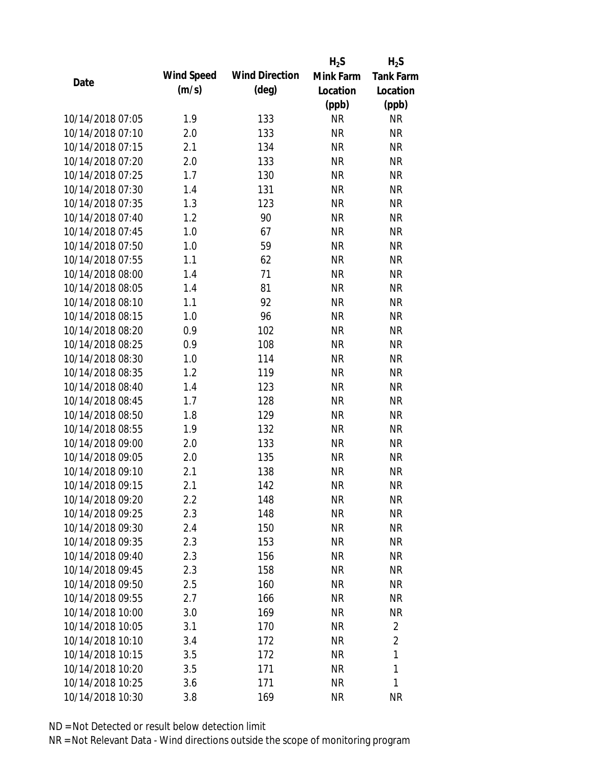|                  |            |                       | $H_2S$    | $H_2S$           |
|------------------|------------|-----------------------|-----------|------------------|
| Date             | Wind Speed | <b>Wind Direction</b> | Mink Farm | <b>Tank Farm</b> |
|                  | (m/s)      | $(\text{deg})$        | Location  | Location         |
|                  |            |                       | (ppb)     | (ppb)            |
| 10/14/2018 07:05 | 1.9        | 133                   | <b>NR</b> | <b>NR</b>        |
| 10/14/2018 07:10 | 2.0        | 133                   | <b>NR</b> | <b>NR</b>        |
| 10/14/2018 07:15 | 2.1        | 134                   | <b>NR</b> | <b>NR</b>        |
| 10/14/2018 07:20 | 2.0        | 133                   | <b>NR</b> | <b>NR</b>        |
| 10/14/2018 07:25 | 1.7        | 130                   | <b>NR</b> | <b>NR</b>        |
| 10/14/2018 07:30 | 1.4        | 131                   | <b>NR</b> | <b>NR</b>        |
| 10/14/2018 07:35 | 1.3        | 123                   | <b>NR</b> | <b>NR</b>        |
| 10/14/2018 07:40 | 1.2        | 90                    | <b>NR</b> | <b>NR</b>        |
| 10/14/2018 07:45 | 1.0        | 67                    | <b>NR</b> | <b>NR</b>        |
| 10/14/2018 07:50 | 1.0        | 59                    | <b>NR</b> | <b>NR</b>        |
| 10/14/2018 07:55 | 1.1        | 62                    | <b>NR</b> | <b>NR</b>        |
| 10/14/2018 08:00 | 1.4        | 71                    | <b>NR</b> | <b>NR</b>        |
| 10/14/2018 08:05 | 1.4        | 81                    | <b>NR</b> | <b>NR</b>        |
| 10/14/2018 08:10 | 1.1        | 92                    | <b>NR</b> | <b>NR</b>        |
| 10/14/2018 08:15 | 1.0        | 96                    | <b>NR</b> | <b>NR</b>        |
| 10/14/2018 08:20 | 0.9        | 102                   | <b>NR</b> | <b>NR</b>        |
| 10/14/2018 08:25 | 0.9        | 108                   | <b>NR</b> | <b>NR</b>        |
| 10/14/2018 08:30 | 1.0        | 114                   | <b>NR</b> | <b>NR</b>        |
| 10/14/2018 08:35 | 1.2        | 119                   | <b>NR</b> | <b>NR</b>        |
| 10/14/2018 08:40 | 1.4        | 123                   | <b>NR</b> | <b>NR</b>        |
| 10/14/2018 08:45 | 1.7        | 128                   | <b>NR</b> | <b>NR</b>        |
| 10/14/2018 08:50 | 1.8        | 129                   | <b>NR</b> | <b>NR</b>        |
| 10/14/2018 08:55 | 1.9        | 132                   | <b>NR</b> | <b>NR</b>        |
| 10/14/2018 09:00 | 2.0        | 133                   | <b>NR</b> | <b>NR</b>        |
| 10/14/2018 09:05 | 2.0        | 135                   | <b>NR</b> | <b>NR</b>        |
| 10/14/2018 09:10 | 2.1        | 138                   | <b>NR</b> | <b>NR</b>        |
| 10/14/2018 09:15 | 2.1        | 142                   | <b>NR</b> | <b>NR</b>        |
| 10/14/2018 09:20 | 2.2        | 148                   | <b>NR</b> | <b>NR</b>        |
| 10/14/2018 09:25 | 2.3        | 148                   | <b>NR</b> | <b>NR</b>        |
| 10/14/2018 09:30 | 2.4        | 150                   | <b>NR</b> | <b>NR</b>        |
| 10/14/2018 09:35 | 2.3        | 153                   | <b>NR</b> | <b>NR</b>        |
| 10/14/2018 09:40 | 2.3        | 156                   | <b>NR</b> | <b>NR</b>        |
| 10/14/2018 09:45 | 2.3        | 158                   | <b>NR</b> | <b>NR</b>        |
| 10/14/2018 09:50 | 2.5        | 160                   | <b>NR</b> | <b>NR</b>        |
| 10/14/2018 09:55 | 2.7        | 166                   | <b>NR</b> | NR               |
| 10/14/2018 10:00 | 3.0        | 169                   | <b>NR</b> | <b>NR</b>        |
| 10/14/2018 10:05 | 3.1        | 170                   | <b>NR</b> | 2                |
| 10/14/2018 10:10 | 3.4        | 172                   | <b>NR</b> | $\overline{2}$   |
| 10/14/2018 10:15 | 3.5        | 172                   | <b>NR</b> | 1                |
| 10/14/2018 10:20 | 3.5        | 171                   | <b>NR</b> | 1                |
| 10/14/2018 10:25 | 3.6        | 171                   | <b>NR</b> | 1                |
| 10/14/2018 10:30 | 3.8        | 169                   | <b>NR</b> | <b>NR</b>        |
|                  |            |                       |           |                  |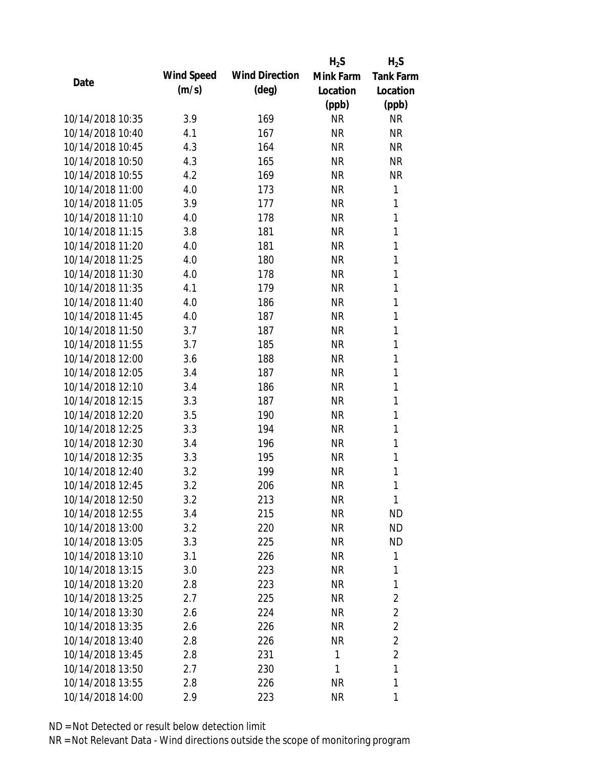|                  |            |                       | $H_2S$    | $H_2S$           |
|------------------|------------|-----------------------|-----------|------------------|
| Date             | Wind Speed | <b>Wind Direction</b> | Mink Farm | <b>Tank Farm</b> |
|                  | (m/s)      | $(\text{deg})$        | Location  | Location         |
|                  |            |                       | (ppb)     | (ppb)            |
| 10/14/2018 10:35 | 3.9        | 169                   | <b>NR</b> | <b>NR</b>        |
| 10/14/2018 10:40 | 4.1        | 167                   | <b>NR</b> | <b>NR</b>        |
| 10/14/2018 10:45 | 4.3        | 164                   | <b>NR</b> | <b>NR</b>        |
| 10/14/2018 10:50 | 4.3        | 165                   | <b>NR</b> | <b>NR</b>        |
| 10/14/2018 10:55 | 4.2        | 169                   | <b>NR</b> | <b>NR</b>        |
| 10/14/2018 11:00 | 4.0        | 173                   | <b>NR</b> | 1                |
| 10/14/2018 11:05 | 3.9        | 177                   | <b>NR</b> | 1                |
| 10/14/2018 11:10 | 4.0        | 178                   | <b>NR</b> | 1                |
| 10/14/2018 11:15 | 3.8        | 181                   | <b>NR</b> | 1                |
| 10/14/2018 11:20 | 4.0        | 181                   | <b>NR</b> | $\mathbf{1}$     |
| 10/14/2018 11:25 | 4.0        | 180                   | <b>NR</b> | 1                |
| 10/14/2018 11:30 | 4.0        | 178                   | <b>NR</b> | 1                |
| 10/14/2018 11:35 | 4.1        | 179                   | <b>NR</b> | 1                |
| 10/14/2018 11:40 | 4.0        | 186                   | <b>NR</b> | 1                |
| 10/14/2018 11:45 | 4.0        | 187                   | <b>NR</b> | $\mathbf{1}$     |
| 10/14/2018 11:50 | 3.7        | 187                   | <b>NR</b> | 1                |
| 10/14/2018 11:55 | 3.7        | 185                   | <b>NR</b> | 1                |
| 10/14/2018 12:00 | 3.6        | 188                   | <b>NR</b> | 1                |
| 10/14/2018 12:05 | 3.4        | 187                   | <b>NR</b> | 1                |
| 10/14/2018 12:10 | 3.4        | 186                   | <b>NR</b> | 1                |
| 10/14/2018 12:15 | 3.3        | 187                   | <b>NR</b> | 1                |
| 10/14/2018 12:20 | 3.5        | 190                   | <b>NR</b> | 1                |
| 10/14/2018 12:25 | 3.3        | 194                   | <b>NR</b> | 1                |
| 10/14/2018 12:30 | 3.4        | 196                   | <b>NR</b> | 1                |
| 10/14/2018 12:35 | 3.3        | 195                   | <b>NR</b> | 1                |
| 10/14/2018 12:40 | 3.2        | 199                   | <b>NR</b> | 1                |
| 10/14/2018 12:45 | 3.2        | 206                   | <b>NR</b> | 1                |
| 10/14/2018 12:50 | 3.2        | 213                   | <b>NR</b> | 1                |
| 10/14/2018 12:55 | 3.4        | 215                   | <b>NR</b> | <b>ND</b>        |
| 10/14/2018 13:00 | 3.2        | 220                   | <b>NR</b> | <b>ND</b>        |
| 10/14/2018 13:05 | 3.3        | 225                   | <b>NR</b> | <b>ND</b>        |
| 10/14/2018 13:10 | 3.1        | 226                   | <b>NR</b> | 1                |
| 10/14/2018 13:15 | 3.0        | 223                   | <b>NR</b> | 1                |
| 10/14/2018 13:20 | 2.8        | 223                   | <b>NR</b> | 1                |
| 10/14/2018 13:25 | 2.7        | 225                   | <b>NR</b> | $\overline{2}$   |
| 10/14/2018 13:30 | 2.6        | 224                   | <b>NR</b> | 2                |
| 10/14/2018 13:35 | 2.6        | 226                   | <b>NR</b> | $\overline{2}$   |
| 10/14/2018 13:40 | 2.8        | 226                   | NR        | $\overline{2}$   |
| 10/14/2018 13:45 | 2.8        | 231                   | 1         | $\overline{2}$   |
| 10/14/2018 13:50 | 2.7        | 230                   | 1         | 1                |
| 10/14/2018 13:55 | 2.8        | 226                   | <b>NR</b> | 1                |
| 10/14/2018 14:00 | 2.9        | 223                   | <b>NR</b> | 1                |
|                  |            |                       |           |                  |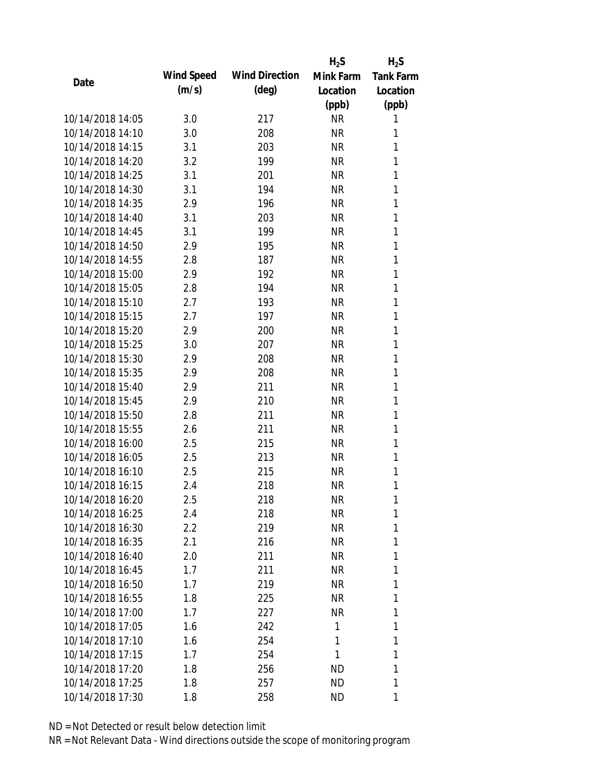|                  |            |                       | $H_2S$    | $H_2S$           |
|------------------|------------|-----------------------|-----------|------------------|
| Date             | Wind Speed | <b>Wind Direction</b> | Mink Farm | <b>Tank Farm</b> |
|                  | (m/s)      | $(\text{deg})$        | Location  | Location         |
|                  |            |                       | (ppb)     | (ppb)            |
| 10/14/2018 14:05 | 3.0        | 217                   | <b>NR</b> | 1                |
| 10/14/2018 14:10 | 3.0        | 208                   | <b>NR</b> | 1                |
| 10/14/2018 14:15 | 3.1        | 203                   | <b>NR</b> | 1                |
| 10/14/2018 14:20 | 3.2        | 199                   | <b>NR</b> | 1                |
| 10/14/2018 14:25 | 3.1        | 201                   | <b>NR</b> | 1                |
| 10/14/2018 14:30 | 3.1        | 194                   | <b>NR</b> | 1                |
| 10/14/2018 14:35 | 2.9        | 196                   | <b>NR</b> | 1                |
| 10/14/2018 14:40 | 3.1        | 203                   | <b>NR</b> | 1                |
| 10/14/2018 14:45 | 3.1        | 199                   | <b>NR</b> | 1                |
| 10/14/2018 14:50 | 2.9        | 195                   | <b>NR</b> | 1                |
| 10/14/2018 14:55 | 2.8        | 187                   | <b>NR</b> | 1                |
| 10/14/2018 15:00 | 2.9        | 192                   | <b>NR</b> | 1                |
| 10/14/2018 15:05 | 2.8        | 194                   | <b>NR</b> | 1                |
| 10/14/2018 15:10 | 2.7        | 193                   | <b>NR</b> | 1                |
| 10/14/2018 15:15 | 2.7        | 197                   | <b>NR</b> | 1                |
| 10/14/2018 15:20 | 2.9        | 200                   | <b>NR</b> | 1                |
| 10/14/2018 15:25 | 3.0        | 207                   | <b>NR</b> | 1                |
| 10/14/2018 15:30 | 2.9        | 208                   | <b>NR</b> | 1                |
| 10/14/2018 15:35 | 2.9        | 208                   | <b>NR</b> | 1                |
| 10/14/2018 15:40 | 2.9        | 211                   | <b>NR</b> | 1                |
| 10/14/2018 15:45 | 2.9        | 210                   | <b>NR</b> | 1                |
| 10/14/2018 15:50 | 2.8        | 211                   | <b>NR</b> | 1                |
| 10/14/2018 15:55 | 2.6        | 211                   | <b>NR</b> | 1                |
| 10/14/2018 16:00 | 2.5        | 215                   | <b>NR</b> | 1                |
| 10/14/2018 16:05 | 2.5        | 213                   | <b>NR</b> | 1                |
| 10/14/2018 16:10 | 2.5        | 215                   | <b>NR</b> | 1                |
| 10/14/2018 16:15 | 2.4        | 218                   | <b>NR</b> | 1                |
| 10/14/2018 16:20 | 2.5        | 218                   | <b>NR</b> | 1                |
| 10/14/2018 16:25 | 2.4        | 218                   | <b>NR</b> | 1                |
| 10/14/2018 16:30 | 2.2        | 219                   | <b>NR</b> | 1                |
| 10/14/2018 16:35 | 2.1        | 216                   | <b>NR</b> | 1                |
| 10/14/2018 16:40 | 2.0        | 211                   | <b>NR</b> | 1                |
| 10/14/2018 16:45 | 1.7        | 211                   | <b>NR</b> | 1                |
| 10/14/2018 16:50 | 1.7        | 219                   | <b>NR</b> | 1                |
| 10/14/2018 16:55 | 1.8        | 225                   | <b>NR</b> | 1                |
| 10/14/2018 17:00 | 1.7        | 227                   | <b>NR</b> | 1                |
| 10/14/2018 17:05 | 1.6        | 242                   | 1         | 1                |
| 10/14/2018 17:10 | 1.6        | 254                   | 1         | 1                |
| 10/14/2018 17:15 | 1.7        | 254                   | 1         | 1                |
| 10/14/2018 17:20 | 1.8        | 256                   | <b>ND</b> | 1                |
| 10/14/2018 17:25 | 1.8        | 257                   | ND        | 1                |
| 10/14/2018 17:30 | 1.8        | 258                   | ND        | 1                |
|                  |            |                       |           |                  |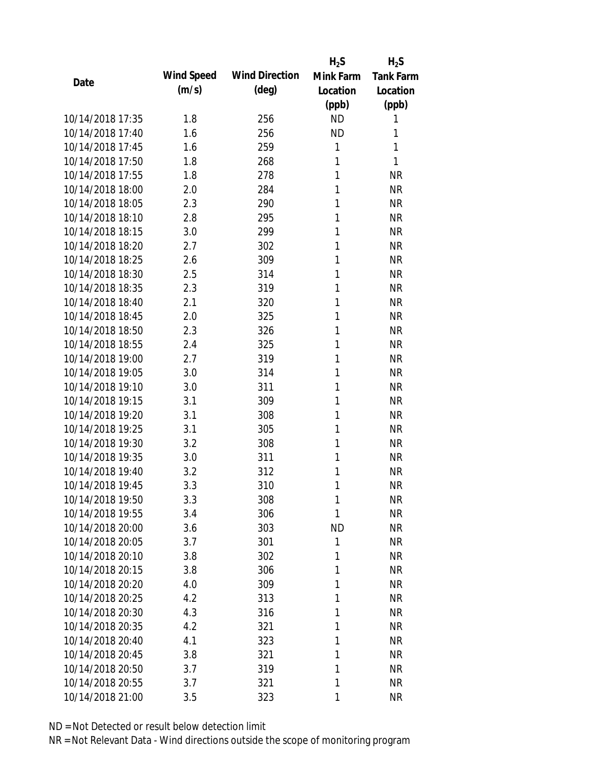|                  |            |                       | $H_2S$    | $H_2S$           |
|------------------|------------|-----------------------|-----------|------------------|
| Date             | Wind Speed | <b>Wind Direction</b> | Mink Farm | <b>Tank Farm</b> |
|                  | (m/s)      | $(\text{deg})$        | Location  | Location         |
|                  |            |                       | (ppb)     | (ppb)            |
| 10/14/2018 17:35 | 1.8        | 256                   | <b>ND</b> | 1                |
| 10/14/2018 17:40 | 1.6        | 256                   | <b>ND</b> | 1                |
| 10/14/2018 17:45 | 1.6        | 259                   | 1         | 1                |
| 10/14/2018 17:50 | 1.8        | 268                   | 1         | 1                |
| 10/14/2018 17:55 | 1.8        | 278                   | 1         | <b>NR</b>        |
| 10/14/2018 18:00 | 2.0        | 284                   | 1         | <b>NR</b>        |
| 10/14/2018 18:05 | 2.3        | 290                   | 1         | <b>NR</b>        |
| 10/14/2018 18:10 | 2.8        | 295                   | 1         | <b>NR</b>        |
| 10/14/2018 18:15 | 3.0        | 299                   | 1         | <b>NR</b>        |
| 10/14/2018 18:20 | 2.7        | 302                   | 1         | <b>NR</b>        |
| 10/14/2018 18:25 | 2.6        | 309                   | 1         | <b>NR</b>        |
| 10/14/2018 18:30 | 2.5        | 314                   | 1         | <b>NR</b>        |
| 10/14/2018 18:35 | 2.3        | 319                   | 1         | <b>NR</b>        |
| 10/14/2018 18:40 | 2.1        | 320                   | 1         | <b>NR</b>        |
| 10/14/2018 18:45 | 2.0        | 325                   | 1         | <b>NR</b>        |
| 10/14/2018 18:50 | 2.3        | 326                   | 1         | <b>NR</b>        |
| 10/14/2018 18:55 | 2.4        | 325                   | 1         | <b>NR</b>        |
| 10/14/2018 19:00 | 2.7        | 319                   | 1         | <b>NR</b>        |
| 10/14/2018 19:05 | 3.0        | 314                   | 1         | <b>NR</b>        |
| 10/14/2018 19:10 | 3.0        | 311                   | 1         | <b>NR</b>        |
| 10/14/2018 19:15 | 3.1        | 309                   | 1         | <b>NR</b>        |
| 10/14/2018 19:20 | 3.1        | 308                   | 1         | <b>NR</b>        |
| 10/14/2018 19:25 | 3.1        | 305                   | 1         | <b>NR</b>        |
| 10/14/2018 19:30 | 3.2        | 308                   | 1         | <b>NR</b>        |
| 10/14/2018 19:35 | 3.0        | 311                   | 1         | <b>NR</b>        |
| 10/14/2018 19:40 | 3.2        | 312                   | 1         | <b>NR</b>        |
| 10/14/2018 19:45 | 3.3        | 310                   | 1         | <b>NR</b>        |
| 10/14/2018 19:50 | 3.3        | 308                   | 1         | <b>NR</b>        |
| 10/14/2018 19:55 | 3.4        | 306                   | 1         | <b>NR</b>        |
| 10/14/2018 20:00 | 3.6        | 303                   | <b>ND</b> | <b>NR</b>        |
| 10/14/2018 20:05 | 3.7        | 301                   | 1         | <b>NR</b>        |
| 10/14/2018 20:10 | 3.8        | 302                   | 1         | <b>NR</b>        |
| 10/14/2018 20:15 | 3.8        | 306                   | 1         | <b>NR</b>        |
| 10/14/2018 20:20 | 4.0        | 309                   | 1         | <b>NR</b>        |
| 10/14/2018 20:25 | 4.2        | 313                   | 1         | <b>NR</b>        |
| 10/14/2018 20:30 | 4.3        | 316                   | 1         | <b>NR</b>        |
| 10/14/2018 20:35 | 4.2        | 321                   | 1         | <b>NR</b>        |
| 10/14/2018 20:40 | 4.1        | 323                   | 1         | <b>NR</b>        |
| 10/14/2018 20:45 | 3.8        | 321                   | 1         | <b>NR</b>        |
| 10/14/2018 20:50 | 3.7        | 319                   | 1         | <b>NR</b>        |
| 10/14/2018 20:55 | 3.7        | 321                   | 1         | <b>NR</b>        |
| 10/14/2018 21:00 | 3.5        | 323                   | 1         | <b>NR</b>        |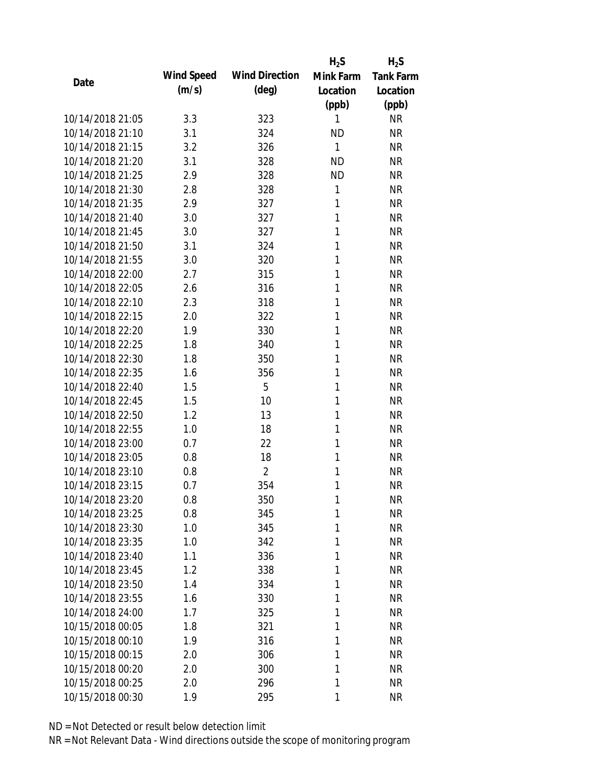|                  |            |                       | $H_2S$    | $H_2S$           |
|------------------|------------|-----------------------|-----------|------------------|
| Date             | Wind Speed | <b>Wind Direction</b> | Mink Farm | <b>Tank Farm</b> |
|                  | (m/s)      | $(\text{deg})$        | Location  | Location         |
|                  |            |                       | (ppb)     | (ppb)            |
| 10/14/2018 21:05 | 3.3        | 323                   | 1         | <b>NR</b>        |
| 10/14/2018 21:10 | 3.1        | 324                   | <b>ND</b> | <b>NR</b>        |
| 10/14/2018 21:15 | 3.2        | 326                   | 1         | <b>NR</b>        |
| 10/14/2018 21:20 | 3.1        | 328                   | <b>ND</b> | <b>NR</b>        |
| 10/14/2018 21:25 | 2.9        | 328                   | <b>ND</b> | <b>NR</b>        |
| 10/14/2018 21:30 | 2.8        | 328                   | 1         | <b>NR</b>        |
| 10/14/2018 21:35 | 2.9        | 327                   | 1         | <b>NR</b>        |
| 10/14/2018 21:40 | 3.0        | 327                   | 1         | <b>NR</b>        |
| 10/14/2018 21:45 | 3.0        | 327                   | 1         | <b>NR</b>        |
| 10/14/2018 21:50 | 3.1        | 324                   | 1         | <b>NR</b>        |
| 10/14/2018 21:55 | 3.0        | 320                   | 1         | <b>NR</b>        |
| 10/14/2018 22:00 | 2.7        | 315                   | 1         | <b>NR</b>        |
| 10/14/2018 22:05 | 2.6        | 316                   | 1         | <b>NR</b>        |
| 10/14/2018 22:10 | 2.3        | 318                   | 1         | <b>NR</b>        |
| 10/14/2018 22:15 | 2.0        | 322                   | 1         | <b>NR</b>        |
| 10/14/2018 22:20 | 1.9        | 330                   | 1         | <b>NR</b>        |
| 10/14/2018 22:25 | 1.8        | 340                   | 1         | <b>NR</b>        |
| 10/14/2018 22:30 | 1.8        | 350                   | 1         | <b>NR</b>        |
| 10/14/2018 22:35 | 1.6        | 356                   | 1         | <b>NR</b>        |
| 10/14/2018 22:40 | 1.5        | 5                     | 1         | <b>NR</b>        |
| 10/14/2018 22:45 | 1.5        | 10                    | 1         | <b>NR</b>        |
| 10/14/2018 22:50 | 1.2        | 13                    | 1         | <b>NR</b>        |
| 10/14/2018 22:55 | 1.0        | 18                    | 1         | <b>NR</b>        |
| 10/14/2018 23:00 | 0.7        | 22                    | 1         | <b>NR</b>        |
| 10/14/2018 23:05 | 0.8        | 18                    | 1         | <b>NR</b>        |
| 10/14/2018 23:10 | 0.8        | $\overline{2}$        | 1         | <b>NR</b>        |
| 10/14/2018 23:15 | 0.7        | 354                   | 1         | <b>NR</b>        |
| 10/14/2018 23:20 | 0.8        | 350                   | 1         | <b>NR</b>        |
| 10/14/2018 23:25 | 0.8        | 345                   | 1         | <b>NR</b>        |
| 10/14/2018 23:30 | 1.0        | 345                   | 1         | <b>NR</b>        |
| 10/14/2018 23:35 | 1.0        | 342                   | 1         | <b>NR</b>        |
| 10/14/2018 23:40 | 1.1        | 336                   | 1         | <b>NR</b>        |
| 10/14/2018 23:45 | 1.2        | 338                   | 1         | <b>NR</b>        |
| 10/14/2018 23:50 | 1.4        | 334                   | 1         | <b>NR</b>        |
| 10/14/2018 23:55 | 1.6        | 330                   | 1         | <b>NR</b>        |
| 10/14/2018 24:00 | 1.7        | 325                   | 1         | <b>NR</b>        |
| 10/15/2018 00:05 | 1.8        | 321                   | 1         | <b>NR</b>        |
| 10/15/2018 00:10 | 1.9        | 316                   | 1         | <b>NR</b>        |
| 10/15/2018 00:15 | 2.0        | 306                   | 1         | <b>NR</b>        |
| 10/15/2018 00:20 | 2.0        | 300                   | 1         | <b>NR</b>        |
| 10/15/2018 00:25 | 2.0        | 296                   | 1         | <b>NR</b>        |
| 10/15/2018 00:30 | 1.9        | 295                   | 1         | <b>NR</b>        |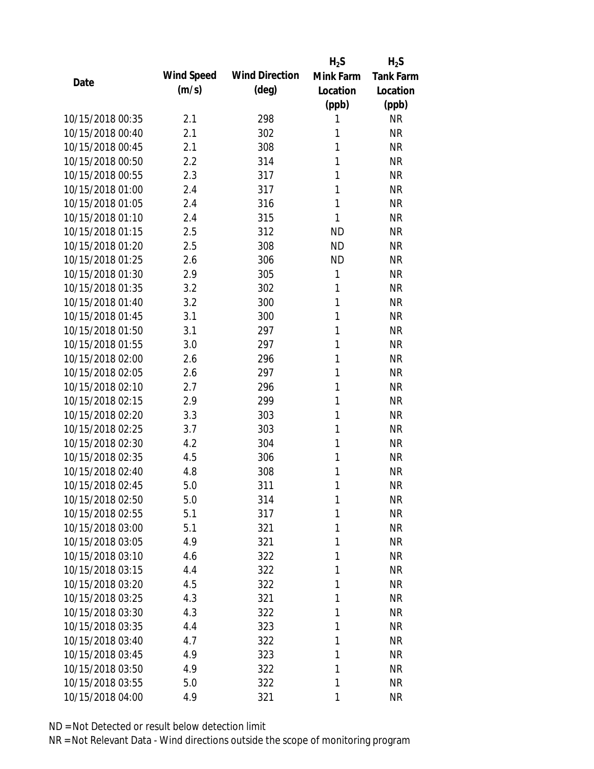|                  |            |                       | $H_2S$    | $H_2S$           |
|------------------|------------|-----------------------|-----------|------------------|
| Date             | Wind Speed | <b>Wind Direction</b> | Mink Farm | <b>Tank Farm</b> |
|                  | (m/s)      | $(\text{deg})$        | Location  | Location         |
|                  |            |                       | (ppb)     | (ppb)            |
| 10/15/2018 00:35 | 2.1        | 298                   | 1         | <b>NR</b>        |
| 10/15/2018 00:40 | 2.1        | 302                   | 1         | <b>NR</b>        |
| 10/15/2018 00:45 | 2.1        | 308                   | 1         | <b>NR</b>        |
| 10/15/2018 00:50 | 2.2        | 314                   | 1         | <b>NR</b>        |
| 10/15/2018 00:55 | 2.3        | 317                   | 1         | <b>NR</b>        |
| 10/15/2018 01:00 | 2.4        | 317                   | 1         | <b>NR</b>        |
| 10/15/2018 01:05 | 2.4        | 316                   | 1         | <b>NR</b>        |
| 10/15/2018 01:10 | 2.4        | 315                   | 1         | <b>NR</b>        |
| 10/15/2018 01:15 | 2.5        | 312                   | <b>ND</b> | <b>NR</b>        |
| 10/15/2018 01:20 | 2.5        | 308                   | <b>ND</b> | <b>NR</b>        |
| 10/15/2018 01:25 | 2.6        | 306                   | <b>ND</b> | <b>NR</b>        |
| 10/15/2018 01:30 | 2.9        | 305                   | 1         | <b>NR</b>        |
| 10/15/2018 01:35 | 3.2        | 302                   | 1         | <b>NR</b>        |
| 10/15/2018 01:40 | 3.2        | 300                   | 1         | <b>NR</b>        |
| 10/15/2018 01:45 | 3.1        | 300                   | 1         | <b>NR</b>        |
| 10/15/2018 01:50 | 3.1        | 297                   | 1         | <b>NR</b>        |
| 10/15/2018 01:55 | 3.0        | 297                   | 1         | <b>NR</b>        |
| 10/15/2018 02:00 | 2.6        | 296                   | 1         | <b>NR</b>        |
| 10/15/2018 02:05 | 2.6        | 297                   | 1         | <b>NR</b>        |
| 10/15/2018 02:10 | 2.7        | 296                   | 1         | <b>NR</b>        |
| 10/15/2018 02:15 | 2.9        | 299                   | 1         | <b>NR</b>        |
| 10/15/2018 02:20 | 3.3        | 303                   | 1         | <b>NR</b>        |
| 10/15/2018 02:25 | 3.7        | 303                   | 1         | <b>NR</b>        |
| 10/15/2018 02:30 | 4.2        | 304                   | 1         | <b>NR</b>        |
| 10/15/2018 02:35 | 4.5        | 306                   | 1         | <b>NR</b>        |
| 10/15/2018 02:40 | 4.8        | 308                   | 1         | <b>NR</b>        |
| 10/15/2018 02:45 | 5.0        | 311                   | 1         | <b>NR</b>        |
| 10/15/2018 02:50 | 5.0        | 314                   | 1         | <b>NR</b>        |
| 10/15/2018 02:55 | 5.1        | 317                   | 1         | <b>NR</b>        |
| 10/15/2018 03:00 | 5.1        | 321                   | 1         | <b>NR</b>        |
| 10/15/2018 03:05 | 4.9        | 321                   | 1         | <b>NR</b>        |
| 10/15/2018 03:10 | 4.6        | 322                   | 1         | <b>NR</b>        |
| 10/15/2018 03:15 | 4.4        | 322                   | 1         | <b>NR</b>        |
| 10/15/2018 03:20 | 4.5        | 322                   | 1         | <b>NR</b>        |
| 10/15/2018 03:25 | 4.3        | 321                   | 1         | <b>NR</b>        |
| 10/15/2018 03:30 | 4.3        | 322                   | 1         | <b>NR</b>        |
| 10/15/2018 03:35 | 4.4        | 323                   | 1         | <b>NR</b>        |
| 10/15/2018 03:40 | 4.7        | 322                   | 1         | <b>NR</b>        |
| 10/15/2018 03:45 | 4.9        | 323                   | 1         | <b>NR</b>        |
| 10/15/2018 03:50 | 4.9        | 322                   | 1         | <b>NR</b>        |
| 10/15/2018 03:55 | 5.0        | 322                   | 1         | <b>NR</b>        |
| 10/15/2018 04:00 | 4.9        | 321                   | 1         | <b>NR</b>        |
|                  |            |                       |           |                  |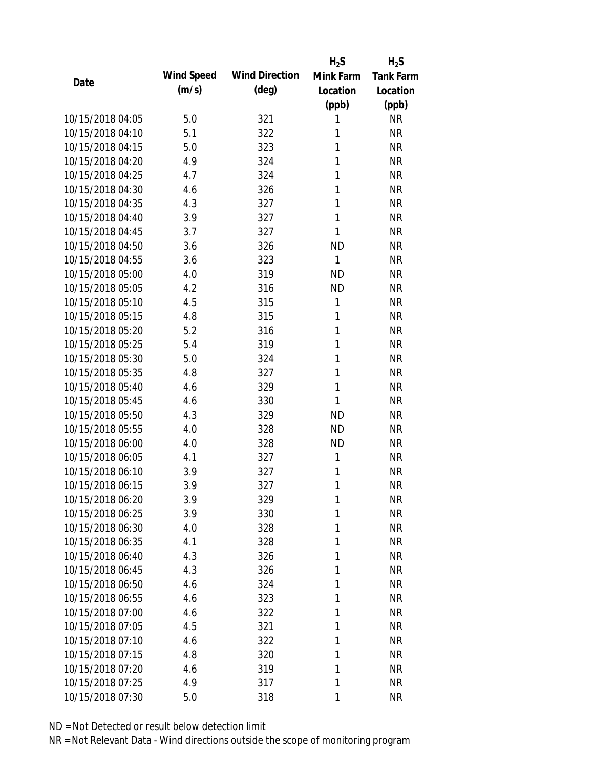|                  |            |                       | $H_2S$       | $H_2S$           |
|------------------|------------|-----------------------|--------------|------------------|
| Date             | Wind Speed | <b>Wind Direction</b> | Mink Farm    | <b>Tank Farm</b> |
|                  | (m/s)      | $(\text{deg})$        | Location     | Location         |
|                  |            |                       | (ppb)        | (ppb)            |
| 10/15/2018 04:05 | 5.0        | 321                   | 1            | <b>NR</b>        |
| 10/15/2018 04:10 | 5.1        | 322                   | 1            | <b>NR</b>        |
| 10/15/2018 04:15 | 5.0        | 323                   | 1            | <b>NR</b>        |
| 10/15/2018 04:20 | 4.9        | 324                   | 1            | <b>NR</b>        |
| 10/15/2018 04:25 | 4.7        | 324                   | 1            | <b>NR</b>        |
| 10/15/2018 04:30 | 4.6        | 326                   | 1            | <b>NR</b>        |
| 10/15/2018 04:35 | 4.3        | 327                   | 1            | <b>NR</b>        |
| 10/15/2018 04:40 | 3.9        | 327                   | 1            | <b>NR</b>        |
| 10/15/2018 04:45 | 3.7        | 327                   | 1            | <b>NR</b>        |
| 10/15/2018 04:50 | 3.6        | 326                   | <b>ND</b>    | <b>NR</b>        |
| 10/15/2018 04:55 | 3.6        | 323                   | 1            | <b>NR</b>        |
| 10/15/2018 05:00 | 4.0        | 319                   | <b>ND</b>    | <b>NR</b>        |
| 10/15/2018 05:05 | 4.2        | 316                   | <b>ND</b>    | <b>NR</b>        |
| 10/15/2018 05:10 | 4.5        | 315                   | 1            | <b>NR</b>        |
| 10/15/2018 05:15 | 4.8        | 315                   | 1            | <b>NR</b>        |
| 10/15/2018 05:20 | 5.2        | 316                   | 1            | <b>NR</b>        |
| 10/15/2018 05:25 | 5.4        | 319                   | 1            | <b>NR</b>        |
| 10/15/2018 05:30 | 5.0        | 324                   | 1            | <b>NR</b>        |
| 10/15/2018 05:35 | 4.8        | 327                   | $\mathbf{1}$ | <b>NR</b>        |
| 10/15/2018 05:40 | 4.6        | 329                   | 1            | <b>NR</b>        |
| 10/15/2018 05:45 | 4.6        | 330                   | 1            | <b>NR</b>        |
| 10/15/2018 05:50 | 4.3        | 329                   | <b>ND</b>    | <b>NR</b>        |
| 10/15/2018 05:55 | 4.0        | 328                   | <b>ND</b>    | <b>NR</b>        |
| 10/15/2018 06:00 | 4.0        | 328                   | <b>ND</b>    | <b>NR</b>        |
| 10/15/2018 06:05 | 4.1        | 327                   | 1            | <b>NR</b>        |
| 10/15/2018 06:10 | 3.9        | 327                   | 1            | <b>NR</b>        |
| 10/15/2018 06:15 | 3.9        | 327                   | 1            | <b>NR</b>        |
| 10/15/2018 06:20 | 3.9        | 329                   | 1            | <b>NR</b>        |
| 10/15/2018 06:25 | 3.9        | 330                   | 1            | <b>NR</b>        |
| 10/15/2018 06:30 | 4.0        | 328                   | 1            | <b>NR</b>        |
| 10/15/2018 06:35 | 4.1        | 328                   | 1            | <b>NR</b>        |
| 10/15/2018 06:40 | 4.3        | 326                   | 1            | <b>NR</b>        |
| 10/15/2018 06:45 | 4.3        | 326                   | 1            | <b>NR</b>        |
| 10/15/2018 06:50 | 4.6        | 324                   | 1            | <b>NR</b>        |
| 10/15/2018 06:55 | 4.6        | 323                   | 1            | <b>NR</b>        |
| 10/15/2018 07:00 | 4.6        | 322                   | 1            | <b>NR</b>        |
| 10/15/2018 07:05 | 4.5        | 321                   | 1            | <b>NR</b>        |
| 10/15/2018 07:10 | 4.6        | 322                   | 1            | <b>NR</b>        |
| 10/15/2018 07:15 | 4.8        | 320                   | 1            | <b>NR</b>        |
| 10/15/2018 07:20 | 4.6        | 319                   | 1            | <b>NR</b>        |
| 10/15/2018 07:25 | 4.9        | 317                   | 1            | <b>NR</b>        |
| 10/15/2018 07:30 | 5.0        | 318                   | 1            | <b>NR</b>        |
|                  |            |                       |              |                  |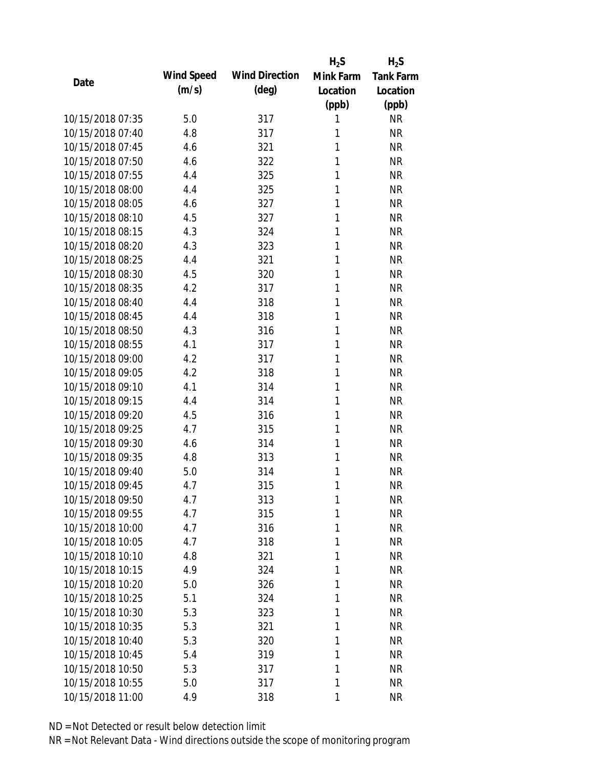|                  |            |                       | $H_2S$    | $H_2S$                 |
|------------------|------------|-----------------------|-----------|------------------------|
| Date             | Wind Speed | <b>Wind Direction</b> | Mink Farm | <b>Tank Farm</b>       |
|                  | (m/s)      | $(\text{deg})$        | Location  | Location               |
|                  |            |                       | (ppb)     | (ppb)                  |
| 10/15/2018 07:35 | 5.0        | 317                   | 1         | <b>NR</b>              |
| 10/15/2018 07:40 | 4.8        | 317                   | 1         | <b>NR</b>              |
| 10/15/2018 07:45 | 4.6        | 321                   | 1         | <b>NR</b>              |
| 10/15/2018 07:50 | 4.6        | 322                   | 1         | <b>NR</b>              |
| 10/15/2018 07:55 | 4.4        | 325                   | 1         | <b>NR</b>              |
| 10/15/2018 08:00 | 4.4        | 325                   | 1         | <b>NR</b>              |
| 10/15/2018 08:05 | 4.6        | 327                   | 1         | <b>NR</b>              |
| 10/15/2018 08:10 | 4.5        | 327                   | 1         | <b>NR</b>              |
| 10/15/2018 08:15 | 4.3        | 324                   | 1         | <b>NR</b>              |
| 10/15/2018 08:20 | 4.3        | 323                   | 1         | <b>NR</b>              |
| 10/15/2018 08:25 | 4.4        | 321                   | 1         | <b>NR</b>              |
| 10/15/2018 08:30 | 4.5        | 320                   | 1         | <b>NR</b>              |
| 10/15/2018 08:35 | 4.2        | 317                   | 1         | <b>NR</b>              |
| 10/15/2018 08:40 | 4.4        | 318                   | 1         | <b>NR</b>              |
| 10/15/2018 08:45 | 4.4        | 318                   | 1         | <b>NR</b>              |
| 10/15/2018 08:50 | 4.3        | 316                   | 1         | <b>NR</b>              |
| 10/15/2018 08:55 | 4.1        | 317                   | 1         | <b>NR</b>              |
| 10/15/2018 09:00 | 4.2        | 317                   | 1         | <b>NR</b>              |
| 10/15/2018 09:05 | 4.2        | 318                   | 1         | <b>NR</b>              |
| 10/15/2018 09:10 | 4.1        | 314                   | 1         | <b>NR</b>              |
| 10/15/2018 09:15 | 4.4        | 314                   | 1         | <b>NR</b>              |
| 10/15/2018 09:20 | 4.5        | 316                   | 1         | <b>NR</b>              |
| 10/15/2018 09:25 | 4.7        | 315                   | 1         | <b>NR</b>              |
| 10/15/2018 09:30 | 4.6        | 314                   | 1         | <b>NR</b>              |
| 10/15/2018 09:35 | 4.8        | 313                   | 1         | <b>NR</b>              |
| 10/15/2018 09:40 | 5.0        | 314                   | 1         | <b>NR</b>              |
| 10/15/2018 09:45 | 4.7        | 315                   | 1         | <b>NR</b>              |
| 10/15/2018 09:50 | 4.7        | 313                   | 1         | <b>NR</b>              |
| 10/15/2018 09:55 | 4.7        | 315                   | 1         | <b>NR</b>              |
| 10/15/2018 10:00 | 4.7        | 316                   | 1         | <b>NR</b>              |
| 10/15/2018 10:05 | 4.7        | 318                   | 1         | <b>NR</b>              |
| 10/15/2018 10:10 | 4.8        | 321                   | 1         | <b>NR</b>              |
| 10/15/2018 10:15 | 4.9        | 324                   | 1         | <b>NR</b>              |
| 10/15/2018 10:20 | 5.0        | 326                   | 1         | <b>NR</b>              |
| 10/15/2018 10:25 | 5.1        | 324                   | 1         | <b>NR</b>              |
| 10/15/2018 10:30 |            |                       | 1         |                        |
| 10/15/2018 10:35 | 5.3        | 323                   | 1         | <b>NR</b><br><b>NR</b> |
|                  | 5.3        | 321                   |           |                        |
| 10/15/2018 10:40 | 5.3        | 320                   | 1         | <b>NR</b>              |
| 10/15/2018 10:45 | 5.4        | 319                   | 1         | <b>NR</b>              |
| 10/15/2018 10:50 | 5.3        | 317                   | 1         | <b>NR</b>              |
| 10/15/2018 10:55 | 5.0        | 317                   | 1         | <b>NR</b>              |
| 10/15/2018 11:00 | 4.9        | 318                   | 1         | <b>NR</b>              |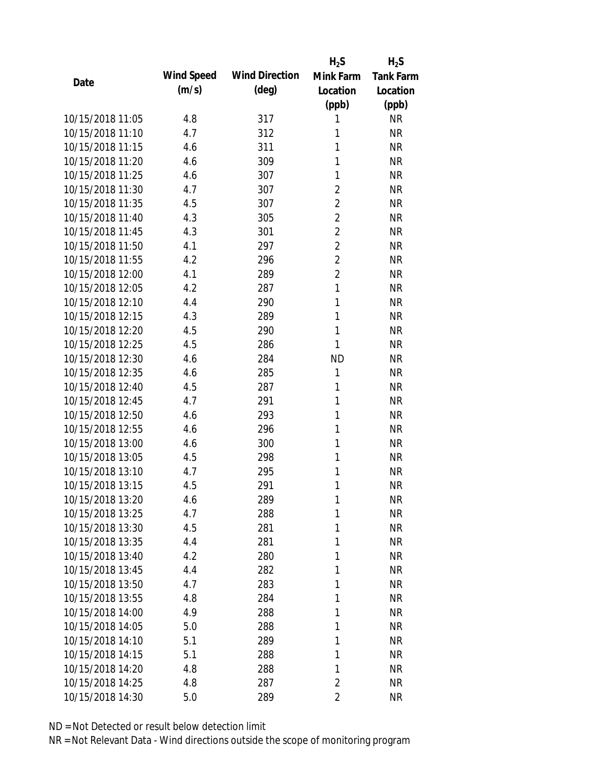|                  |            |                       | $H_2S$         | $H_2S$           |
|------------------|------------|-----------------------|----------------|------------------|
| Date             | Wind Speed | <b>Wind Direction</b> | Mink Farm      | <b>Tank Farm</b> |
|                  | (m/s)      | $(\text{deg})$        | Location       | Location         |
|                  |            |                       | (ppb)          | (ppb)            |
| 10/15/2018 11:05 | 4.8        | 317                   | 1              | <b>NR</b>        |
| 10/15/2018 11:10 | 4.7        | 312                   | 1              | <b>NR</b>        |
| 10/15/2018 11:15 | 4.6        | 311                   | 1              | <b>NR</b>        |
| 10/15/2018 11:20 | 4.6        | 309                   | 1              | <b>NR</b>        |
| 10/15/2018 11:25 | 4.6        | 307                   | 1              | <b>NR</b>        |
| 10/15/2018 11:30 | 4.7        | 307                   | $\overline{2}$ | <b>NR</b>        |
| 10/15/2018 11:35 | 4.5        | 307                   | $\overline{2}$ | <b>NR</b>        |
| 10/15/2018 11:40 | 4.3        | 305                   | $\overline{2}$ | <b>NR</b>        |
| 10/15/2018 11:45 | 4.3        | 301                   | $\overline{2}$ | <b>NR</b>        |
| 10/15/2018 11:50 | 4.1        | 297                   | $\overline{2}$ | <b>NR</b>        |
| 10/15/2018 11:55 | 4.2        | 296                   | $\overline{2}$ | <b>NR</b>        |
| 10/15/2018 12:00 | 4.1        | 289                   | $\overline{2}$ | <b>NR</b>        |
| 10/15/2018 12:05 | 4.2        | 287                   | $\mathbf{1}$   | <b>NR</b>        |
| 10/15/2018 12:10 | 4.4        | 290                   | 1              | <b>NR</b>        |
| 10/15/2018 12:15 | 4.3        | 289                   | 1              | <b>NR</b>        |
| 10/15/2018 12:20 | 4.5        | 290                   | 1              | <b>NR</b>        |
| 10/15/2018 12:25 | 4.5        | 286                   | 1              | <b>NR</b>        |
| 10/15/2018 12:30 | 4.6        | 284                   | <b>ND</b>      | <b>NR</b>        |
| 10/15/2018 12:35 | 4.6        | 285                   | 1              | <b>NR</b>        |
| 10/15/2018 12:40 | 4.5        | 287                   | 1              | <b>NR</b>        |
| 10/15/2018 12:45 | 4.7        | 291                   | 1              | <b>NR</b>        |
| 10/15/2018 12:50 | 4.6        | 293                   | 1              | <b>NR</b>        |
| 10/15/2018 12:55 | 4.6        | 296                   | 1              | <b>NR</b>        |
| 10/15/2018 13:00 | 4.6        | 300                   | 1              | <b>NR</b>        |
| 10/15/2018 13:05 | 4.5        | 298                   | 1              | <b>NR</b>        |
| 10/15/2018 13:10 | 4.7        | 295                   | 1              | <b>NR</b>        |
| 10/15/2018 13:15 | 4.5        | 291                   | 1              | <b>NR</b>        |
| 10/15/2018 13:20 | 4.6        | 289                   | 1              | <b>NR</b>        |
| 10/15/2018 13:25 | 4.7        | 288                   | 1              | <b>NR</b>        |
| 10/15/2018 13:30 | 4.5        | 281                   | 1              | <b>NR</b>        |
| 10/15/2018 13:35 | 4.4        | 281                   | 1              | <b>NR</b>        |
| 10/15/2018 13:40 | 4.2        | 280                   | 1              | <b>NR</b>        |
| 10/15/2018 13:45 | 4.4        | 282                   | 1              | <b>NR</b>        |
| 10/15/2018 13:50 | 4.7        | 283                   | 1              | <b>NR</b>        |
| 10/15/2018 13:55 | 4.8        | 284                   | 1              | <b>NR</b>        |
| 10/15/2018 14:00 | 4.9        | 288                   | 1              | <b>NR</b>        |
| 10/15/2018 14:05 | 5.0        | 288                   | 1              | <b>NR</b>        |
| 10/15/2018 14:10 | 5.1        | 289                   | 1              | <b>NR</b>        |
| 10/15/2018 14:15 | 5.1        | 288                   | 1              | <b>NR</b>        |
| 10/15/2018 14:20 | 4.8        | 288                   | 1              | <b>NR</b>        |
| 10/15/2018 14:25 | 4.8        | 287                   | 2              | <b>NR</b>        |
| 10/15/2018 14:30 | 5.0        | 289                   | $\overline{2}$ | <b>NR</b>        |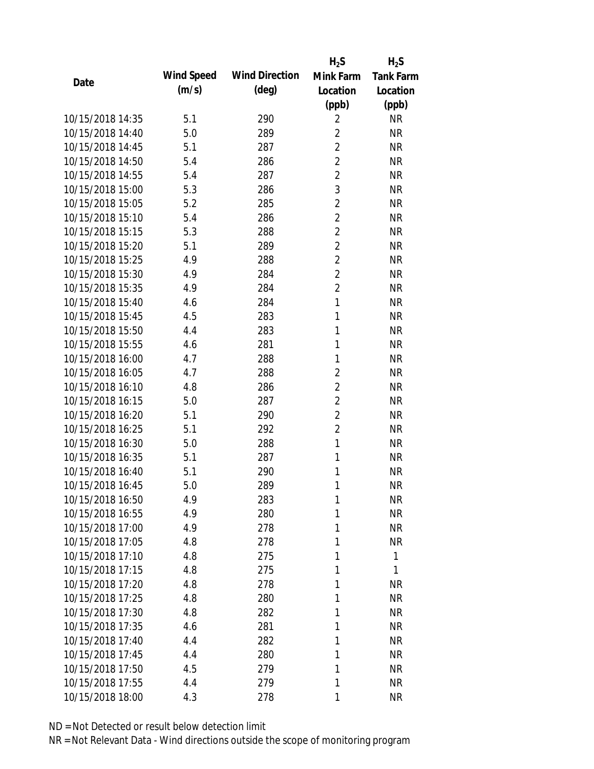|                  |            |                       | $H_2S$         | $H_2S$           |
|------------------|------------|-----------------------|----------------|------------------|
|                  | Wind Speed | <b>Wind Direction</b> | Mink Farm      | <b>Tank Farm</b> |
| Date             | (m/s)      | $(\text{deg})$        | Location       | Location         |
|                  |            |                       | (ppb)          | (ppb)            |
| 10/15/2018 14:35 | 5.1        | 290                   | $\overline{2}$ | <b>NR</b>        |
| 10/15/2018 14:40 | 5.0        | 289                   | $\overline{2}$ | <b>NR</b>        |
| 10/15/2018 14:45 | 5.1        | 287                   | $\overline{2}$ | <b>NR</b>        |
| 10/15/2018 14:50 | 5.4        | 286                   | $\overline{2}$ | <b>NR</b>        |
| 10/15/2018 14:55 | 5.4        | 287                   | $\overline{2}$ | <b>NR</b>        |
| 10/15/2018 15:00 | 5.3        | 286                   | 3              | <b>NR</b>        |
| 10/15/2018 15:05 | 5.2        | 285                   | $\overline{2}$ | <b>NR</b>        |
| 10/15/2018 15:10 | 5.4        | 286                   | $\overline{2}$ | <b>NR</b>        |
| 10/15/2018 15:15 | 5.3        | 288                   | $\overline{2}$ | <b>NR</b>        |
| 10/15/2018 15:20 | 5.1        | 289                   | $\overline{2}$ | <b>NR</b>        |
| 10/15/2018 15:25 | 4.9        | 288                   | $\overline{2}$ | <b>NR</b>        |
| 10/15/2018 15:30 | 4.9        | 284                   | $\overline{2}$ | <b>NR</b>        |
| 10/15/2018 15:35 | 4.9        | 284                   | $\overline{2}$ | <b>NR</b>        |
| 10/15/2018 15:40 | 4.6        | 284                   | $\mathbf{1}$   | <b>NR</b>        |
| 10/15/2018 15:45 | 4.5        | 283                   | $\mathbf{1}$   | <b>NR</b>        |
| 10/15/2018 15:50 | 4.4        | 283                   | 1              | <b>NR</b>        |
| 10/15/2018 15:55 | 4.6        | 281                   | 1              | <b>NR</b>        |
| 10/15/2018 16:00 | 4.7        | 288                   | 1              | <b>NR</b>        |
| 10/15/2018 16:05 | 4.7        | 288                   | $\overline{2}$ | <b>NR</b>        |
| 10/15/2018 16:10 | 4.8        | 286                   | $\overline{2}$ | <b>NR</b>        |
| 10/15/2018 16:15 | 5.0        | 287                   | $\overline{2}$ | <b>NR</b>        |
| 10/15/2018 16:20 | 5.1        | 290                   | $\overline{2}$ | <b>NR</b>        |
| 10/15/2018 16:25 | 5.1        | 292                   | $\overline{2}$ | <b>NR</b>        |
| 10/15/2018 16:30 | 5.0        | 288                   | $\mathbf{1}$   | <b>NR</b>        |
| 10/15/2018 16:35 | 5.1        | 287                   | 1              | <b>NR</b>        |
| 10/15/2018 16:40 | 5.1        | 290                   | 1              | <b>NR</b>        |
| 10/15/2018 16:45 | 5.0        | 289                   | 1              | <b>NR</b>        |
| 10/15/2018 16:50 | 4.9        | 283                   | 1              | <b>NR</b>        |
| 10/15/2018 16:55 | 4.9        | 280                   | 1              | <b>NR</b>        |
| 10/15/2018 17:00 | 4.9        | 278                   | 1              | <b>NR</b>        |
| 10/15/2018 17:05 | 4.8        | 278                   | 1              | <b>NR</b>        |
| 10/15/2018 17:10 | 4.8        | 275                   | 1              | 1                |
| 10/15/2018 17:15 | 4.8        | 275                   | 1              | 1                |
| 10/15/2018 17:20 | 4.8        | 278                   | 1              | <b>NR</b>        |
| 10/15/2018 17:25 | 4.8        | 280                   | 1              | <b>NR</b>        |
| 10/15/2018 17:30 | 4.8        | 282                   | 1              | <b>NR</b>        |
| 10/15/2018 17:35 | 4.6        | 281                   | 1              | <b>NR</b>        |
| 10/15/2018 17:40 | 4.4        | 282                   | 1              | <b>NR</b>        |
| 10/15/2018 17:45 | 4.4        | 280                   | 1              | <b>NR</b>        |
| 10/15/2018 17:50 | 4.5        | 279                   | 1              | NR               |
| 10/15/2018 17:55 | 4.4        | 279                   | 1              | <b>NR</b>        |
| 10/15/2018 18:00 | 4.3        | 278                   | 1              | <b>NR</b>        |
|                  |            |                       |                |                  |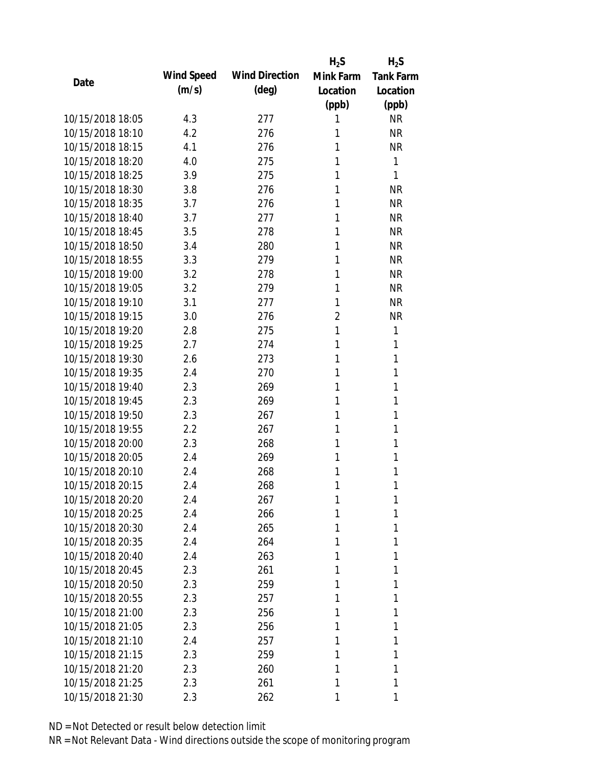|                  |            |                       | $H_2S$         | $H_2S$           |
|------------------|------------|-----------------------|----------------|------------------|
| Date             | Wind Speed | <b>Wind Direction</b> | Mink Farm      | <b>Tank Farm</b> |
|                  | (m/s)      | $(\text{deg})$        | Location       | Location         |
|                  |            |                       | (ppb)          | (ppb)            |
| 10/15/2018 18:05 | 4.3        | 277                   | 1              | <b>NR</b>        |
| 10/15/2018 18:10 | 4.2        | 276                   | 1              | <b>NR</b>        |
| 10/15/2018 18:15 | 4.1        | 276                   | 1              | <b>NR</b>        |
| 10/15/2018 18:20 | 4.0        | 275                   | 1              | 1                |
| 10/15/2018 18:25 | 3.9        | 275                   | 1              | 1                |
| 10/15/2018 18:30 | 3.8        | 276                   | 1              | <b>NR</b>        |
| 10/15/2018 18:35 | 3.7        | 276                   | 1              | <b>NR</b>        |
| 10/15/2018 18:40 | 3.7        | 277                   | 1              | <b>NR</b>        |
| 10/15/2018 18:45 | 3.5        | 278                   | 1              | <b>NR</b>        |
| 10/15/2018 18:50 | 3.4        | 280                   | 1              | <b>NR</b>        |
| 10/15/2018 18:55 | 3.3        | 279                   | 1              | <b>NR</b>        |
| 10/15/2018 19:00 | 3.2        | 278                   | 1              | <b>NR</b>        |
| 10/15/2018 19:05 | 3.2        | 279                   | 1              | <b>NR</b>        |
| 10/15/2018 19:10 | 3.1        | 277                   | 1              | <b>NR</b>        |
| 10/15/2018 19:15 | 3.0        | 276                   | $\overline{2}$ | <b>NR</b>        |
| 10/15/2018 19:20 | 2.8        | 275                   | 1              | 1                |
| 10/15/2018 19:25 | 2.7        | 274                   | 1              | 1                |
| 10/15/2018 19:30 | 2.6        | 273                   | 1              | 1                |
| 10/15/2018 19:35 | 2.4        | 270                   | 1              | 1                |
| 10/15/2018 19:40 | 2.3        | 269                   | 1              | 1                |
| 10/15/2018 19:45 | 2.3        | 269                   | 1              | 1                |
| 10/15/2018 19:50 | 2.3        | 267                   | 1              | 1                |
| 10/15/2018 19:55 | 2.2        | 267                   | 1              | 1                |
| 10/15/2018 20:00 | 2.3        | 268                   | 1              | 1                |
| 10/15/2018 20:05 | 2.4        | 269                   | 1              | 1                |
| 10/15/2018 20:10 | 2.4        | 268                   | 1              | 1                |
| 10/15/2018 20:15 | 2.4        | 268                   | 1              | 1                |
| 10/15/2018 20:20 | 2.4        | 267                   | 1              | 1                |
| 10/15/2018 20:25 | 2.4        | 266                   | 1              | 1                |
| 10/15/2018 20:30 | 2.4        | 265                   | 1              | 1                |
| 10/15/2018 20:35 | 2.4        | 264                   | 1              | 1                |
| 10/15/2018 20:40 | 2.4        | 263                   | 1              | 1                |
| 10/15/2018 20:45 | 2.3        | 261                   | 1              | 1                |
| 10/15/2018 20:50 | 2.3        | 259                   | 1              | 1                |
| 10/15/2018 20:55 | 2.3        | 257                   | 1              | 1                |
| 10/15/2018 21:00 | 2.3        | 256                   | 1              | 1                |
| 10/15/2018 21:05 | 2.3        | 256                   | 1              | 1                |
| 10/15/2018 21:10 |            | 257                   | 1              | 1                |
| 10/15/2018 21:15 | 2.4<br>2.3 |                       | 1              | 1                |
| 10/15/2018 21:20 |            | 259                   |                | 1                |
|                  | 2.3        | 260                   | 1              |                  |
| 10/15/2018 21:25 | 2.3        | 261                   | 1              | 1                |
| 10/15/2018 21:30 | 2.3        | 262                   | 1              | 1                |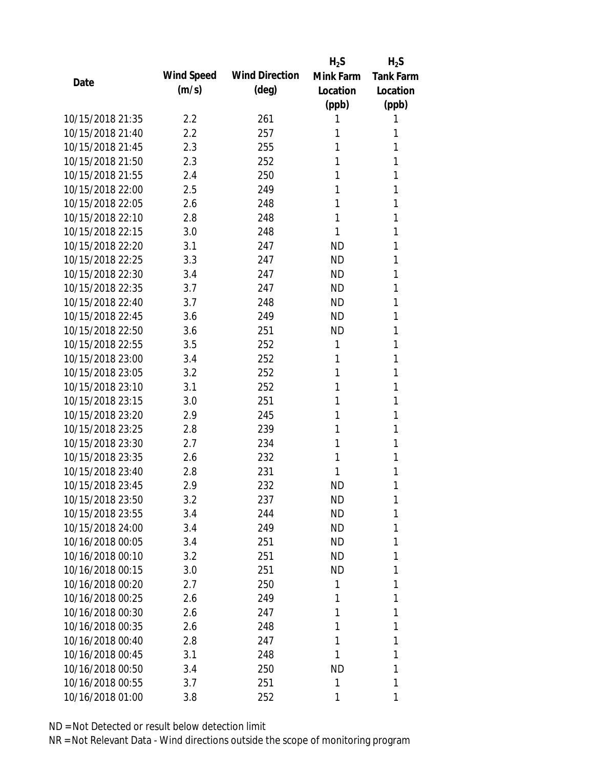|                  |            |                       | $H_2S$    | $H_2S$           |
|------------------|------------|-----------------------|-----------|------------------|
|                  | Wind Speed | <b>Wind Direction</b> | Mink Farm | <b>Tank Farm</b> |
| Date             | (m/s)      | $(\text{deg})$        | Location  | Location         |
|                  |            |                       | (ppb)     | (ppb)            |
| 10/15/2018 21:35 | 2.2        | 261                   | 1         | 1                |
| 10/15/2018 21:40 | 2.2        | 257                   | 1         | 1                |
| 10/15/2018 21:45 | 2.3        | 255                   | 1         | 1                |
| 10/15/2018 21:50 | 2.3        | 252                   | 1         | 1                |
| 10/15/2018 21:55 | 2.4        | 250                   | 1         | 1                |
| 10/15/2018 22:00 | 2.5        | 249                   | 1         | 1                |
| 10/15/2018 22:05 | 2.6        | 248                   | 1         | 1                |
| 10/15/2018 22:10 | 2.8        | 248                   | 1         | 1                |
| 10/15/2018 22:15 | 3.0        | 248                   | 1         | 1                |
| 10/15/2018 22:20 | 3.1        | 247                   | <b>ND</b> | 1                |
| 10/15/2018 22:25 | 3.3        | 247                   | <b>ND</b> | 1                |
| 10/15/2018 22:30 | 3.4        | 247                   | <b>ND</b> | 1                |
| 10/15/2018 22:35 | 3.7        | 247                   | <b>ND</b> | 1                |
| 10/15/2018 22:40 | 3.7        | 248                   | <b>ND</b> | 1                |
| 10/15/2018 22:45 | 3.6        | 249                   | <b>ND</b> | 1                |
| 10/15/2018 22:50 | 3.6        | 251                   | <b>ND</b> | 1                |
| 10/15/2018 22:55 | 3.5        | 252                   | 1         | 1                |
| 10/15/2018 23:00 | 3.4        | 252                   | 1         | 1                |
| 10/15/2018 23:05 | 3.2        | 252                   | 1         | 1                |
| 10/15/2018 23:10 | 3.1        | 252                   | 1         | 1                |
| 10/15/2018 23:15 | 3.0        | 251                   | 1         | 1                |
| 10/15/2018 23:20 | 2.9        | 245                   | 1         | 1                |
| 10/15/2018 23:25 | 2.8        | 239                   | 1         | 1                |
| 10/15/2018 23:30 | 2.7        | 234                   | 1         | 1                |
| 10/15/2018 23:35 | 2.6        | 232                   | 1         | 1                |
| 10/15/2018 23:40 | 2.8        | 231                   | 1         | 1                |
| 10/15/2018 23:45 | 2.9        | 232                   | <b>ND</b> | 1                |
| 10/15/2018 23:50 | 3.2        | 237                   | <b>ND</b> | 1                |
| 10/15/2018 23:55 | 3.4        | 244                   | <b>ND</b> | 1                |
| 10/15/2018 24:00 | 3.4        | 249                   | ND        | 1                |
| 10/16/2018 00:05 | 3.4        | 251                   | ND        | 1                |
| 10/16/2018 00:10 | 3.2        | 251                   | ND        | 1                |
| 10/16/2018 00:15 | 3.0        | 251                   | ND        | 1                |
| 10/16/2018 00:20 | 2.7        | 250                   | 1         | 1                |
| 10/16/2018 00:25 | 2.6        | 249                   | 1         | 1                |
| 10/16/2018 00:30 | 2.6        | 247                   | 1         | 1                |
| 10/16/2018 00:35 | 2.6        | 248                   | 1         | 1                |
| 10/16/2018 00:40 | 2.8        | 247                   | 1         | 1                |
| 10/16/2018 00:45 | 3.1        | 248                   | 1         | 1                |
| 10/16/2018 00:50 | 3.4        | 250                   | ND        | 1                |
| 10/16/2018 00:55 | 3.7        | 251                   | 1         | 1                |
| 10/16/2018 01:00 | 3.8        | 252                   | 1         | 1                |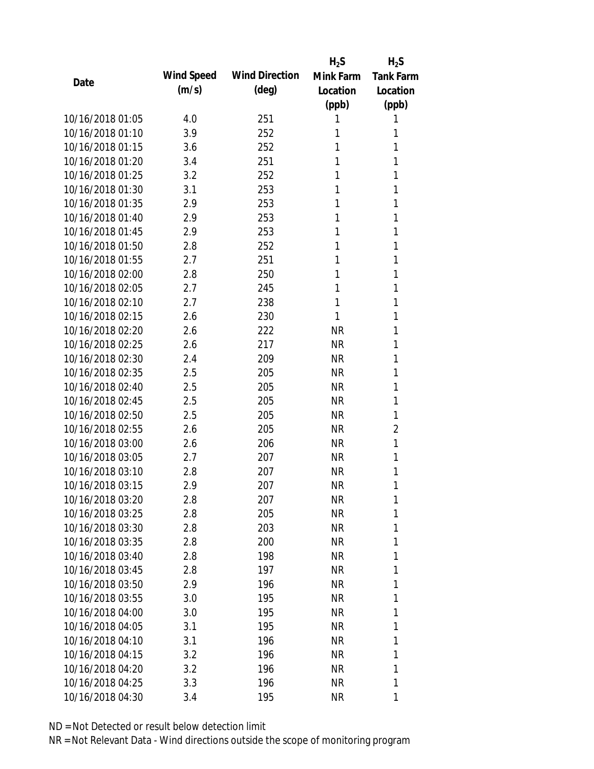|                  |            |                       | $H_2S$    | $H_2S$           |
|------------------|------------|-----------------------|-----------|------------------|
| Date             | Wind Speed | <b>Wind Direction</b> | Mink Farm | <b>Tank Farm</b> |
|                  | (m/s)      | $(\text{deg})$        | Location  | Location         |
|                  |            |                       | (ppb)     | (ppb)            |
| 10/16/2018 01:05 | 4.0        | 251                   | 1         | 1                |
| 10/16/2018 01:10 | 3.9        | 252                   | 1         | 1                |
| 10/16/2018 01:15 | 3.6        | 252                   | 1         | 1                |
| 10/16/2018 01:20 | 3.4        | 251                   | 1         | 1                |
| 10/16/2018 01:25 | 3.2        | 252                   | 1         | 1                |
| 10/16/2018 01:30 | 3.1        | 253                   | 1         | 1                |
| 10/16/2018 01:35 | 2.9        | 253                   | 1         | 1                |
| 10/16/2018 01:40 | 2.9        | 253                   | 1         | 1                |
| 10/16/2018 01:45 | 2.9        | 253                   | 1         | 1                |
| 10/16/2018 01:50 | 2.8        | 252                   | 1         | 1                |
| 10/16/2018 01:55 | 2.7        | 251                   | 1         | 1                |
| 10/16/2018 02:00 | 2.8        | 250                   | 1         | 1                |
| 10/16/2018 02:05 | 2.7        | 245                   | 1         | 1                |
| 10/16/2018 02:10 | 2.7        | 238                   | 1         | 1                |
| 10/16/2018 02:15 | 2.6        | 230                   | 1         | 1                |
| 10/16/2018 02:20 | 2.6        | 222                   | <b>NR</b> | 1                |
| 10/16/2018 02:25 | 2.6        | 217                   | <b>NR</b> | 1                |
| 10/16/2018 02:30 | 2.4        | 209                   | <b>NR</b> | 1                |
| 10/16/2018 02:35 | 2.5        | 205                   | <b>NR</b> | 1                |
| 10/16/2018 02:40 | 2.5        | 205                   | <b>NR</b> | 1                |
| 10/16/2018 02:45 | 2.5        | 205                   | <b>NR</b> | 1                |
| 10/16/2018 02:50 | 2.5        | 205                   | <b>NR</b> | 1                |
| 10/16/2018 02:55 | 2.6        | 205                   | <b>NR</b> | 2                |
| 10/16/2018 03:00 | 2.6        | 206                   | <b>NR</b> | 1                |
| 10/16/2018 03:05 | 2.7        | 207                   | <b>NR</b> | 1                |
| 10/16/2018 03:10 | 2.8        | 207                   | <b>NR</b> | 1                |
| 10/16/2018 03:15 | 2.9        | 207                   | <b>NR</b> | 1                |
| 10/16/2018 03:20 | 2.8        | 207                   | <b>NR</b> | 1                |
| 10/16/2018 03:25 | 2.8        | 205                   | <b>NR</b> | 1                |
| 10/16/2018 03:30 | 2.8        | 203                   | <b>NR</b> | 1                |
| 10/16/2018 03:35 | 2.8        | 200                   | <b>NR</b> | 1                |
| 10/16/2018 03:40 | 2.8        | 198                   | <b>NR</b> | 1                |
| 10/16/2018 03:45 | 2.8        | 197                   | <b>NR</b> | 1                |
| 10/16/2018 03:50 | 2.9        | 196                   | <b>NR</b> | 1                |
| 10/16/2018 03:55 | 3.0        | 195                   | <b>NR</b> | 1                |
| 10/16/2018 04:00 | 3.0        | 195                   | <b>NR</b> | 1                |
| 10/16/2018 04:05 | 3.1        | 195                   | <b>NR</b> | 1                |
| 10/16/2018 04:10 | 3.1        | 196                   | <b>NR</b> | 1                |
| 10/16/2018 04:15 |            |                       | <b>NR</b> | 1                |
| 10/16/2018 04:20 | 3.2        | 196                   |           | 1                |
|                  | 3.2        | 196                   | <b>NR</b> |                  |
| 10/16/2018 04:25 | 3.3        | 196                   | <b>NR</b> | 1                |
| 10/16/2018 04:30 | 3.4        | 195                   | <b>NR</b> | 1                |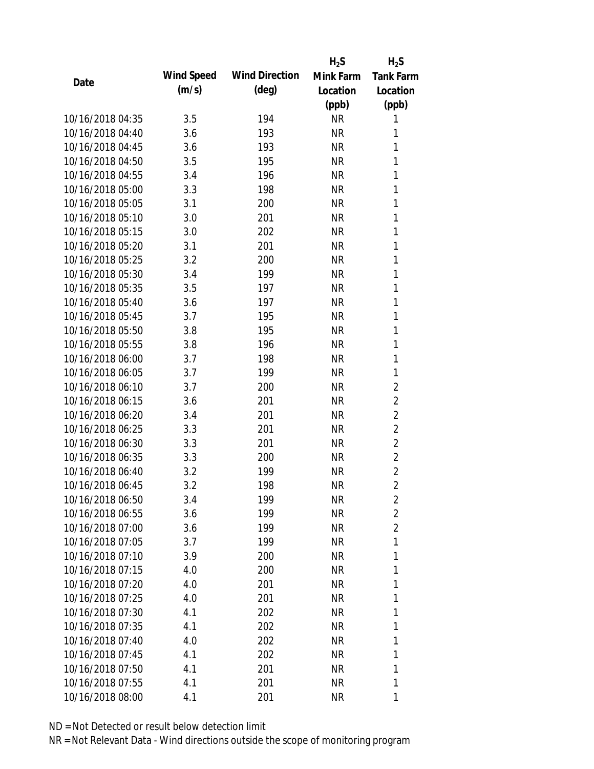|                  |            |                       | $H_2S$    | $H_2S$           |
|------------------|------------|-----------------------|-----------|------------------|
| Date             | Wind Speed | <b>Wind Direction</b> | Mink Farm | <b>Tank Farm</b> |
|                  | (m/s)      | $(\text{deg})$        | Location  | Location         |
|                  |            |                       | (ppb)     | (ppb)            |
| 10/16/2018 04:35 | 3.5        | 194                   | <b>NR</b> | 1                |
| 10/16/2018 04:40 | 3.6        | 193                   | <b>NR</b> | 1                |
| 10/16/2018 04:45 | 3.6        | 193                   | <b>NR</b> | 1                |
| 10/16/2018 04:50 | 3.5        | 195                   | <b>NR</b> | 1                |
| 10/16/2018 04:55 | 3.4        | 196                   | <b>NR</b> | 1                |
| 10/16/2018 05:00 | 3.3        | 198                   | <b>NR</b> | 1                |
| 10/16/2018 05:05 | 3.1        | 200                   | <b>NR</b> | 1                |
| 10/16/2018 05:10 | 3.0        | 201                   | <b>NR</b> | $\mathbf{1}$     |
| 10/16/2018 05:15 | 3.0        | 202                   | <b>NR</b> | 1                |
| 10/16/2018 05:20 | 3.1        | 201                   | <b>NR</b> | 1                |
| 10/16/2018 05:25 | 3.2        | 200                   | <b>NR</b> | 1                |
| 10/16/2018 05:30 | 3.4        | 199                   | <b>NR</b> | 1                |
| 10/16/2018 05:35 | 3.5        | 197                   | <b>NR</b> | $\mathbf{1}$     |
| 10/16/2018 05:40 | 3.6        | 197                   | <b>NR</b> | 1                |
| 10/16/2018 05:45 | 3.7        | 195                   | <b>NR</b> | 1                |
| 10/16/2018 05:50 | 3.8        | 195                   | <b>NR</b> | 1                |
| 10/16/2018 05:55 | 3.8        | 196                   | <b>NR</b> | 1                |
| 10/16/2018 06:00 | 3.7        | 198                   | <b>NR</b> | $\mathbf{1}$     |
| 10/16/2018 06:05 | 3.7        | 199                   | <b>NR</b> | 1                |
| 10/16/2018 06:10 | 3.7        | 200                   | <b>NR</b> | $\overline{2}$   |
| 10/16/2018 06:15 | 3.6        | 201                   | <b>NR</b> | $\overline{2}$   |
| 10/16/2018 06:20 | 3.4        | 201                   | <b>NR</b> | $\overline{2}$   |
| 10/16/2018 06:25 | 3.3        | 201                   | <b>NR</b> | $\overline{2}$   |
| 10/16/2018 06:30 | 3.3        | 201                   | <b>NR</b> | $\overline{2}$   |
| 10/16/2018 06:35 | 3.3        | 200                   | <b>NR</b> | $\overline{2}$   |
| 10/16/2018 06:40 | 3.2        | 199                   | <b>NR</b> | $\overline{2}$   |
| 10/16/2018 06:45 | 3.2        | 198                   | <b>NR</b> | $\overline{2}$   |
| 10/16/2018 06:50 | 3.4        | 199                   | <b>NR</b> | 2                |
| 10/16/2018 06:55 | 3.6        | 199                   | <b>NR</b> | $\overline{2}$   |
| 10/16/2018 07:00 | 3.6        | 199                   | <b>NR</b> | $\overline{2}$   |
| 10/16/2018 07:05 | 3.7        | 199                   | <b>NR</b> | 1                |
| 10/16/2018 07:10 | 3.9        | 200                   | <b>NR</b> | 1                |
| 10/16/2018 07:15 | 4.0        | 200                   | <b>NR</b> | 1                |
| 10/16/2018 07:20 | 4.0        | 201                   | <b>NR</b> | 1                |
| 10/16/2018 07:25 | 4.0        | 201                   | <b>NR</b> | 1                |
| 10/16/2018 07:30 | 4.1        | 202                   | <b>NR</b> | 1                |
| 10/16/2018 07:35 | 4.1        | 202                   | <b>NR</b> | 1                |
| 10/16/2018 07:40 | 4.0        | 202                   | <b>NR</b> | 1                |
| 10/16/2018 07:45 | 4.1        | 202                   | <b>NR</b> | 1                |
| 10/16/2018 07:50 | 4.1        | 201                   | <b>NR</b> | 1                |
| 10/16/2018 07:55 | 4.1        | 201                   | <b>NR</b> | 1                |
| 10/16/2018 08:00 | 4.1        | 201                   | <b>NR</b> | 1                |
|                  |            |                       |           |                  |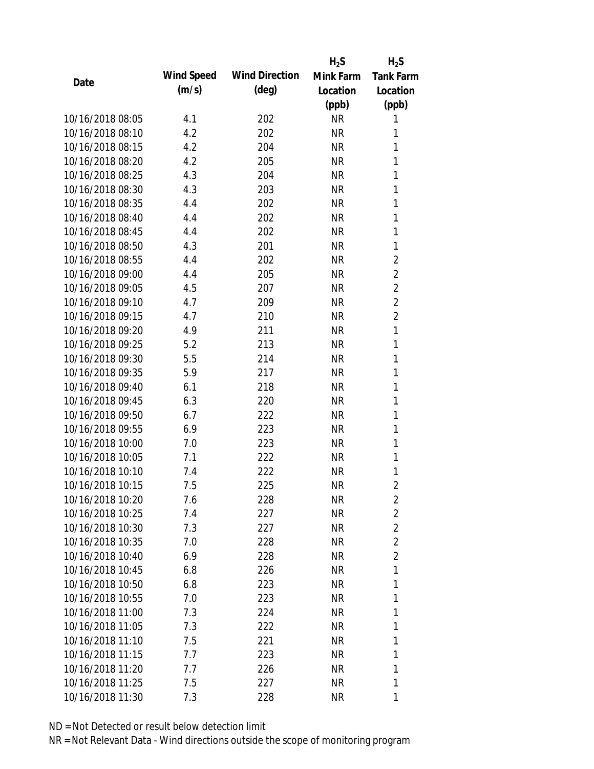|                  |            |                       | $H_2S$    | $H_2S$           |
|------------------|------------|-----------------------|-----------|------------------|
| Date             | Wind Speed | <b>Wind Direction</b> | Mink Farm | <b>Tank Farm</b> |
|                  | (m/s)      | $(\text{deg})$        | Location  | Location         |
|                  |            |                       | (ppb)     | (ppb)            |
| 10/16/2018 08:05 | 4.1        | 202                   | <b>NR</b> | 1                |
| 10/16/2018 08:10 | 4.2        | 202                   | <b>NR</b> | 1                |
| 10/16/2018 08:15 | 4.2        | 204                   | <b>NR</b> | 1                |
| 10/16/2018 08:20 | 4.2        | 205                   | <b>NR</b> | 1                |
| 10/16/2018 08:25 | 4.3        | 204                   | <b>NR</b> | 1                |
| 10/16/2018 08:30 | 4.3        | 203                   | <b>NR</b> | 1                |
| 10/16/2018 08:35 | 4.4        | 202                   | <b>NR</b> | 1                |
| 10/16/2018 08:40 | 4.4        | 202                   | <b>NR</b> | $\mathbf{1}$     |
| 10/16/2018 08:45 | 4.4        | 202                   | <b>NR</b> | 1                |
| 10/16/2018 08:50 | 4.3        | 201                   | <b>NR</b> | 1                |
| 10/16/2018 08:55 | 4.4        | 202                   | <b>NR</b> | 2                |
| 10/16/2018 09:00 | 4.4        | 205                   | <b>NR</b> | $\overline{2}$   |
| 10/16/2018 09:05 | 4.5        | 207                   | <b>NR</b> | $\overline{2}$   |
| 10/16/2018 09:10 | 4.7        | 209                   | <b>NR</b> | $\overline{2}$   |
| 10/16/2018 09:15 | 4.7        | 210                   | <b>NR</b> | $\overline{2}$   |
| 10/16/2018 09:20 | 4.9        | 211                   | <b>NR</b> | $\mathbf{1}$     |
| 10/16/2018 09:25 | 5.2        | 213                   | <b>NR</b> | 1                |
| 10/16/2018 09:30 | 5.5        | 214                   | <b>NR</b> | $\mathbf{1}$     |
| 10/16/2018 09:35 | 5.9        | 217                   | <b>NR</b> | 1                |
| 10/16/2018 09:40 | 6.1        | 218                   | <b>NR</b> | 1                |
| 10/16/2018 09:45 | 6.3        | 220                   | <b>NR</b> | 1                |
| 10/16/2018 09:50 | 6.7        | 222                   | <b>NR</b> | 1                |
| 10/16/2018 09:55 | 6.9        | 223                   | <b>NR</b> | 1                |
| 10/16/2018 10:00 | 7.0        | 223                   | <b>NR</b> | 1                |
| 10/16/2018 10:05 | 7.1        | 222                   | <b>NR</b> | 1                |
| 10/16/2018 10:10 | 7.4        | 222                   | <b>NR</b> | 1                |
| 10/16/2018 10:15 | 7.5        | 225                   | <b>NR</b> | $\overline{2}$   |
| 10/16/2018 10:20 | 7.6        | 228                   | <b>NR</b> | 2                |
| 10/16/2018 10:25 | 7.4        | 227                   | <b>NR</b> | $\overline{2}$   |
| 10/16/2018 10:30 | 7.3        | 227                   | <b>NR</b> | $\overline{2}$   |
| 10/16/2018 10:35 | 7.0        | 228                   | <b>NR</b> | $\overline{2}$   |
| 10/16/2018 10:40 | 6.9        | 228                   | NR        | $\overline{2}$   |
| 10/16/2018 10:45 | 6.8        | 226                   | <b>NR</b> | 1                |
| 10/16/2018 10:50 | 6.8        | 223                   | <b>NR</b> | 1                |
| 10/16/2018 10:55 | 7.0        | 223                   | <b>NR</b> | 1                |
| 10/16/2018 11:00 | 7.3        | 224                   | <b>NR</b> | 1                |
| 10/16/2018 11:05 | 7.3        | 222                   | <b>NR</b> | 1                |
| 10/16/2018 11:10 | 7.5        | 221                   | NR        | 1                |
| 10/16/2018 11:15 | 7.7        | 223                   | <b>NR</b> | 1                |
| 10/16/2018 11:20 | 7.7        | 226                   | <b>NR</b> | 1                |
| 10/16/2018 11:25 | 7.5        | 227                   | <b>NR</b> | 1                |
| 10/16/2018 11:30 | 7.3        | 228                   | <b>NR</b> | 1                |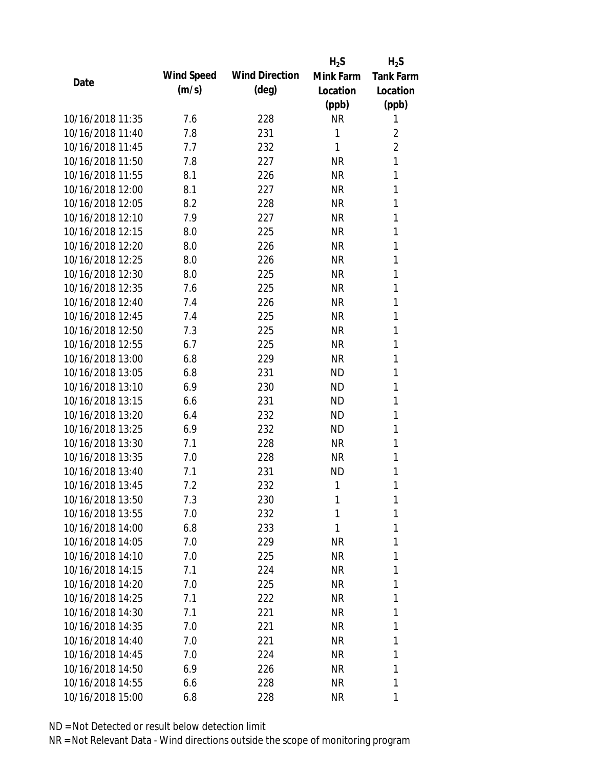|                  |            |                       | $H_2S$    | $H_2S$           |
|------------------|------------|-----------------------|-----------|------------------|
|                  | Wind Speed | <b>Wind Direction</b> | Mink Farm | <b>Tank Farm</b> |
| Date             | (m/s)      | $(\text{deg})$        | Location  | Location         |
|                  |            |                       | (ppb)     | (ppb)            |
| 10/16/2018 11:35 | 7.6        | 228                   | <b>NR</b> | 1                |
| 10/16/2018 11:40 | 7.8        | 231                   | 1         | 2                |
| 10/16/2018 11:45 | 7.7        | 232                   | 1         | $\overline{2}$   |
| 10/16/2018 11:50 | 7.8        | 227                   | <b>NR</b> | 1                |
| 10/16/2018 11:55 | 8.1        | 226                   | <b>NR</b> | 1                |
| 10/16/2018 12:00 | 8.1        | 227                   | <b>NR</b> | 1                |
| 10/16/2018 12:05 | 8.2        | 228                   | <b>NR</b> | 1                |
| 10/16/2018 12:10 | 7.9        | 227                   | <b>NR</b> | 1                |
| 10/16/2018 12:15 | 8.0        | 225                   | <b>NR</b> | 1                |
| 10/16/2018 12:20 | 8.0        | 226                   | <b>NR</b> | 1                |
| 10/16/2018 12:25 | 8.0        | 226                   | <b>NR</b> | 1                |
| 10/16/2018 12:30 | 8.0        | 225                   | <b>NR</b> | 1                |
| 10/16/2018 12:35 | 7.6        | 225                   | <b>NR</b> | 1                |
| 10/16/2018 12:40 | 7.4        | 226                   | <b>NR</b> | 1                |
| 10/16/2018 12:45 | 7.4        | 225                   | <b>NR</b> | 1                |
| 10/16/2018 12:50 | 7.3        | 225                   | <b>NR</b> | 1                |
| 10/16/2018 12:55 | 6.7        | 225                   | <b>NR</b> | 1                |
| 10/16/2018 13:00 | 6.8        | 229                   | <b>NR</b> | 1                |
| 10/16/2018 13:05 | 6.8        | 231                   | <b>ND</b> | 1                |
| 10/16/2018 13:10 | 6.9        | 230                   | <b>ND</b> | 1                |
| 10/16/2018 13:15 | 6.6        | 231                   | <b>ND</b> | 1                |
| 10/16/2018 13:20 | 6.4        | 232                   | <b>ND</b> | 1                |
| 10/16/2018 13:25 | 6.9        | 232                   | <b>ND</b> | 1                |
| 10/16/2018 13:30 | 7.1        | 228                   | <b>NR</b> | 1                |
| 10/16/2018 13:35 | 7.0        | 228                   | <b>NR</b> | 1                |
| 10/16/2018 13:40 | 7.1        | 231                   | <b>ND</b> | 1                |
| 10/16/2018 13:45 | 7.2        | 232                   | 1         | 1                |
| 10/16/2018 13:50 | 7.3        | 230                   | 1         | 1                |
| 10/16/2018 13:55 | 7.0        | 232                   | 1         | 1                |
| 10/16/2018 14:00 | 6.8        | 233                   | 1         | 1                |
| 10/16/2018 14:05 | 7.0        | 229                   | <b>NR</b> | 1                |
| 10/16/2018 14:10 | 7.0        | 225                   | <b>NR</b> | 1                |
| 10/16/2018 14:15 | 7.1        | 224                   | <b>NR</b> | 1                |
| 10/16/2018 14:20 | 7.0        | 225                   | <b>NR</b> | 1                |
| 10/16/2018 14:25 | 7.1        | 222                   | <b>NR</b> | 1                |
| 10/16/2018 14:30 | 7.1        | 221                   | <b>NR</b> | 1                |
| 10/16/2018 14:35 | 7.0        | 221                   | <b>NR</b> | 1                |
| 10/16/2018 14:40 | 7.0        | 221                   | <b>NR</b> | 1                |
| 10/16/2018 14:45 | 7.0        | 224                   | <b>NR</b> | 1                |
| 10/16/2018 14:50 | 6.9        | 226                   | <b>NR</b> | 1                |
| 10/16/2018 14:55 | 6.6        | 228                   | <b>NR</b> | 1                |
| 10/16/2018 15:00 | 6.8        | 228                   | NR        | 1                |
|                  |            |                       |           |                  |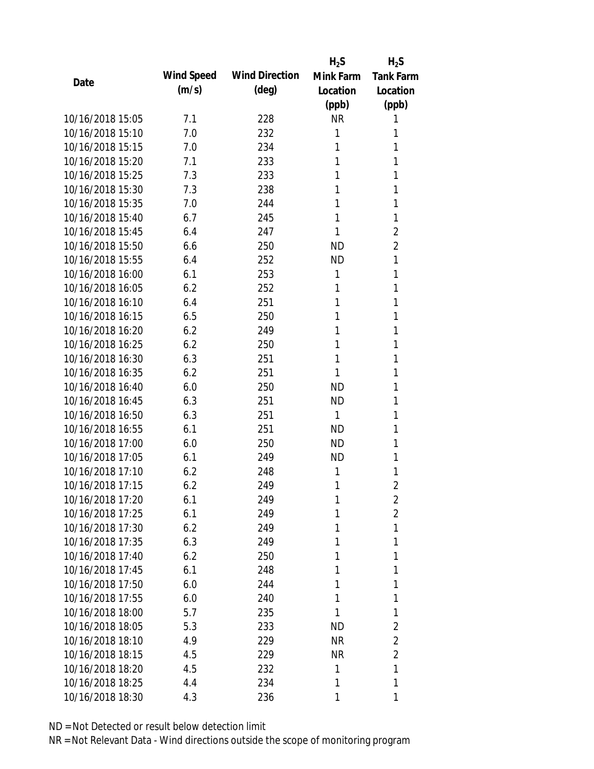|                  |            |                       | $H_2S$    | $H_2S$           |
|------------------|------------|-----------------------|-----------|------------------|
|                  | Wind Speed | <b>Wind Direction</b> | Mink Farm | <b>Tank Farm</b> |
| Date             | (m/s)      | $(\text{deg})$        | Location  | Location         |
|                  |            |                       | (ppb)     | (ppb)            |
| 10/16/2018 15:05 | 7.1        | 228                   | <b>NR</b> | 1                |
| 10/16/2018 15:10 | 7.0        | 232                   | 1         | 1                |
| 10/16/2018 15:15 | 7.0        | 234                   | 1         | 1                |
| 10/16/2018 15:20 | 7.1        | 233                   | 1         | 1                |
| 10/16/2018 15:25 | 7.3        | 233                   | 1         | 1                |
| 10/16/2018 15:30 | 7.3        | 238                   | 1         | 1                |
| 10/16/2018 15:35 | 7.0        | 244                   | 1         | 1                |
| 10/16/2018 15:40 | 6.7        | 245                   | 1         | 1                |
| 10/16/2018 15:45 | 6.4        | 247                   | 1         | $\overline{2}$   |
| 10/16/2018 15:50 | 6.6        | 250                   | <b>ND</b> | $\overline{2}$   |
| 10/16/2018 15:55 | 6.4        | 252                   | <b>ND</b> | 1                |
| 10/16/2018 16:00 | 6.1        | 253                   | 1         | 1                |
| 10/16/2018 16:05 | 6.2        | 252                   | 1         | 1                |
| 10/16/2018 16:10 | 6.4        | 251                   | 1         | 1                |
| 10/16/2018 16:15 | 6.5        | 250                   | 1         | 1                |
| 10/16/2018 16:20 | 6.2        | 249                   | 1         | 1                |
| 10/16/2018 16:25 | 6.2        | 250                   | 1         | 1                |
| 10/16/2018 16:30 | 6.3        | 251                   | 1         | 1                |
| 10/16/2018 16:35 | 6.2        | 251                   | 1         | 1                |
| 10/16/2018 16:40 | 6.0        | 250                   | <b>ND</b> | 1                |
| 10/16/2018 16:45 | 6.3        | 251                   | <b>ND</b> | 1                |
| 10/16/2018 16:50 | 6.3        | 251                   | 1         | 1                |
| 10/16/2018 16:55 | 6.1        | 251                   | <b>ND</b> | 1                |
| 10/16/2018 17:00 | 6.0        | 250                   | <b>ND</b> | 1                |
| 10/16/2018 17:05 | 6.1        | 249                   | <b>ND</b> | 1                |
| 10/16/2018 17:10 | 6.2        | 248                   | 1         | 1                |
| 10/16/2018 17:15 | 6.2        | 249                   | 1         | 2                |
| 10/16/2018 17:20 | 6.1        | 249                   | 1         | 2                |
| 10/16/2018 17:25 | 6.1        | 249                   | 1         | $\overline{2}$   |
| 10/16/2018 17:30 | 6.2        | 249                   | 1         | 1                |
| 10/16/2018 17:35 | 6.3        | 249                   | 1         | 1                |
| 10/16/2018 17:40 | 6.2        | 250                   | 1         | 1                |
| 10/16/2018 17:45 | 6.1        | 248                   | 1         | 1                |
| 10/16/2018 17:50 | 6.0        | 244                   | 1         | 1                |
| 10/16/2018 17:55 | 6.0        | 240                   | 1         | 1                |
| 10/16/2018 18:00 | 5.7        | 235                   | 1         | 1                |
| 10/16/2018 18:05 | 5.3        | 233                   | ND        | 2                |
| 10/16/2018 18:10 | 4.9        | 229                   | <b>NR</b> | 2                |
| 10/16/2018 18:15 | 4.5        | 229                   | <b>NR</b> | $\overline{2}$   |
| 10/16/2018 18:20 | 4.5        | 232                   | 1         | 1                |
| 10/16/2018 18:25 | 4.4        | 234                   | 1         | 1                |
| 10/16/2018 18:30 | 4.3        | 236                   | 1         | 1                |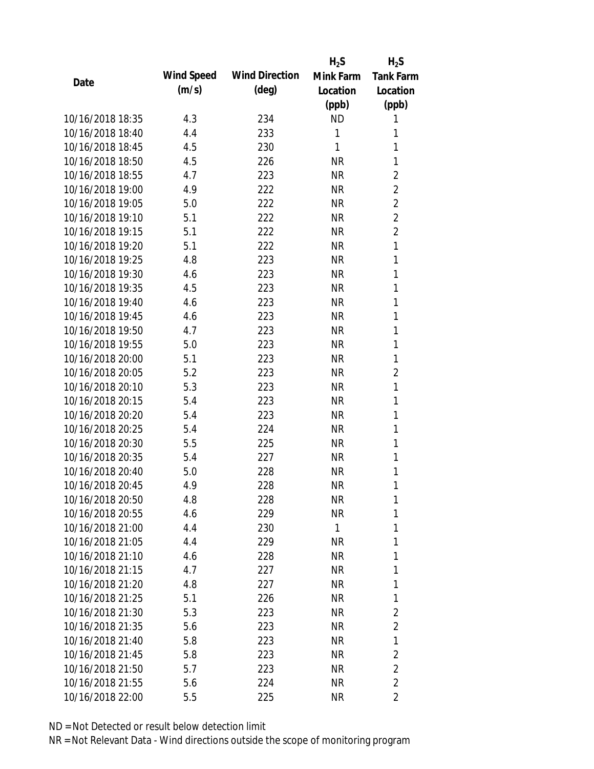|                  |            |                       | $H_2S$       | $H_2S$           |
|------------------|------------|-----------------------|--------------|------------------|
| Date             | Wind Speed | <b>Wind Direction</b> | Mink Farm    | <b>Tank Farm</b> |
|                  | (m/s)      | $(\text{deg})$        | Location     | Location         |
|                  |            |                       | (ppb)        | (ppb)            |
| 10/16/2018 18:35 | 4.3        | 234                   | <b>ND</b>    | 1                |
| 10/16/2018 18:40 | 4.4        | 233                   | 1            | 1                |
| 10/16/2018 18:45 | 4.5        | 230                   | 1            | 1                |
| 10/16/2018 18:50 | 4.5        | 226                   | <b>NR</b>    | 1                |
| 10/16/2018 18:55 | 4.7        | 223                   | <b>NR</b>    | $\overline{2}$   |
| 10/16/2018 19:00 | 4.9        | 222                   | <b>NR</b>    | $\overline{2}$   |
| 10/16/2018 19:05 | 5.0        | 222                   | <b>NR</b>    | $\overline{2}$   |
| 10/16/2018 19:10 | 5.1        | 222                   | <b>NR</b>    | $\overline{2}$   |
| 10/16/2018 19:15 | 5.1        | 222                   | <b>NR</b>    | $\overline{2}$   |
| 10/16/2018 19:20 | 5.1        | 222                   | <b>NR</b>    | 1                |
| 10/16/2018 19:25 | 4.8        | 223                   | <b>NR</b>    | 1                |
| 10/16/2018 19:30 | 4.6        | 223                   | <b>NR</b>    | 1                |
| 10/16/2018 19:35 | 4.5        | 223                   | <b>NR</b>    | 1                |
| 10/16/2018 19:40 | 4.6        | 223                   | <b>NR</b>    | 1                |
| 10/16/2018 19:45 | 4.6        | 223                   | <b>NR</b>    | 1                |
| 10/16/2018 19:50 | 4.7        | 223                   | <b>NR</b>    | 1                |
| 10/16/2018 19:55 | 5.0        | 223                   | <b>NR</b>    | 1                |
| 10/16/2018 20:00 | 5.1        | 223                   | <b>NR</b>    | 1                |
| 10/16/2018 20:05 | 5.2        | 223                   | <b>NR</b>    | $\overline{2}$   |
| 10/16/2018 20:10 | 5.3        | 223                   | <b>NR</b>    | 1                |
| 10/16/2018 20:15 | 5.4        | 223                   | <b>NR</b>    | 1                |
| 10/16/2018 20:20 | 5.4        | 223                   | <b>NR</b>    | 1                |
| 10/16/2018 20:25 | 5.4        | 224                   | <b>NR</b>    | 1                |
| 10/16/2018 20:30 | 5.5        | 225                   | <b>NR</b>    | 1                |
| 10/16/2018 20:35 | 5.4        | 227                   | <b>NR</b>    | 1                |
| 10/16/2018 20:40 | 5.0        | 228                   | <b>NR</b>    | 1                |
| 10/16/2018 20:45 | 4.9        | 228                   | <b>NR</b>    | 1                |
| 10/16/2018 20:50 | 4.8        | 228                   | <b>NR</b>    | 1                |
| 10/16/2018 20:55 | 4.6        | 229                   | <b>NR</b>    | 1                |
| 10/16/2018 21:00 | 4.4        | 230                   | $\mathbf{1}$ | 1                |
| 10/16/2018 21:05 | 4.4        | 229                   | <b>NR</b>    | 1                |
| 10/16/2018 21:10 | 4.6        | 228                   | <b>NR</b>    | 1                |
| 10/16/2018 21:15 | 4.7        | 227                   | <b>NR</b>    | 1                |
| 10/16/2018 21:20 | 4.8        | 227                   | <b>NR</b>    | 1                |
| 10/16/2018 21:25 | 5.1        | 226                   | <b>NR</b>    | 1                |
| 10/16/2018 21:30 | 5.3        | 223                   | <b>NR</b>    | 2                |
| 10/16/2018 21:35 | 5.6        | 223                   | <b>NR</b>    | $\overline{2}$   |
| 10/16/2018 21:40 | 5.8        | 223                   | <b>NR</b>    | 1                |
| 10/16/2018 21:45 | 5.8        | 223                   | <b>NR</b>    | $\overline{2}$   |
| 10/16/2018 21:50 | 5.7        | 223                   | <b>NR</b>    | $\overline{2}$   |
| 10/16/2018 21:55 | 5.6        | 224                   | <b>NR</b>    | $\overline{2}$   |
| 10/16/2018 22:00 | 5.5        | 225                   | <b>NR</b>    | 2                |
|                  |            |                       |              |                  |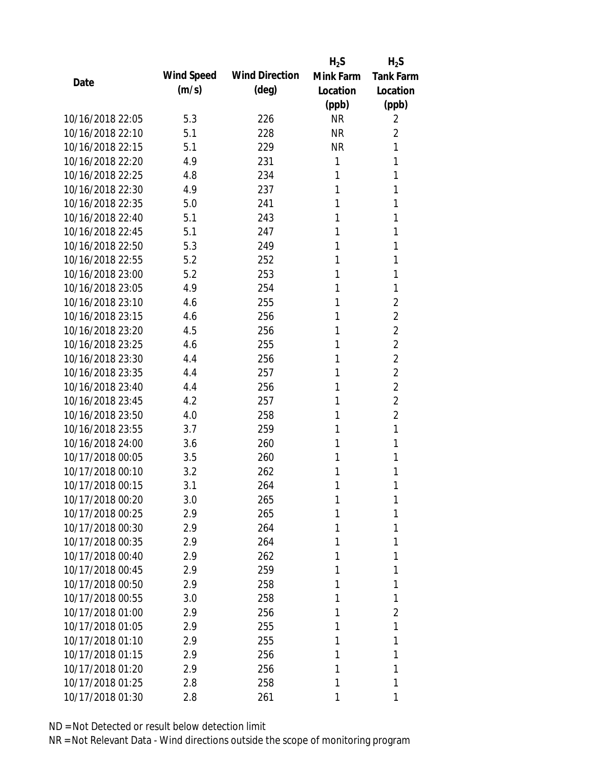|                  |            |                       | $H_2S$    | $H_2S$           |
|------------------|------------|-----------------------|-----------|------------------|
|                  | Wind Speed | <b>Wind Direction</b> | Mink Farm | <b>Tank Farm</b> |
| Date             | (m/s)      | $(\text{deg})$        | Location  | Location         |
|                  |            |                       | (ppb)     | (ppb)            |
| 10/16/2018 22:05 | 5.3        | 226                   | <b>NR</b> | 2                |
| 10/16/2018 22:10 | 5.1        | 228                   | <b>NR</b> | $\overline{2}$   |
| 10/16/2018 22:15 | 5.1        | 229                   | <b>NR</b> | 1                |
| 10/16/2018 22:20 | 4.9        | 231                   | 1         | 1                |
| 10/16/2018 22:25 | 4.8        | 234                   | 1         | 1                |
| 10/16/2018 22:30 | 4.9        | 237                   | 1         | 1                |
| 10/16/2018 22:35 | 5.0        | 241                   | 1         | 1                |
| 10/16/2018 22:40 | 5.1        | 243                   | 1         | 1                |
| 10/16/2018 22:45 | 5.1        | 247                   | 1         | 1                |
| 10/16/2018 22:50 | 5.3        | 249                   | 1         | 1                |
| 10/16/2018 22:55 | 5.2        | 252                   | 1         | 1                |
| 10/16/2018 23:00 | 5.2        | 253                   | 1         | 1                |
| 10/16/2018 23:05 | 4.9        | 254                   | 1         | 1                |
| 10/16/2018 23:10 | 4.6        | 255                   | 1         | $\overline{2}$   |
| 10/16/2018 23:15 | 4.6        | 256                   | 1         | $\overline{2}$   |
| 10/16/2018 23:20 | 4.5        | 256                   | 1         | $\overline{2}$   |
| 10/16/2018 23:25 | 4.6        | 255                   | 1         | $\overline{2}$   |
| 10/16/2018 23:30 | 4.4        | 256                   | 1         | $\overline{2}$   |
| 10/16/2018 23:35 | 4.4        | 257                   | 1         | $\overline{2}$   |
| 10/16/2018 23:40 | 4.4        | 256                   | 1         | $\overline{2}$   |
| 10/16/2018 23:45 | 4.2        | 257                   | 1         | $\overline{2}$   |
| 10/16/2018 23:50 | 4.0        | 258                   | 1         | $\overline{2}$   |
| 10/16/2018 23:55 | 3.7        | 259                   | 1         | 1                |
| 10/16/2018 24:00 | 3.6        | 260                   | 1         | 1                |
| 10/17/2018 00:05 | 3.5        | 260                   | 1         | 1                |
| 10/17/2018 00:10 | 3.2        | 262                   | 1         | 1                |
| 10/17/2018 00:15 | 3.1        | 264                   | 1         | 1                |
| 10/17/2018 00:20 | 3.0        | 265                   | 1         | 1                |
| 10/17/2018 00:25 | 2.9        | 265                   | 1         | 1                |
| 10/17/2018 00:30 | 2.9        | 264                   | 1         | 1                |
| 10/17/2018 00:35 | 2.9        | 264                   | 1         | 1                |
| 10/17/2018 00:40 | 2.9        | 262                   | 1         | 1                |
| 10/17/2018 00:45 | 2.9        | 259                   | 1         | 1                |
| 10/17/2018 00:50 | 2.9        | 258                   | 1         | 1                |
| 10/17/2018 00:55 | 3.0        | 258                   | 1         | 1                |
| 10/17/2018 01:00 | 2.9        | 256                   | 1         | $\overline{2}$   |
| 10/17/2018 01:05 | 2.9        | 255                   | 1         | 1                |
| 10/17/2018 01:10 | 2.9        | 255                   | 1         | 1                |
| 10/17/2018 01:15 | 2.9        | 256                   | 1         | 1                |
| 10/17/2018 01:20 | 2.9        | 256                   | 1         | 1                |
| 10/17/2018 01:25 | 2.8        | 258                   | 1         | 1                |
| 10/17/2018 01:30 | 2.8        | 261                   | 1         | 1                |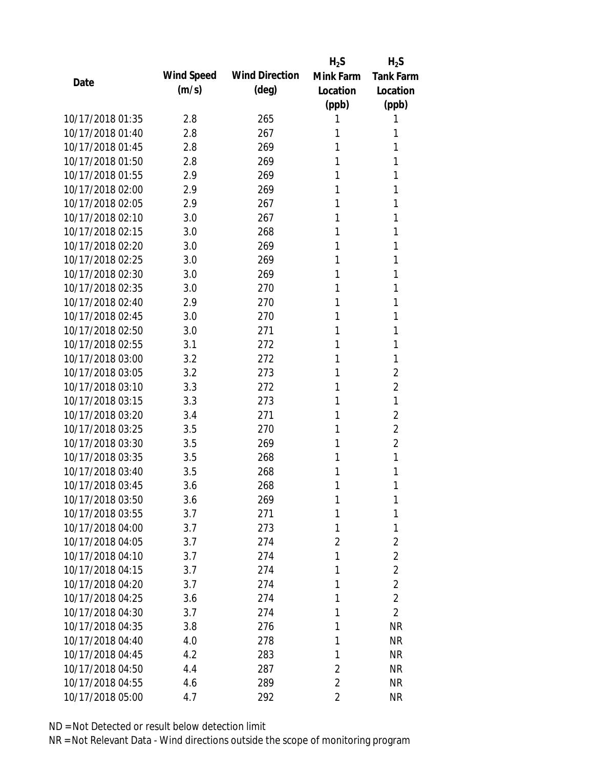|                  |            |                       | $H_2S$         | $H_2S$           |
|------------------|------------|-----------------------|----------------|------------------|
| Date             | Wind Speed | <b>Wind Direction</b> | Mink Farm      | <b>Tank Farm</b> |
|                  | (m/s)      | $(\text{deg})$        | Location       | Location         |
|                  |            |                       | (ppb)          | (ppb)            |
| 10/17/2018 01:35 | 2.8        | 265                   | 1              | 1                |
| 10/17/2018 01:40 | 2.8        | 267                   | 1              | 1                |
| 10/17/2018 01:45 | 2.8        | 269                   | 1              | 1                |
| 10/17/2018 01:50 | 2.8        | 269                   | 1              | 1                |
| 10/17/2018 01:55 | 2.9        | 269                   | 1              | 1                |
| 10/17/2018 02:00 | 2.9        | 269                   | 1              | 1                |
| 10/17/2018 02:05 | 2.9        | 267                   | 1              | 1                |
| 10/17/2018 02:10 | 3.0        | 267                   | 1              | 1                |
| 10/17/2018 02:15 | 3.0        | 268                   | 1              | 1                |
| 10/17/2018 02:20 | 3.0        | 269                   | 1              | 1                |
| 10/17/2018 02:25 | 3.0        | 269                   | 1              | 1                |
| 10/17/2018 02:30 | 3.0        | 269                   | 1              | 1                |
| 10/17/2018 02:35 | 3.0        | 270                   | 1              | 1                |
| 10/17/2018 02:40 | 2.9        | 270                   | 1              | 1                |
| 10/17/2018 02:45 | 3.0        | 270                   | 1              | 1                |
| 10/17/2018 02:50 | 3.0        | 271                   | 1              | 1                |
| 10/17/2018 02:55 | 3.1        | 272                   | 1              | 1                |
| 10/17/2018 03:00 | 3.2        | 272                   | 1              | 1                |
| 10/17/2018 03:05 | 3.2        | 273                   | 1              | $\overline{2}$   |
| 10/17/2018 03:10 | 3.3        | 272                   | 1              | $\overline{2}$   |
| 10/17/2018 03:15 | 3.3        | 273                   | 1              | 1                |
| 10/17/2018 03:20 | 3.4        | 271                   | 1              | 2                |
| 10/17/2018 03:25 | 3.5        | 270                   | 1              | $\overline{2}$   |
| 10/17/2018 03:30 | 3.5        | 269                   | 1              | $\overline{2}$   |
| 10/17/2018 03:35 | 3.5        | 268                   | 1              | 1                |
| 10/17/2018 03:40 | 3.5        | 268                   | 1              | 1                |
| 10/17/2018 03:45 | 3.6        | 268                   | 1              | 1                |
| 10/17/2018 03:50 | 3.6        | 269                   | 1              | 1                |
| 10/17/2018 03:55 | 3.7        | 271                   | 1              | 1                |
| 10/17/2018 04:00 | 3.7        | 273                   | 1              | 1                |
| 10/17/2018 04:05 | 3.7        | 274                   | $\overline{2}$ | 2                |
| 10/17/2018 04:10 | 3.7        | 274                   | 1              | $\overline{2}$   |
| 10/17/2018 04:15 | 3.7        | 274                   | 1              | $\overline{2}$   |
| 10/17/2018 04:20 | 3.7        | 274                   | 1              | $\overline{2}$   |
| 10/17/2018 04:25 | 3.6        | 274                   | 1              | $\overline{2}$   |
| 10/17/2018 04:30 | 3.7        | 274                   | 1              | $\overline{2}$   |
| 10/17/2018 04:35 | 3.8        | 276                   | 1              | <b>NR</b>        |
| 10/17/2018 04:40 | 4.0        | 278                   | 1              | <b>NR</b>        |
| 10/17/2018 04:45 | 4.2        | 283                   | 1              | NR               |
| 10/17/2018 04:50 | 4.4        | 287                   | $\overline{2}$ | <b>NR</b>        |
| 10/17/2018 04:55 | 4.6        | 289                   | 2              | <b>NR</b>        |
| 10/17/2018 05:00 | 4.7        | 292                   | 2              | <b>NR</b>        |
|                  |            |                       |                |                  |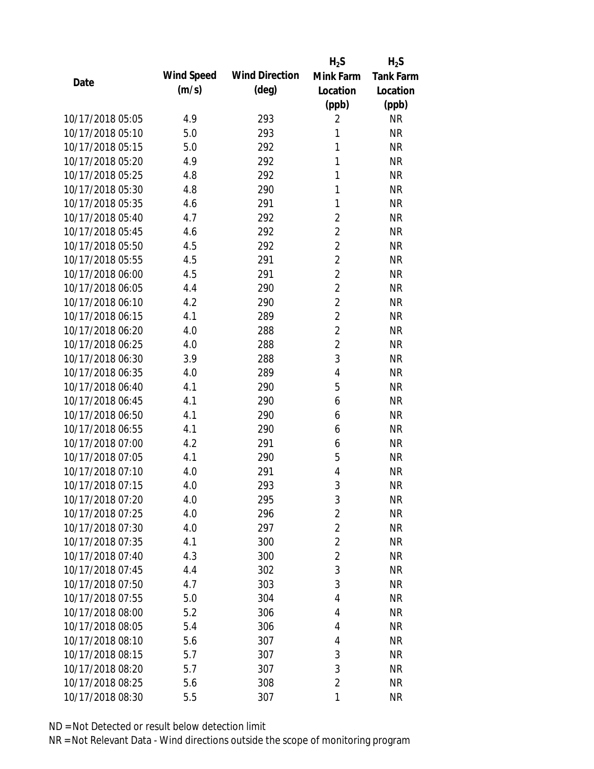|                  |            |                       | $H_2S$         | $H_2S$           |
|------------------|------------|-----------------------|----------------|------------------|
|                  | Wind Speed | <b>Wind Direction</b> | Mink Farm      | <b>Tank Farm</b> |
| Date             | (m/s)      | $(\text{deg})$        | Location       | Location         |
|                  |            |                       | (ppb)          | (ppb)            |
| 10/17/2018 05:05 | 4.9        | 293                   | $\overline{2}$ | <b>NR</b>        |
| 10/17/2018 05:10 | 5.0        | 293                   | 1              | <b>NR</b>        |
| 10/17/2018 05:15 | 5.0        | 292                   | 1              | <b>NR</b>        |
| 10/17/2018 05:20 | 4.9        | 292                   | 1              | <b>NR</b>        |
| 10/17/2018 05:25 | 4.8        | 292                   | $\mathbf{1}$   | <b>NR</b>        |
| 10/17/2018 05:30 | 4.8        | 290                   | 1              | <b>NR</b>        |
| 10/17/2018 05:35 | 4.6        | 291                   | 1              | <b>NR</b>        |
| 10/17/2018 05:40 | 4.7        | 292                   | $\overline{2}$ | <b>NR</b>        |
| 10/17/2018 05:45 | 4.6        | 292                   | $\overline{2}$ | <b>NR</b>        |
| 10/17/2018 05:50 | 4.5        | 292                   | $\overline{2}$ | <b>NR</b>        |
| 10/17/2018 05:55 | 4.5        | 291                   | $\overline{2}$ | <b>NR</b>        |
| 10/17/2018 06:00 | 4.5        | 291                   | $\overline{2}$ | <b>NR</b>        |
| 10/17/2018 06:05 | 4.4        | 290                   | $\overline{2}$ | <b>NR</b>        |
| 10/17/2018 06:10 | 4.2        | 290                   | $\overline{2}$ | <b>NR</b>        |
| 10/17/2018 06:15 | 4.1        | 289                   | $\overline{2}$ | <b>NR</b>        |
| 10/17/2018 06:20 | 4.0        | 288                   | $\overline{2}$ | <b>NR</b>        |
| 10/17/2018 06:25 | 4.0        | 288                   | $\overline{2}$ | <b>NR</b>        |
| 10/17/2018 06:30 | 3.9        | 288                   | 3              | <b>NR</b>        |
| 10/17/2018 06:35 | 4.0        | 289                   | $\overline{4}$ | <b>NR</b>        |
| 10/17/2018 06:40 | 4.1        | 290                   | 5              | <b>NR</b>        |
| 10/17/2018 06:45 | 4.1        | 290                   | 6              | <b>NR</b>        |
| 10/17/2018 06:50 | 4.1        | 290                   | 6              | <b>NR</b>        |
| 10/17/2018 06:55 | 4.1        | 290                   | 6              | <b>NR</b>        |
| 10/17/2018 07:00 | 4.2        | 291                   | 6              | <b>NR</b>        |
| 10/17/2018 07:05 | 4.1        | 290                   | 5              | <b>NR</b>        |
| 10/17/2018 07:10 | 4.0        | 291                   | 4              | <b>NR</b>        |
| 10/17/2018 07:15 | 4.0        | 293                   | 3              | <b>NR</b>        |
| 10/17/2018 07:20 | 4.0        | 295                   | 3              | <b>NR</b>        |
| 10/17/2018 07:25 | 4.0        | 296                   | $\overline{2}$ | <b>NR</b>        |
| 10/17/2018 07:30 | 4.0        | 297                   | $\overline{2}$ | <b>NR</b>        |
| 10/17/2018 07:35 | 4.1        | 300                   | $\overline{2}$ | <b>NR</b>        |
| 10/17/2018 07:40 | 4.3        | 300                   | $\overline{2}$ | <b>NR</b>        |
| 10/17/2018 07:45 | 4.4        | 302                   | 3              | <b>NR</b>        |
| 10/17/2018 07:50 | 4.7        | 303                   | 3              | <b>NR</b>        |
| 10/17/2018 07:55 | 5.0        | 304                   | 4              | <b>NR</b>        |
| 10/17/2018 08:00 | 5.2        | 306                   | 4              | <b>NR</b>        |
| 10/17/2018 08:05 | 5.4        | 306                   | 4              | <b>NR</b>        |
| 10/17/2018 08:10 | 5.6        | 307                   | 4              | <b>NR</b>        |
| 10/17/2018 08:15 | 5.7        | 307                   | 3              | <b>NR</b>        |
| 10/17/2018 08:20 | 5.7        | 307                   | 3              | <b>NR</b>        |
| 10/17/2018 08:25 | 5.6        | 308                   | $\overline{2}$ | <b>NR</b>        |
| 10/17/2018 08:30 | 5.5        | 307                   | 1              | <b>NR</b>        |
|                  |            |                       |                |                  |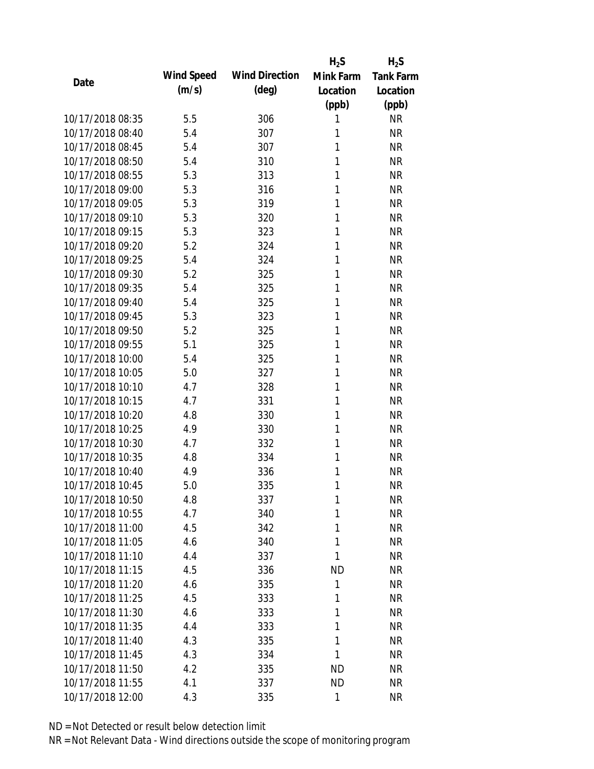|                  |            |                       | $H_2S$       | $H_2S$           |
|------------------|------------|-----------------------|--------------|------------------|
| Date             | Wind Speed | <b>Wind Direction</b> | Mink Farm    | <b>Tank Farm</b> |
|                  | (m/s)      | $(\text{deg})$        | Location     | Location         |
|                  |            |                       | (ppb)        | (ppb)            |
| 10/17/2018 08:35 | 5.5        | 306                   | 1            | <b>NR</b>        |
| 10/17/2018 08:40 | 5.4        | 307                   | 1            | <b>NR</b>        |
| 10/17/2018 08:45 | 5.4        | 307                   | 1            | <b>NR</b>        |
| 10/17/2018 08:50 | 5.4        | 310                   | 1            | <b>NR</b>        |
| 10/17/2018 08:55 | 5.3        | 313                   | 1            | <b>NR</b>        |
| 10/17/2018 09:00 | 5.3        | 316                   | 1            | <b>NR</b>        |
| 10/17/2018 09:05 | 5.3        | 319                   | 1            | <b>NR</b>        |
| 10/17/2018 09:10 | 5.3        | 320                   | 1            | <b>NR</b>        |
| 10/17/2018 09:15 | 5.3        | 323                   | 1            | <b>NR</b>        |
| 10/17/2018 09:20 | 5.2        | 324                   | 1            | <b>NR</b>        |
| 10/17/2018 09:25 | 5.4        | 324                   | 1            | <b>NR</b>        |
| 10/17/2018 09:30 | 5.2        | 325                   | 1            | <b>NR</b>        |
| 10/17/2018 09:35 | 5.4        | 325                   | 1            | <b>NR</b>        |
| 10/17/2018 09:40 | 5.4        | 325                   | 1            | <b>NR</b>        |
| 10/17/2018 09:45 | 5.3        | 323                   | 1            | <b>NR</b>        |
| 10/17/2018 09:50 | 5.2        | 325                   | 1            | <b>NR</b>        |
| 10/17/2018 09:55 | 5.1        | 325                   | 1            | <b>NR</b>        |
| 10/17/2018 10:00 | 5.4        | 325                   | 1            | <b>NR</b>        |
| 10/17/2018 10:05 | 5.0        | 327                   | $\mathbf{1}$ | <b>NR</b>        |
| 10/17/2018 10:10 | 4.7        | 328                   | 1            | <b>NR</b>        |
| 10/17/2018 10:15 | 4.7        | 331                   | 1            | <b>NR</b>        |
| 10/17/2018 10:20 | 4.8        | 330                   | 1            | <b>NR</b>        |
| 10/17/2018 10:25 | 4.9        | 330                   | 1            | <b>NR</b>        |
| 10/17/2018 10:30 | 4.7        | 332                   | 1            | <b>NR</b>        |
| 10/17/2018 10:35 | 4.8        | 334                   | 1            | <b>NR</b>        |
| 10/17/2018 10:40 | 4.9        | 336                   | 1            | <b>NR</b>        |
| 10/17/2018 10:45 | 5.0        | 335                   | 1            | <b>NR</b>        |
| 10/17/2018 10:50 | 4.8        | 337                   | 1            | <b>NR</b>        |
| 10/17/2018 10:55 | 4.7        | 340                   | 1            | <b>NR</b>        |
| 10/17/2018 11:00 | 4.5        | 342                   | 1            | <b>NR</b>        |
| 10/17/2018 11:05 | 4.6        | 340                   | 1            | <b>NR</b>        |
| 10/17/2018 11:10 | 4.4        | 337                   | 1            | <b>NR</b>        |
| 10/17/2018 11:15 | 4.5        | 336                   | <b>ND</b>    | <b>NR</b>        |
| 10/17/2018 11:20 | 4.6        | 335                   | 1            | <b>NR</b>        |
| 10/17/2018 11:25 | 4.5        | 333                   | 1            | <b>NR</b>        |
| 10/17/2018 11:30 | 4.6        | 333                   | 1            | <b>NR</b>        |
| 10/17/2018 11:35 | 4.4        | 333                   | 1            | <b>NR</b>        |
| 10/17/2018 11:40 | 4.3        | 335                   | 1            | <b>NR</b>        |
| 10/17/2018 11:45 | 4.3        | 334                   | 1            | <b>NR</b>        |
| 10/17/2018 11:50 | 4.2        | 335                   | <b>ND</b>    | <b>NR</b>        |
| 10/17/2018 11:55 | 4.1        | 337                   | <b>ND</b>    | <b>NR</b>        |
| 10/17/2018 12:00 | 4.3        | 335                   | 1            | <b>NR</b>        |
|                  |            |                       |              |                  |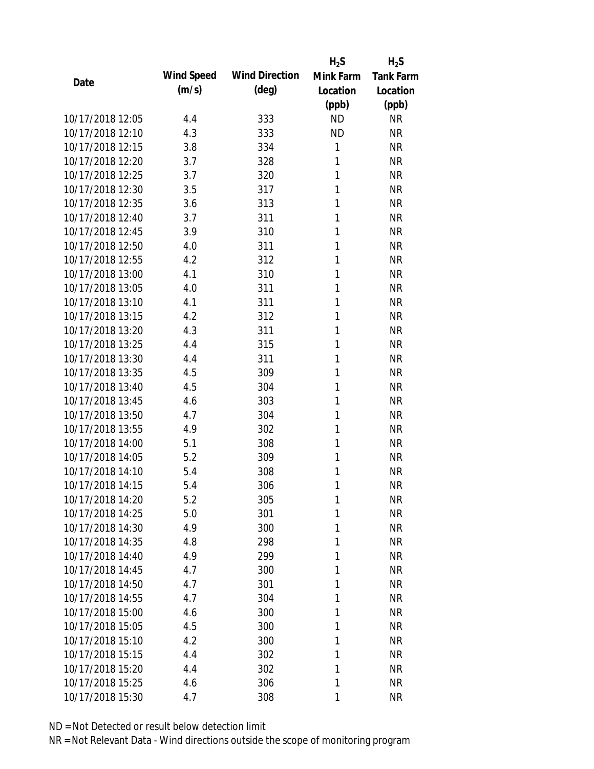|                  |            |                       | $H_2S$       | $H_2S$           |
|------------------|------------|-----------------------|--------------|------------------|
| Date             | Wind Speed | <b>Wind Direction</b> | Mink Farm    | <b>Tank Farm</b> |
|                  | (m/s)      | $(\text{deg})$        | Location     | Location         |
|                  |            |                       | (ppb)        | (ppb)            |
| 10/17/2018 12:05 | 4.4        | 333                   | <b>ND</b>    | <b>NR</b>        |
| 10/17/2018 12:10 | 4.3        | 333                   | <b>ND</b>    | <b>NR</b>        |
| 10/17/2018 12:15 | 3.8        | 334                   | 1            | <b>NR</b>        |
| 10/17/2018 12:20 | 3.7        | 328                   | 1            | <b>NR</b>        |
| 10/17/2018 12:25 | 3.7        | 320                   | 1            | <b>NR</b>        |
| 10/17/2018 12:30 | 3.5        | 317                   | 1            | <b>NR</b>        |
| 10/17/2018 12:35 | 3.6        | 313                   | 1            | <b>NR</b>        |
| 10/17/2018 12:40 | 3.7        | 311                   | 1            | <b>NR</b>        |
| 10/17/2018 12:45 | 3.9        | 310                   | 1            | <b>NR</b>        |
| 10/17/2018 12:50 | 4.0        | 311                   | 1            | <b>NR</b>        |
| 10/17/2018 12:55 | 4.2        | 312                   | 1            | <b>NR</b>        |
| 10/17/2018 13:00 | 4.1        | 310                   | 1            | <b>NR</b>        |
| 10/17/2018 13:05 | 4.0        | 311                   | 1            | <b>NR</b>        |
| 10/17/2018 13:10 | 4.1        | 311                   | 1            | <b>NR</b>        |
| 10/17/2018 13:15 | 4.2        | 312                   | 1            | <b>NR</b>        |
| 10/17/2018 13:20 | 4.3        | 311                   | 1            | <b>NR</b>        |
| 10/17/2018 13:25 | 4.4        | 315                   | 1            | <b>NR</b>        |
| 10/17/2018 13:30 | 4.4        | 311                   | 1            | <b>NR</b>        |
| 10/17/2018 13:35 | 4.5        | 309                   | $\mathbf{1}$ | <b>NR</b>        |
| 10/17/2018 13:40 | 4.5        | 304                   | 1            | <b>NR</b>        |
| 10/17/2018 13:45 | 4.6        | 303                   | 1            | <b>NR</b>        |
| 10/17/2018 13:50 | 4.7        | 304                   | 1            | <b>NR</b>        |
| 10/17/2018 13:55 | 4.9        | 302                   | 1            | <b>NR</b>        |
| 10/17/2018 14:00 | 5.1        | 308                   | 1            | <b>NR</b>        |
| 10/17/2018 14:05 | 5.2        | 309                   | 1            | <b>NR</b>        |
| 10/17/2018 14:10 | 5.4        | 308                   | 1            | <b>NR</b>        |
| 10/17/2018 14:15 | 5.4        | 306                   | 1            | <b>NR</b>        |
| 10/17/2018 14:20 | 5.2        | 305                   | 1            | <b>NR</b>        |
| 10/17/2018 14:25 | 5.0        | 301                   | 1            | <b>NR</b>        |
| 10/17/2018 14:30 | 4.9        | 300                   | 1            | <b>NR</b>        |
| 10/17/2018 14:35 | 4.8        | 298                   | 1            | <b>NR</b>        |
| 10/17/2018 14:40 | 4.9        | 299                   | 1            | <b>NR</b>        |
| 10/17/2018 14:45 | 4.7        | 300                   | 1            | <b>NR</b>        |
| 10/17/2018 14:50 | 4.7        | 301                   | 1            | <b>NR</b>        |
| 10/17/2018 14:55 | 4.7        | 304                   | 1            | <b>NR</b>        |
| 10/17/2018 15:00 | 4.6        | 300                   | 1            | <b>NR</b>        |
| 10/17/2018 15:05 | 4.5        | 300                   | 1            | <b>NR</b>        |
| 10/17/2018 15:10 | 4.2        | 300                   | 1            | <b>NR</b>        |
| 10/17/2018 15:15 | 4.4        | 302                   | 1            | <b>NR</b>        |
| 10/17/2018 15:20 | 4.4        | 302                   | 1            | <b>NR</b>        |
| 10/17/2018 15:25 | 4.6        | 306                   | 1            | <b>NR</b>        |
| 10/17/2018 15:30 | 4.7        | 308                   | 1            | <b>NR</b>        |
|                  |            |                       |              |                  |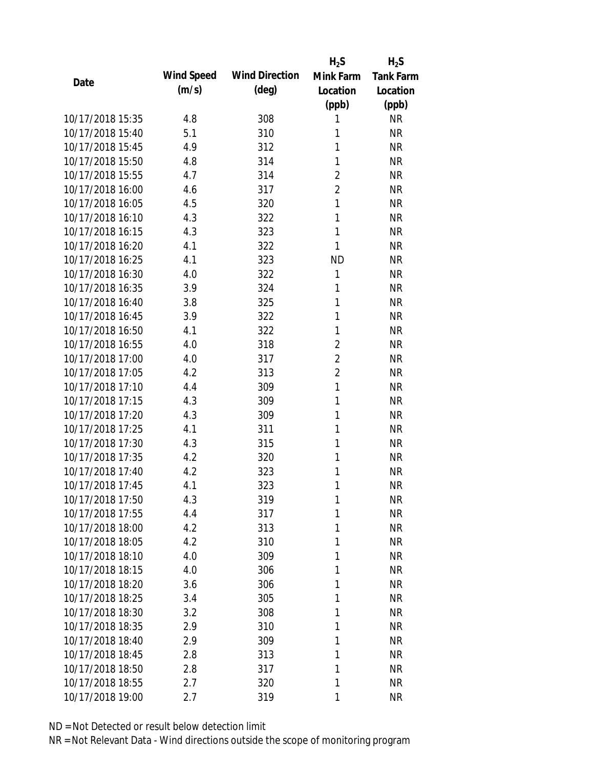|                  |            |                       | $H_2S$         | $H_2S$           |
|------------------|------------|-----------------------|----------------|------------------|
| Date             | Wind Speed | <b>Wind Direction</b> | Mink Farm      | <b>Tank Farm</b> |
|                  | (m/s)      | $(\text{deg})$        | Location       | Location         |
|                  |            |                       | (ppb)          | (ppb)            |
| 10/17/2018 15:35 | 4.8        | 308                   | 1              | <b>NR</b>        |
| 10/17/2018 15:40 | 5.1        | 310                   | 1              | <b>NR</b>        |
| 10/17/2018 15:45 | 4.9        | 312                   | 1              | <b>NR</b>        |
| 10/17/2018 15:50 | 4.8        | 314                   | $\mathbf{1}$   | <b>NR</b>        |
| 10/17/2018 15:55 | 4.7        | 314                   | $\overline{2}$ | <b>NR</b>        |
| 10/17/2018 16:00 | 4.6        | 317                   | $\overline{2}$ | <b>NR</b>        |
| 10/17/2018 16:05 | 4.5        | 320                   | $\mathbf{1}$   | <b>NR</b>        |
| 10/17/2018 16:10 | 4.3        | 322                   | 1              | <b>NR</b>        |
| 10/17/2018 16:15 | 4.3        | 323                   | 1              | <b>NR</b>        |
| 10/17/2018 16:20 | 4.1        | 322                   | 1              | <b>NR</b>        |
| 10/17/2018 16:25 | 4.1        | 323                   | <b>ND</b>      | <b>NR</b>        |
| 10/17/2018 16:30 | 4.0        | 322                   | $\mathbf{1}$   | <b>NR</b>        |
| 10/17/2018 16:35 | 3.9        | 324                   | 1              | <b>NR</b>        |
| 10/17/2018 16:40 | 3.8        | 325                   | 1              | <b>NR</b>        |
| 10/17/2018 16:45 | 3.9        | 322                   | 1              | <b>NR</b>        |
| 10/17/2018 16:50 | 4.1        | 322                   | 1              | <b>NR</b>        |
| 10/17/2018 16:55 | 4.0        | 318                   | $\overline{2}$ | <b>NR</b>        |
| 10/17/2018 17:00 | 4.0        | 317                   | $\overline{2}$ | <b>NR</b>        |
| 10/17/2018 17:05 | 4.2        | 313                   | $\overline{2}$ | <b>NR</b>        |
| 10/17/2018 17:10 | 4.4        | 309                   | $\mathbf{1}$   | <b>NR</b>        |
| 10/17/2018 17:15 | 4.3        | 309                   | 1              | <b>NR</b>        |
| 10/17/2018 17:20 | 4.3        | 309                   | 1              | <b>NR</b>        |
| 10/17/2018 17:25 | 4.1        | 311                   | 1              | <b>NR</b>        |
| 10/17/2018 17:30 | 4.3        | 315                   | 1              | <b>NR</b>        |
| 10/17/2018 17:35 | 4.2        | 320                   | 1              | <b>NR</b>        |
| 10/17/2018 17:40 | 4.2        | 323                   | 1              | <b>NR</b>        |
| 10/17/2018 17:45 | 4.1        | 323                   | 1              | <b>NR</b>        |
| 10/17/2018 17:50 | 4.3        | 319                   | 1              | <b>NR</b>        |
| 10/17/2018 17:55 | 4.4        | 317                   | 1              | <b>NR</b>        |
| 10/17/2018 18:00 | 4.2        | 313                   | 1              | <b>NR</b>        |
| 10/17/2018 18:05 | 4.2        | 310                   | 1              | <b>NR</b>        |
| 10/17/2018 18:10 | 4.0        | 309                   | 1              | <b>NR</b>        |
| 10/17/2018 18:15 | 4.0        | 306                   | 1              | <b>NR</b>        |
| 10/17/2018 18:20 | 3.6        | 306                   | 1              | <b>NR</b>        |
| 10/17/2018 18:25 | 3.4        | 305                   | 1              | <b>NR</b>        |
| 10/17/2018 18:30 | 3.2        | 308                   | 1              | <b>NR</b>        |
| 10/17/2018 18:35 | 2.9        | 310                   | 1              | <b>NR</b>        |
| 10/17/2018 18:40 | 2.9        | 309                   | 1              | <b>NR</b>        |
| 10/17/2018 18:45 | 2.8        | 313                   | 1              | <b>NR</b>        |
| 10/17/2018 18:50 | 2.8        | 317                   | 1              | <b>NR</b>        |
| 10/17/2018 18:55 | 2.7        | 320                   | 1              | <b>NR</b>        |
| 10/17/2018 19:00 | 2.7        | 319                   | 1              | <b>NR</b>        |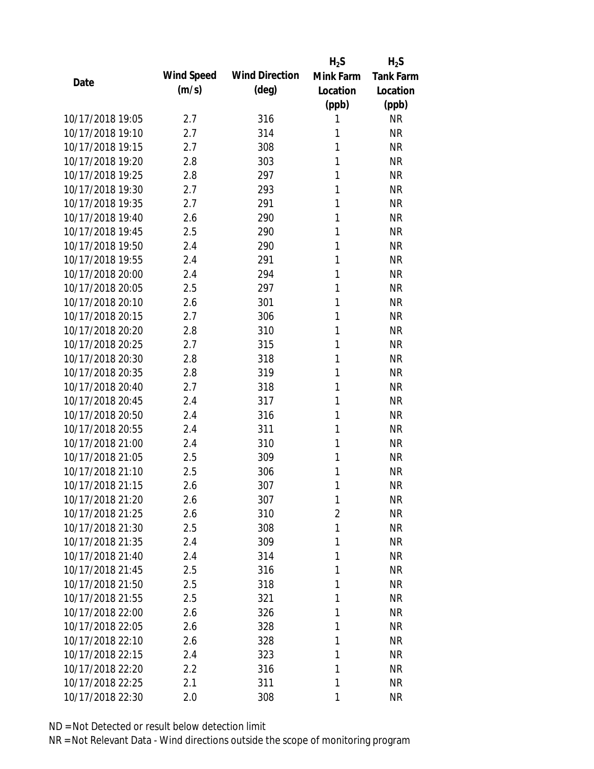|                  |            |                       | $H_2S$    | $H_2S$           |
|------------------|------------|-----------------------|-----------|------------------|
|                  | Wind Speed | <b>Wind Direction</b> | Mink Farm | <b>Tank Farm</b> |
| Date             | (m/s)      | $(\text{deg})$        | Location  | Location         |
|                  |            |                       | (ppb)     | (ppb)            |
| 10/17/2018 19:05 | 2.7        | 316                   | 1         | <b>NR</b>        |
| 10/17/2018 19:10 | 2.7        | 314                   | 1         | <b>NR</b>        |
| 10/17/2018 19:15 | 2.7        | 308                   | 1         | <b>NR</b>        |
| 10/17/2018 19:20 | 2.8        | 303                   | 1         | <b>NR</b>        |
| 10/17/2018 19:25 | 2.8        | 297                   | 1         | <b>NR</b>        |
| 10/17/2018 19:30 | 2.7        | 293                   | 1         | <b>NR</b>        |
| 10/17/2018 19:35 | 2.7        | 291                   | 1         | <b>NR</b>        |
| 10/17/2018 19:40 | 2.6        | 290                   | 1         | <b>NR</b>        |
| 10/17/2018 19:45 | 2.5        | 290                   | 1         | <b>NR</b>        |
| 10/17/2018 19:50 | 2.4        | 290                   | 1         | <b>NR</b>        |
| 10/17/2018 19:55 | 2.4        | 291                   | 1         | <b>NR</b>        |
| 10/17/2018 20:00 | 2.4        | 294                   | 1         | <b>NR</b>        |
| 10/17/2018 20:05 | 2.5        | 297                   | 1         | <b>NR</b>        |
| 10/17/2018 20:10 | 2.6        | 301                   | 1         | <b>NR</b>        |
| 10/17/2018 20:15 | 2.7        | 306                   | 1         | <b>NR</b>        |
| 10/17/2018 20:20 | 2.8        | 310                   | 1         | <b>NR</b>        |
| 10/17/2018 20:25 | 2.7        | 315                   | 1         | <b>NR</b>        |
| 10/17/2018 20:30 | 2.8        | 318                   | 1         | <b>NR</b>        |
| 10/17/2018 20:35 | 2.8        | 319                   | 1         | <b>NR</b>        |
| 10/17/2018 20:40 | 2.7        | 318                   | 1         | <b>NR</b>        |
| 10/17/2018 20:45 | 2.4        | 317                   | 1         | <b>NR</b>        |
| 10/17/2018 20:50 | 2.4        | 316                   | 1         | <b>NR</b>        |
| 10/17/2018 20:55 | 2.4        | 311                   | 1         | <b>NR</b>        |
| 10/17/2018 21:00 | 2.4        | 310                   | 1         | <b>NR</b>        |
| 10/17/2018 21:05 | 2.5        | 309                   | 1         | <b>NR</b>        |
| 10/17/2018 21:10 | 2.5        | 306                   | 1         | <b>NR</b>        |
| 10/17/2018 21:15 | 2.6        | 307                   | 1         | <b>NR</b>        |
| 10/17/2018 21:20 | 2.6        | 307                   | 1         | <b>NR</b>        |
| 10/17/2018 21:25 | 2.6        | 310                   | 2         | <b>NR</b>        |
| 10/17/2018 21:30 | 2.5        | 308                   | 1         | <b>NR</b>        |
| 10/17/2018 21:35 | 2.4        | 309                   | 1         | <b>NR</b>        |
| 10/17/2018 21:40 | 2.4        | 314                   | 1         | <b>NR</b>        |
| 10/17/2018 21:45 | 2.5        | 316                   | 1         | <b>NR</b>        |
| 10/17/2018 21:50 | 2.5        | 318                   | 1         | <b>NR</b>        |
| 10/17/2018 21:55 | 2.5        | 321                   | 1         | <b>NR</b>        |
| 10/17/2018 22:00 | 2.6        | 326                   | 1         | <b>NR</b>        |
| 10/17/2018 22:05 | 2.6        | 328                   | 1         | <b>NR</b>        |
| 10/17/2018 22:10 | 2.6        | 328                   | 1         | <b>NR</b>        |
| 10/17/2018 22:15 | 2.4        | 323                   | 1         | <b>NR</b>        |
| 10/17/2018 22:20 | 2.2        | 316                   | 1         | <b>NR</b>        |
| 10/17/2018 22:25 | 2.1        | 311                   | 1         | <b>NR</b>        |
| 10/17/2018 22:30 | 2.0        | 308                   | 1         | <b>NR</b>        |
|                  |            |                       |           |                  |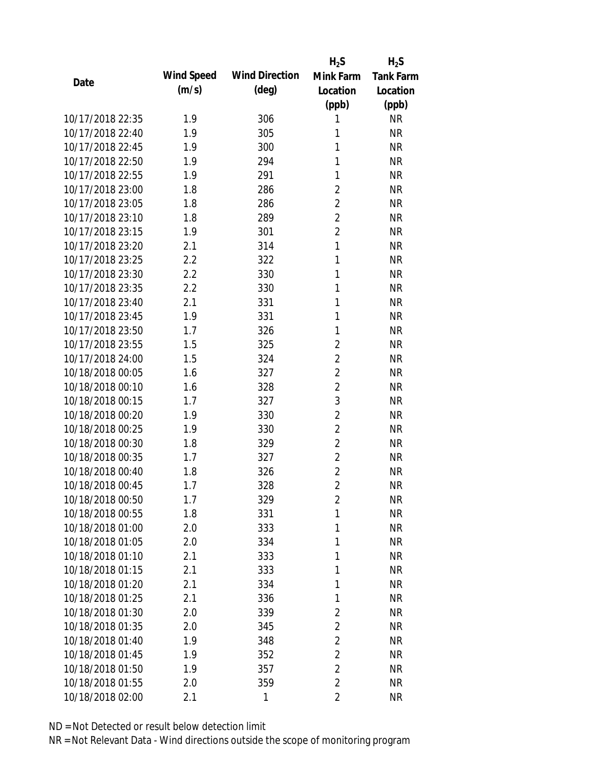|                  |            |                       | $H_2S$         | $H_2S$           |
|------------------|------------|-----------------------|----------------|------------------|
| Date             | Wind Speed | <b>Wind Direction</b> | Mink Farm      | <b>Tank Farm</b> |
|                  | (m/s)      | $(\text{deg})$        | Location       | Location         |
|                  |            |                       | (ppb)          | (ppb)            |
| 10/17/2018 22:35 | 1.9        | 306                   | 1              | <b>NR</b>        |
| 10/17/2018 22:40 | 1.9        | 305                   | 1              | <b>NR</b>        |
| 10/17/2018 22:45 | 1.9        | 300                   | 1              | <b>NR</b>        |
| 10/17/2018 22:50 | 1.9        | 294                   | 1              | <b>NR</b>        |
| 10/17/2018 22:55 | 1.9        | 291                   | 1              | <b>NR</b>        |
| 10/17/2018 23:00 | 1.8        | 286                   | 2              | <b>NR</b>        |
| 10/17/2018 23:05 | 1.8        | 286                   | $\overline{2}$ | <b>NR</b>        |
| 10/17/2018 23:10 | 1.8        | 289                   | $\overline{2}$ | <b>NR</b>        |
| 10/17/2018 23:15 | 1.9        | 301                   | $\overline{2}$ | <b>NR</b>        |
| 10/17/2018 23:20 | 2.1        | 314                   | $\mathbf{1}$   | <b>NR</b>        |
| 10/17/2018 23:25 | 2.2        | 322                   | 1              | <b>NR</b>        |
| 10/17/2018 23:30 | 2.2        | 330                   | 1              | <b>NR</b>        |
| 10/17/2018 23:35 | 2.2        | 330                   | 1              | <b>NR</b>        |
| 10/17/2018 23:40 | 2.1        | 331                   | 1              | <b>NR</b>        |
| 10/17/2018 23:45 | 1.9        | 331                   | 1              | <b>NR</b>        |
| 10/17/2018 23:50 | 1.7        | 326                   | 1              | <b>NR</b>        |
| 10/17/2018 23:55 | 1.5        | 325                   | $\overline{2}$ | <b>NR</b>        |
| 10/17/2018 24:00 | 1.5        | 324                   | $\overline{2}$ | <b>NR</b>        |
| 10/18/2018 00:05 | 1.6        | 327                   | $\overline{2}$ | <b>NR</b>        |
| 10/18/2018 00:10 | 1.6        | 328                   | $\overline{2}$ | <b>NR</b>        |
| 10/18/2018 00:15 | 1.7        | 327                   | 3              | <b>NR</b>        |
| 10/18/2018 00:20 | 1.9        | 330                   | $\overline{2}$ | <b>NR</b>        |
| 10/18/2018 00:25 | 1.9        | 330                   | $\overline{2}$ | <b>NR</b>        |
| 10/18/2018 00:30 | 1.8        | 329                   | $\overline{2}$ | <b>NR</b>        |
| 10/18/2018 00:35 | 1.7        | 327                   | $\overline{2}$ | <b>NR</b>        |
| 10/18/2018 00:40 | 1.8        | 326                   | $\overline{2}$ | <b>NR</b>        |
| 10/18/2018 00:45 | 1.7        | 328                   | $\overline{2}$ | <b>NR</b>        |
| 10/18/2018 00:50 | 1.7        | 329                   | $\overline{2}$ | <b>NR</b>        |
| 10/18/2018 00:55 | 1.8        | 331                   | 1              | <b>NR</b>        |
| 10/18/2018 01:00 | 2.0        | 333                   | 1              | <b>NR</b>        |
| 10/18/2018 01:05 | 2.0        | 334                   | 1              | <b>NR</b>        |
| 10/18/2018 01:10 | 2.1        | 333                   | 1              | <b>NR</b>        |
| 10/18/2018 01:15 | 2.1        | 333                   | 1              | <b>NR</b>        |
| 10/18/2018 01:20 | 2.1        | 334                   | 1              | <b>NR</b>        |
| 10/18/2018 01:25 | 2.1        | 336                   | 1              | <b>NR</b>        |
| 10/18/2018 01:30 | 2.0        | 339                   | 2              | <b>NR</b>        |
| 10/18/2018 01:35 | 2.0        | 345                   | $\overline{2}$ | <b>NR</b>        |
| 10/18/2018 01:40 | 1.9        | 348                   | $\overline{2}$ | <b>NR</b>        |
| 10/18/2018 01:45 | 1.9        | 352                   | $\overline{2}$ | <b>NR</b>        |
| 10/18/2018 01:50 | 1.9        | 357                   | $\overline{2}$ | <b>NR</b>        |
| 10/18/2018 01:55 | 2.0        | 359                   | $\overline{2}$ | <b>NR</b>        |
| 10/18/2018 02:00 | 2.1        | 1                     | $\overline{2}$ | <b>NR</b>        |
|                  |            |                       |                |                  |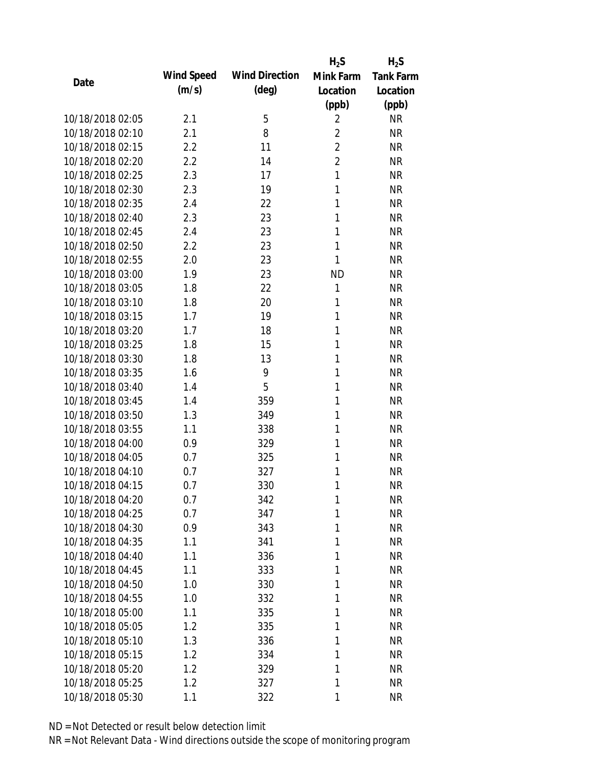|                  |            |                       | $H_2S$         | $H_2S$           |
|------------------|------------|-----------------------|----------------|------------------|
|                  | Wind Speed | <b>Wind Direction</b> | Mink Farm      | <b>Tank Farm</b> |
| Date             | (m/s)      | $(\text{deg})$        | Location       | Location         |
|                  |            |                       | (ppb)          | (ppb)            |
| 10/18/2018 02:05 | 2.1        | 5                     | $\overline{2}$ | <b>NR</b>        |
| 10/18/2018 02:10 | 2.1        | 8                     | $\overline{2}$ | <b>NR</b>        |
| 10/18/2018 02:15 | 2.2        | 11                    | $\overline{2}$ | <b>NR</b>        |
| 10/18/2018 02:20 | 2.2        | 14                    | $\overline{2}$ | <b>NR</b>        |
| 10/18/2018 02:25 | 2.3        | 17                    | $\mathbf{1}$   | <b>NR</b>        |
| 10/18/2018 02:30 | 2.3        | 19                    | 1              | <b>NR</b>        |
| 10/18/2018 02:35 | 2.4        | 22                    | 1              | <b>NR</b>        |
| 10/18/2018 02:40 | 2.3        | 23                    | 1              | <b>NR</b>        |
| 10/18/2018 02:45 | 2.4        | 23                    | 1              | <b>NR</b>        |
| 10/18/2018 02:50 | 2.2        | 23                    | 1              | <b>NR</b>        |
| 10/18/2018 02:55 | 2.0        | 23                    | 1              | <b>NR</b>        |
| 10/18/2018 03:00 | 1.9        | 23                    | <b>ND</b>      | <b>NR</b>        |
| 10/18/2018 03:05 | 1.8        | 22                    | 1              | <b>NR</b>        |
| 10/18/2018 03:10 | 1.8        | 20                    | 1              | <b>NR</b>        |
| 10/18/2018 03:15 | 1.7        | 19                    | 1              | <b>NR</b>        |
| 10/18/2018 03:20 | 1.7        | 18                    | 1              | <b>NR</b>        |
| 10/18/2018 03:25 | 1.8        | 15                    | 1              | <b>NR</b>        |
| 10/18/2018 03:30 | 1.8        | 13                    | 1              | <b>NR</b>        |
| 10/18/2018 03:35 | 1.6        | 9                     | 1              | <b>NR</b>        |
| 10/18/2018 03:40 | 1.4        | 5                     | 1              | <b>NR</b>        |
| 10/18/2018 03:45 | 1.4        | 359                   | 1              | <b>NR</b>        |
| 10/18/2018 03:50 | 1.3        | 349                   | 1              | <b>NR</b>        |
| 10/18/2018 03:55 | 1.1        | 338                   | 1              | <b>NR</b>        |
| 10/18/2018 04:00 | 0.9        | 329                   | 1              | <b>NR</b>        |
| 10/18/2018 04:05 | 0.7        | 325                   | 1              | <b>NR</b>        |
| 10/18/2018 04:10 | 0.7        | 327                   | 1              | <b>NR</b>        |
| 10/18/2018 04:15 | 0.7        | 330                   | 1              | <b>NR</b>        |
| 10/18/2018 04:20 | 0.7        | 342                   | 1              | <b>NR</b>        |
| 10/18/2018 04:25 | 0.7        | 347                   | 1              | <b>NR</b>        |
| 10/18/2018 04:30 | 0.9        | 343                   | 1              | <b>NR</b>        |
| 10/18/2018 04:35 | 1.1        | 341                   | 1              | <b>NR</b>        |
| 10/18/2018 04:40 | 1.1        | 336                   | 1              | <b>NR</b>        |
| 10/18/2018 04:45 | 1.1        | 333                   | 1              | <b>NR</b>        |
| 10/18/2018 04:50 | 1.0        | 330                   | 1              | <b>NR</b>        |
| 10/18/2018 04:55 | 1.0        | 332                   | 1              | <b>NR</b>        |
| 10/18/2018 05:00 | 1.1        | 335                   | 1              | <b>NR</b>        |
| 10/18/2018 05:05 | 1.2        | 335                   | 1              | <b>NR</b>        |
| 10/18/2018 05:10 | 1.3        | 336                   | 1              | <b>NR</b>        |
| 10/18/2018 05:15 | 1.2        | 334                   | 1              | <b>NR</b>        |
| 10/18/2018 05:20 | 1.2        | 329                   | 1              | NR               |
| 10/18/2018 05:25 | 1.2        | 327                   | 1              | <b>NR</b>        |
| 10/18/2018 05:30 | 1.1        | 322                   | 1              | <b>NR</b>        |
|                  |            |                       |                |                  |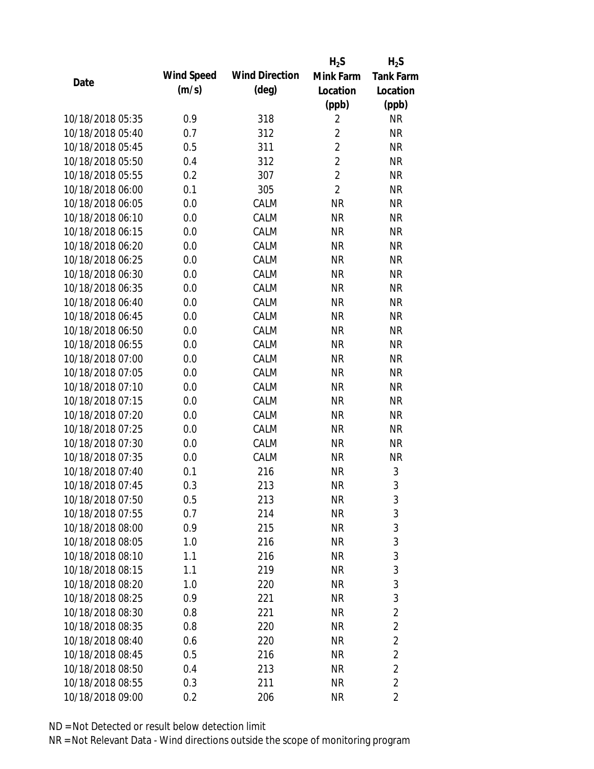|                  |            |                       | $H_2S$         | $H_2S$           |
|------------------|------------|-----------------------|----------------|------------------|
| Date             | Wind Speed | <b>Wind Direction</b> | Mink Farm      | <b>Tank Farm</b> |
|                  | (m/s)      | $(\text{deg})$        | Location       | Location         |
|                  |            |                       | (ppb)          | (ppb)            |
| 10/18/2018 05:35 | 0.9        | 318                   | 2              | <b>NR</b>        |
| 10/18/2018 05:40 | 0.7        | 312                   | $\overline{2}$ | <b>NR</b>        |
| 10/18/2018 05:45 | 0.5        | 311                   | $\overline{2}$ | <b>NR</b>        |
| 10/18/2018 05:50 | 0.4        | 312                   | $\overline{2}$ | <b>NR</b>        |
| 10/18/2018 05:55 | 0.2        | 307                   | $\overline{2}$ | <b>NR</b>        |
| 10/18/2018 06:00 | 0.1        | 305                   | $\overline{2}$ | <b>NR</b>        |
| 10/18/2018 06:05 | 0.0        | CALM                  | <b>NR</b>      | <b>NR</b>        |
| 10/18/2018 06:10 | 0.0        | CALM                  | <b>NR</b>      | <b>NR</b>        |
| 10/18/2018 06:15 | 0.0        | CALM                  | <b>NR</b>      | <b>NR</b>        |
| 10/18/2018 06:20 | 0.0        | CALM                  | <b>NR</b>      | <b>NR</b>        |
| 10/18/2018 06:25 | 0.0        | CALM                  | <b>NR</b>      | <b>NR</b>        |
| 10/18/2018 06:30 | 0.0        | CALM                  | <b>NR</b>      | <b>NR</b>        |
| 10/18/2018 06:35 | 0.0        | CALM                  | <b>NR</b>      | <b>NR</b>        |
| 10/18/2018 06:40 | 0.0        | CALM                  | <b>NR</b>      | <b>NR</b>        |
| 10/18/2018 06:45 | 0.0        | CALM                  | <b>NR</b>      | <b>NR</b>        |
| 10/18/2018 06:50 | 0.0        | CALM                  | <b>NR</b>      | <b>NR</b>        |
| 10/18/2018 06:55 | 0.0        | CALM                  | <b>NR</b>      | <b>NR</b>        |
| 10/18/2018 07:00 | 0.0        | CALM                  | <b>NR</b>      | <b>NR</b>        |
| 10/18/2018 07:05 | 0.0        | CALM                  | <b>NR</b>      | <b>NR</b>        |
| 10/18/2018 07:10 | 0.0        | CALM                  | <b>NR</b>      | <b>NR</b>        |
| 10/18/2018 07:15 | 0.0        | CALM                  | <b>NR</b>      | <b>NR</b>        |
| 10/18/2018 07:20 | 0.0        | CALM                  | <b>NR</b>      | <b>NR</b>        |
| 10/18/2018 07:25 | 0.0        | CALM                  | <b>NR</b>      | <b>NR</b>        |
| 10/18/2018 07:30 | 0.0        | CALM                  | <b>NR</b>      | <b>NR</b>        |
| 10/18/2018 07:35 | 0.0        | CALM                  | <b>NR</b>      | <b>NR</b>        |
| 10/18/2018 07:40 | 0.1        | 216                   | <b>NR</b>      | 3                |
| 10/18/2018 07:45 | 0.3        | 213                   | <b>NR</b>      | 3                |
| 10/18/2018 07:50 | 0.5        | 213                   | <b>NR</b>      | 3                |
| 10/18/2018 07:55 | 0.7        | 214                   | <b>NR</b>      | 3                |
| 10/18/2018 08:00 | 0.9        | 215                   | <b>NR</b>      | 3                |
| 10/18/2018 08:05 | 1.0        | 216                   | <b>NR</b>      | 3                |
| 10/18/2018 08:10 | 1.1        | 216                   | <b>NR</b>      | 3                |
| 10/18/2018 08:15 | 1.1        | 219                   | <b>NR</b>      | 3                |
| 10/18/2018 08:20 | 1.0        | 220                   | <b>NR</b>      | 3                |
| 10/18/2018 08:25 | 0.9        | 221                   | <b>NR</b>      | 3                |
| 10/18/2018 08:30 | 0.8        | 221                   | <b>NR</b>      | $\overline{2}$   |
| 10/18/2018 08:35 | 0.8        | 220                   | <b>NR</b>      | $\overline{2}$   |
| 10/18/2018 08:40 | 0.6        | 220                   | <b>NR</b>      | $\overline{2}$   |
| 10/18/2018 08:45 | 0.5        | 216                   | <b>NR</b>      | $\overline{2}$   |
| 10/18/2018 08:50 | 0.4        | 213                   | <b>NR</b>      | $\overline{2}$   |
| 10/18/2018 08:55 | 0.3        | 211                   | <b>NR</b>      | $\overline{2}$   |
| 10/18/2018 09:00 | 0.2        | 206                   | <b>NR</b>      | 2                |
|                  |            |                       |                |                  |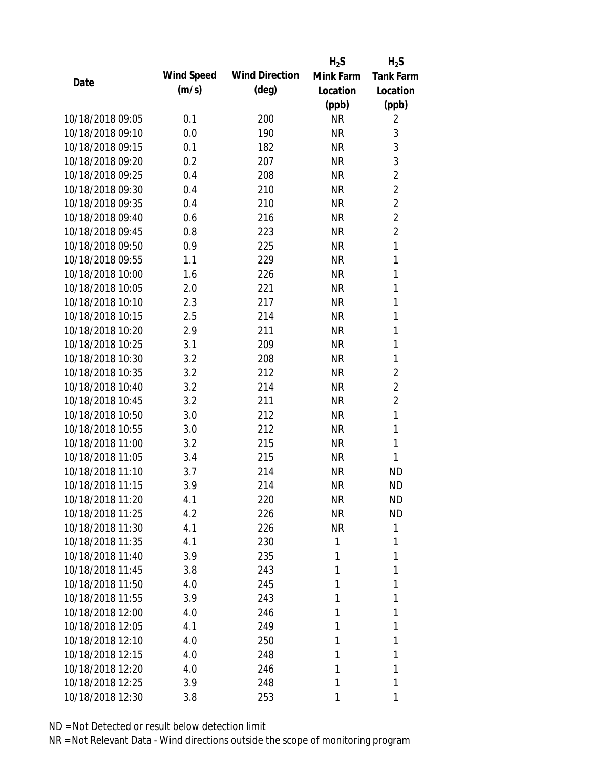|                  |            |                       | $H_2S$    | $H_2S$           |
|------------------|------------|-----------------------|-----------|------------------|
| Date             | Wind Speed | <b>Wind Direction</b> | Mink Farm | <b>Tank Farm</b> |
|                  | (m/s)      | $(\text{deg})$        | Location  | Location         |
|                  |            |                       | (ppb)     | (ppb)            |
| 10/18/2018 09:05 | 0.1        | 200                   | <b>NR</b> | 2                |
| 10/18/2018 09:10 | 0.0        | 190                   | <b>NR</b> | 3                |
| 10/18/2018 09:15 | 0.1        | 182                   | <b>NR</b> | 3                |
| 10/18/2018 09:20 | 0.2        | 207                   | <b>NR</b> | 3                |
| 10/18/2018 09:25 | 0.4        | 208                   | <b>NR</b> | $\overline{2}$   |
| 10/18/2018 09:30 | 0.4        | 210                   | <b>NR</b> | $\overline{2}$   |
| 10/18/2018 09:35 | 0.4        | 210                   | <b>NR</b> | $\overline{2}$   |
| 10/18/2018 09:40 | 0.6        | 216                   | <b>NR</b> | $\overline{2}$   |
| 10/18/2018 09:45 | 0.8        | 223                   | <b>NR</b> | $\overline{2}$   |
| 10/18/2018 09:50 | 0.9        | 225                   | <b>NR</b> | 1                |
| 10/18/2018 09:55 | 1.1        | 229                   | <b>NR</b> | 1                |
| 10/18/2018 10:00 | 1.6        | 226                   | <b>NR</b> | 1                |
| 10/18/2018 10:05 | 2.0        | 221                   | <b>NR</b> | 1                |
| 10/18/2018 10:10 | 2.3        | 217                   | <b>NR</b> | 1                |
| 10/18/2018 10:15 | 2.5        | 214                   | <b>NR</b> | 1                |
| 10/18/2018 10:20 | 2.9        | 211                   | <b>NR</b> | 1                |
| 10/18/2018 10:25 | 3.1        | 209                   | <b>NR</b> | 1                |
| 10/18/2018 10:30 | 3.2        | 208                   | <b>NR</b> | 1                |
| 10/18/2018 10:35 | 3.2        | 212                   | <b>NR</b> | $\overline{2}$   |
| 10/18/2018 10:40 | 3.2        | 214                   | <b>NR</b> | $\overline{2}$   |
| 10/18/2018 10:45 | 3.2        | 211                   | <b>NR</b> | $\overline{2}$   |
| 10/18/2018 10:50 | 3.0        | 212                   | <b>NR</b> | 1                |
| 10/18/2018 10:55 | 3.0        | 212                   | <b>NR</b> | 1                |
| 10/18/2018 11:00 | 3.2        | 215                   | <b>NR</b> | 1                |
| 10/18/2018 11:05 | 3.4        | 215                   | <b>NR</b> | 1                |
| 10/18/2018 11:10 | 3.7        | 214                   | <b>NR</b> | <b>ND</b>        |
| 10/18/2018 11:15 | 3.9        | 214                   | <b>NR</b> | <b>ND</b>        |
| 10/18/2018 11:20 | 4.1        | 220                   | <b>NR</b> | <b>ND</b>        |
| 10/18/2018 11:25 | 4.2        | 226                   | <b>NR</b> | <b>ND</b>        |
| 10/18/2018 11:30 | 4.1        | 226                   | <b>NR</b> | 1                |
| 10/18/2018 11:35 | 4.1        | 230                   | 1         | 1                |
| 10/18/2018 11:40 | 3.9        | 235                   | 1         | 1                |
| 10/18/2018 11:45 | 3.8        | 243                   | 1         | 1                |
| 10/18/2018 11:50 | 4.0        | 245                   | 1         | 1                |
| 10/18/2018 11:55 | 3.9        | 243                   | 1         | 1                |
| 10/18/2018 12:00 | 4.0        | 246                   | 1         | 1                |
| 10/18/2018 12:05 | 4.1        | 249                   | 1         | 1                |
| 10/18/2018 12:10 | 4.0        | 250                   | 1         | 1                |
| 10/18/2018 12:15 | 4.0        | 248                   | 1         | 1                |
| 10/18/2018 12:20 | 4.0        | 246                   | 1         | 1                |
| 10/18/2018 12:25 | 3.9        | 248                   | 1         | 1                |
| 10/18/2018 12:30 | 3.8        | 253                   | 1         | 1                |
|                  |            |                       |           |                  |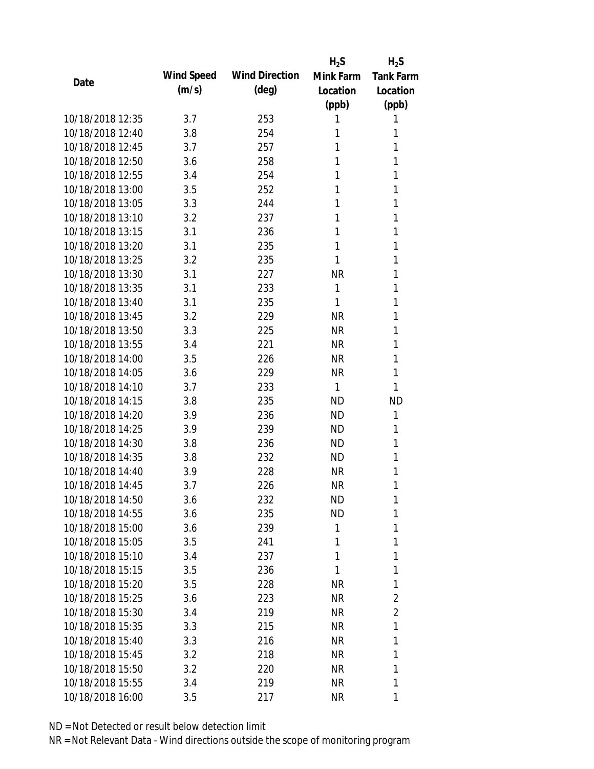|                  |            |                       | $H_2S$    | $H_2S$           |
|------------------|------------|-----------------------|-----------|------------------|
| Date             | Wind Speed | <b>Wind Direction</b> | Mink Farm | <b>Tank Farm</b> |
|                  | (m/s)      | $(\text{deg})$        | Location  | Location         |
|                  |            |                       | (ppb)     | (ppb)            |
| 10/18/2018 12:35 | 3.7        | 253                   | 1         | 1                |
| 10/18/2018 12:40 | 3.8        | 254                   | 1         | 1                |
| 10/18/2018 12:45 | 3.7        | 257                   | 1         | 1                |
| 10/18/2018 12:50 | 3.6        | 258                   | 1         | 1                |
| 10/18/2018 12:55 | 3.4        | 254                   | 1         | 1                |
| 10/18/2018 13:00 | 3.5        | 252                   | 1         | 1                |
| 10/18/2018 13:05 | 3.3        | 244                   | 1         | 1                |
| 10/18/2018 13:10 | 3.2        | 237                   | 1         | 1                |
| 10/18/2018 13:15 | 3.1        | 236                   | 1         | 1                |
| 10/18/2018 13:20 | 3.1        | 235                   | 1         | 1                |
| 10/18/2018 13:25 | 3.2        | 235                   | 1         | 1                |
| 10/18/2018 13:30 | 3.1        | 227                   | <b>NR</b> | 1                |
| 10/18/2018 13:35 | 3.1        | 233                   | 1         | 1                |
| 10/18/2018 13:40 | 3.1        | 235                   | 1         | 1                |
| 10/18/2018 13:45 | 3.2        | 229                   | <b>NR</b> | 1                |
| 10/18/2018 13:50 | 3.3        | 225                   | <b>NR</b> | 1                |
| 10/18/2018 13:55 | 3.4        | 221                   | <b>NR</b> | 1                |
| 10/18/2018 14:00 | 3.5        | 226                   | <b>NR</b> | 1                |
| 10/18/2018 14:05 | 3.6        | 229                   | <b>NR</b> | 1                |
| 10/18/2018 14:10 | 3.7        | 233                   | 1         | 1                |
| 10/18/2018 14:15 | 3.8        | 235                   | <b>ND</b> | <b>ND</b>        |
| 10/18/2018 14:20 | 3.9        | 236                   | <b>ND</b> | 1                |
| 10/18/2018 14:25 | 3.9        | 239                   | <b>ND</b> | 1                |
| 10/18/2018 14:30 | 3.8        | 236                   | <b>ND</b> | 1                |
| 10/18/2018 14:35 | 3.8        | 232                   | ND.       | 1                |
| 10/18/2018 14:40 | 3.9        | 228                   | <b>NR</b> | 1                |
| 10/18/2018 14:45 | 3.7        | 226                   | <b>NR</b> | 1                |
| 10/18/2018 14:50 | 3.6        | 232                   | <b>ND</b> | 1                |
| 10/18/2018 14:55 | 3.6        | 235                   | <b>ND</b> | 1                |
| 10/18/2018 15:00 | 3.6        | 239                   | 1         | 1                |
| 10/18/2018 15:05 | 3.5        | 241                   | 1         | 1                |
| 10/18/2018 15:10 | 3.4        | 237                   | 1         | 1                |
| 10/18/2018 15:15 | 3.5        | 236                   | 1         | 1                |
| 10/18/2018 15:20 | 3.5        | 228                   | <b>NR</b> | 1                |
| 10/18/2018 15:25 | 3.6        | 223                   | <b>NR</b> | 2                |
| 10/18/2018 15:30 | 3.4        | 219                   | <b>NR</b> | 2                |
| 10/18/2018 15:35 | 3.3        | 215                   | <b>NR</b> | 1                |
| 10/18/2018 15:40 | 3.3        | 216                   | <b>NR</b> | 1                |
| 10/18/2018 15:45 | 3.2        | 218                   | <b>NR</b> | 1                |
| 10/18/2018 15:50 | 3.2        | 220                   | <b>NR</b> | 1                |
| 10/18/2018 15:55 | 3.4        | 219                   | <b>NR</b> | 1                |
| 10/18/2018 16:00 | 3.5        | 217                   | <b>NR</b> | 1                |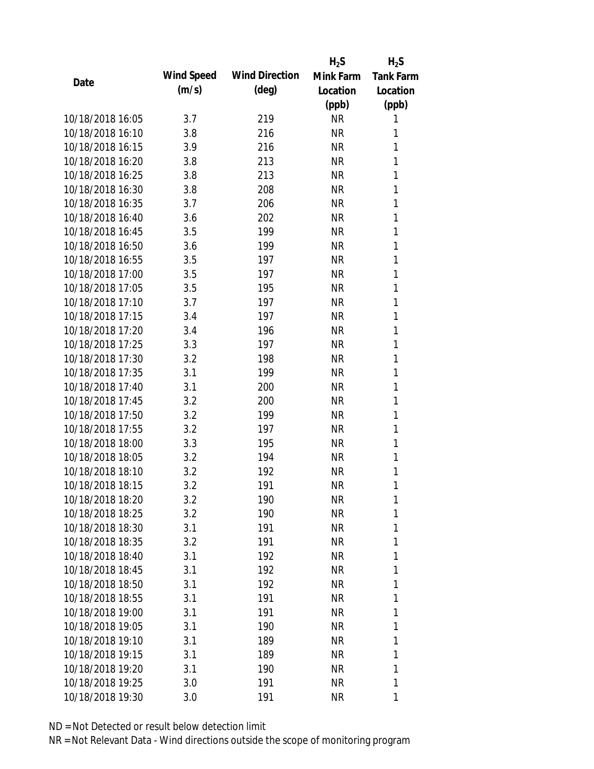|                  |            |                       | $H_2S$    | $H_2S$           |
|------------------|------------|-----------------------|-----------|------------------|
|                  | Wind Speed | <b>Wind Direction</b> | Mink Farm | <b>Tank Farm</b> |
| Date             | (m/s)      | $(\text{deg})$        | Location  | Location         |
|                  |            |                       | (ppb)     | (ppb)            |
| 10/18/2018 16:05 | 3.7        | 219                   | <b>NR</b> | 1                |
| 10/18/2018 16:10 | 3.8        | 216                   | <b>NR</b> | 1                |
| 10/18/2018 16:15 | 3.9        | 216                   | <b>NR</b> | 1                |
| 10/18/2018 16:20 | 3.8        | 213                   | <b>NR</b> | 1                |
| 10/18/2018 16:25 | 3.8        | 213                   | <b>NR</b> | 1                |
| 10/18/2018 16:30 | 3.8        | 208                   | <b>NR</b> | 1                |
| 10/18/2018 16:35 | 3.7        | 206                   | <b>NR</b> | 1                |
| 10/18/2018 16:40 | 3.6        | 202                   | <b>NR</b> | 1                |
| 10/18/2018 16:45 | 3.5        | 199                   | <b>NR</b> | 1                |
| 10/18/2018 16:50 | 3.6        | 199                   | <b>NR</b> | 1                |
| 10/18/2018 16:55 | 3.5        | 197                   | <b>NR</b> | 1                |
| 10/18/2018 17:00 | 3.5        | 197                   | <b>NR</b> | 1                |
| 10/18/2018 17:05 | 3.5        | 195                   | <b>NR</b> | 1                |
| 10/18/2018 17:10 | 3.7        | 197                   | <b>NR</b> | 1                |
| 10/18/2018 17:15 | 3.4        | 197                   | <b>NR</b> | 1                |
| 10/18/2018 17:20 | 3.4        | 196                   | <b>NR</b> | 1                |
| 10/18/2018 17:25 | 3.3        | 197                   | <b>NR</b> | 1                |
| 10/18/2018 17:30 | 3.2        | 198                   | <b>NR</b> | 1                |
| 10/18/2018 17:35 | 3.1        | 199                   | <b>NR</b> | 1                |
| 10/18/2018 17:40 | 3.1        | 200                   | <b>NR</b> | 1                |
| 10/18/2018 17:45 | 3.2        | 200                   | <b>NR</b> | 1                |
| 10/18/2018 17:50 | 3.2        | 199                   | <b>NR</b> | 1                |
| 10/18/2018 17:55 | 3.2        | 197                   | <b>NR</b> | 1                |
| 10/18/2018 18:00 | 3.3        | 195                   | <b>NR</b> | 1                |
| 10/18/2018 18:05 | 3.2        | 194                   | <b>NR</b> | 1                |
| 10/18/2018 18:10 | 3.2        | 192                   | <b>NR</b> | 1                |
| 10/18/2018 18:15 | 3.2        | 191                   | <b>NR</b> | 1                |
| 10/18/2018 18:20 | 3.2        | 190                   | <b>NR</b> | 1                |
| 10/18/2018 18:25 | 3.2        | 190                   | <b>NR</b> | 1                |
| 10/18/2018 18:30 | 3.1        | 191                   | <b>NR</b> | 1                |
| 10/18/2018 18:35 | 3.2        | 191                   | <b>NR</b> | 1                |
| 10/18/2018 18:40 | 3.1        | 192                   | <b>NR</b> | 1                |
| 10/18/2018 18:45 | 3.1        | 192                   | <b>NR</b> | 1                |
| 10/18/2018 18:50 | 3.1        | 192                   | <b>NR</b> | 1                |
| 10/18/2018 18:55 | 3.1        | 191                   | <b>NR</b> | 1                |
| 10/18/2018 19:00 | 3.1        | 191                   | <b>NR</b> | 1                |
| 10/18/2018 19:05 | 3.1        | 190                   | <b>NR</b> | 1                |
| 10/18/2018 19:10 | 3.1        | 189                   | <b>NR</b> | 1                |
| 10/18/2018 19:15 | 3.1        | 189                   | <b>NR</b> | 1                |
| 10/18/2018 19:20 | 3.1        | 190                   | <b>NR</b> | 1                |
| 10/18/2018 19:25 | 3.0        | 191                   | <b>NR</b> | 1                |
|                  |            |                       |           |                  |
| 10/18/2018 19:30 | 3.0        | 191                   | <b>NR</b> | 1                |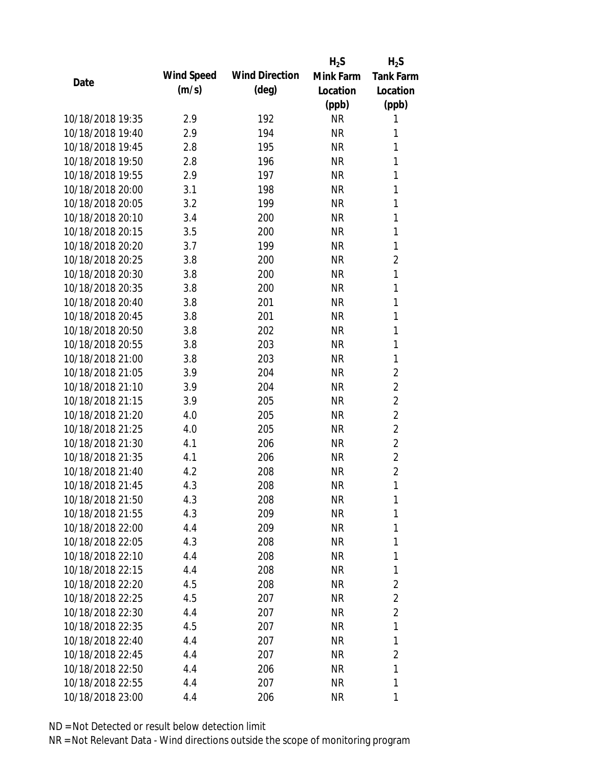|                  |            |                       | $H_2S$    | $H_2S$           |
|------------------|------------|-----------------------|-----------|------------------|
| Date             | Wind Speed | <b>Wind Direction</b> | Mink Farm | <b>Tank Farm</b> |
|                  | (m/s)      | $(\text{deg})$        | Location  | Location         |
|                  |            |                       | (ppb)     | (ppb)            |
| 10/18/2018 19:35 | 2.9        | 192                   | <b>NR</b> | 1                |
| 10/18/2018 19:40 | 2.9        | 194                   | <b>NR</b> | 1                |
| 10/18/2018 19:45 | 2.8        | 195                   | <b>NR</b> | 1                |
| 10/18/2018 19:50 | 2.8        | 196                   | <b>NR</b> | 1                |
| 10/18/2018 19:55 | 2.9        | 197                   | <b>NR</b> | 1                |
| 10/18/2018 20:00 | 3.1        | 198                   | <b>NR</b> | 1                |
| 10/18/2018 20:05 | 3.2        | 199                   | <b>NR</b> | 1                |
| 10/18/2018 20:10 | 3.4        | 200                   | <b>NR</b> | 1                |
| 10/18/2018 20:15 | 3.5        | 200                   | <b>NR</b> | 1                |
| 10/18/2018 20:20 | 3.7        | 199                   | <b>NR</b> | 1                |
| 10/18/2018 20:25 | 3.8        | 200                   | <b>NR</b> | $\overline{2}$   |
| 10/18/2018 20:30 | 3.8        | 200                   | <b>NR</b> | 1                |
| 10/18/2018 20:35 | 3.8        | 200                   | <b>NR</b> | 1                |
| 10/18/2018 20:40 | 3.8        | 201                   | <b>NR</b> | 1                |
| 10/18/2018 20:45 | 3.8        | 201                   | <b>NR</b> | 1                |
| 10/18/2018 20:50 | 3.8        | 202                   | <b>NR</b> | 1                |
| 10/18/2018 20:55 | 3.8        | 203                   | <b>NR</b> | 1                |
| 10/18/2018 21:00 | 3.8        | 203                   | <b>NR</b> | 1                |
| 10/18/2018 21:05 | 3.9        | 204                   | <b>NR</b> | $\overline{2}$   |
| 10/18/2018 21:10 | 3.9        | 204                   | <b>NR</b> | $\overline{2}$   |
| 10/18/2018 21:15 | 3.9        | 205                   | <b>NR</b> | $\overline{2}$   |
| 10/18/2018 21:20 | 4.0        | 205                   | <b>NR</b> | $\overline{2}$   |
| 10/18/2018 21:25 | 4.0        | 205                   | <b>NR</b> | $\overline{2}$   |
| 10/18/2018 21:30 | 4.1        | 206                   | <b>NR</b> | $\overline{2}$   |
| 10/18/2018 21:35 | 4.1        | 206                   | <b>NR</b> | $\overline{2}$   |
| 10/18/2018 21:40 | 4.2        | 208                   | <b>NR</b> | $\overline{2}$   |
| 10/18/2018 21:45 | 4.3        | 208                   | <b>NR</b> | 1                |
| 10/18/2018 21:50 | 4.3        | 208                   | <b>NR</b> | 1                |
| 10/18/2018 21:55 | 4.3        | 209                   | <b>NR</b> | 1                |
| 10/18/2018 22:00 | 4.4        | 209                   | <b>NR</b> | 1                |
| 10/18/2018 22:05 | 4.3        | 208                   | <b>NR</b> | 1                |
| 10/18/2018 22:10 | 4.4        | 208                   | <b>NR</b> | 1                |
| 10/18/2018 22:15 | 4.4        | 208                   | <b>NR</b> | 1                |
| 10/18/2018 22:20 | 4.5        | 208                   | <b>NR</b> | $\overline{2}$   |
| 10/18/2018 22:25 | 4.5        | 207                   | <b>NR</b> | $\overline{2}$   |
| 10/18/2018 22:30 | 4.4        | 207                   | <b>NR</b> | 2                |
| 10/18/2018 22:35 | 4.5        | 207                   | <b>NR</b> | 1                |
| 10/18/2018 22:40 | 4.4        | 207                   | <b>NR</b> | 1                |
| 10/18/2018 22:45 | 4.4        | 207                   | <b>NR</b> | $\overline{2}$   |
| 10/18/2018 22:50 | 4.4        | 206                   | <b>NR</b> | 1                |
| 10/18/2018 22:55 | 4.4        | 207                   | <b>NR</b> | 1                |
| 10/18/2018 23:00 | 4.4        | 206                   | <b>NR</b> | 1                |
|                  |            |                       |           |                  |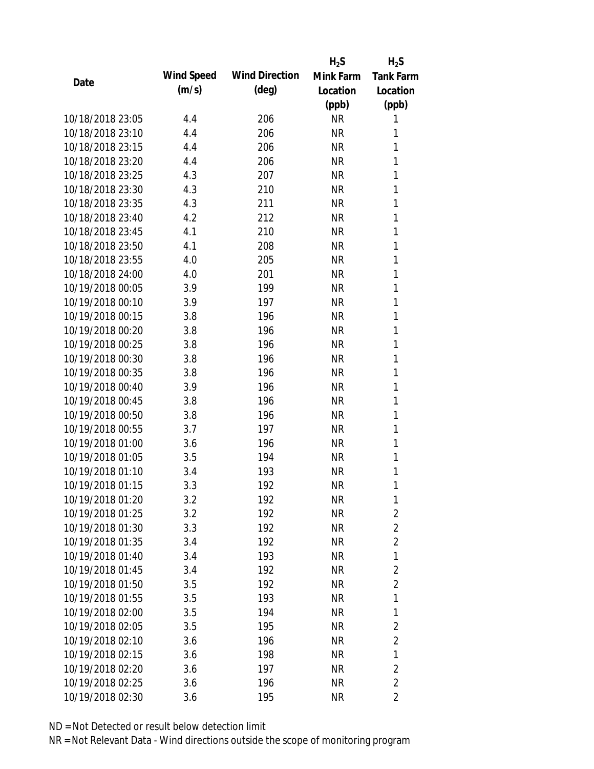|                  |            |                       | $H_2S$    | $H_2S$           |
|------------------|------------|-----------------------|-----------|------------------|
| Date             | Wind Speed | <b>Wind Direction</b> | Mink Farm | <b>Tank Farm</b> |
|                  | (m/s)      | $(\text{deg})$        | Location  | Location         |
|                  |            |                       | (ppb)     | (ppb)            |
| 10/18/2018 23:05 | 4.4        | 206                   | <b>NR</b> | 1                |
| 10/18/2018 23:10 | 4.4        | 206                   | <b>NR</b> | 1                |
| 10/18/2018 23:15 | 4.4        | 206                   | <b>NR</b> | 1                |
| 10/18/2018 23:20 | 4.4        | 206                   | <b>NR</b> | 1                |
| 10/18/2018 23:25 | 4.3        | 207                   | <b>NR</b> | 1                |
| 10/18/2018 23:30 | 4.3        | 210                   | <b>NR</b> | 1                |
| 10/18/2018 23:35 | 4.3        | 211                   | <b>NR</b> | 1                |
| 10/18/2018 23:40 | 4.2        | 212                   | <b>NR</b> | 1                |
| 10/18/2018 23:45 | 4.1        | 210                   | <b>NR</b> | 1                |
| 10/18/2018 23:50 | 4.1        | 208                   | <b>NR</b> | 1                |
| 10/18/2018 23:55 | 4.0        | 205                   | <b>NR</b> | 1                |
| 10/18/2018 24:00 | 4.0        | 201                   | <b>NR</b> | 1                |
| 10/19/2018 00:05 | 3.9        | 199                   | <b>NR</b> | 1                |
| 10/19/2018 00:10 | 3.9        | 197                   | <b>NR</b> | 1                |
| 10/19/2018 00:15 | 3.8        | 196                   | <b>NR</b> | 1                |
| 10/19/2018 00:20 | 3.8        | 196                   | <b>NR</b> | 1                |
| 10/19/2018 00:25 | 3.8        | 196                   | <b>NR</b> | 1                |
| 10/19/2018 00:30 | 3.8        | 196                   | <b>NR</b> | 1                |
| 10/19/2018 00:35 | 3.8        | 196                   | <b>NR</b> | 1                |
| 10/19/2018 00:40 | 3.9        | 196                   | <b>NR</b> | 1                |
| 10/19/2018 00:45 | 3.8        | 196                   | <b>NR</b> | 1                |
| 10/19/2018 00:50 | 3.8        | 196                   | <b>NR</b> | 1                |
| 10/19/2018 00:55 | 3.7        | 197                   | <b>NR</b> | 1                |
| 10/19/2018 01:00 | 3.6        | 196                   | <b>NR</b> | 1                |
| 10/19/2018 01:05 | 3.5        | 194                   | <b>NR</b> | 1                |
| 10/19/2018 01:10 | 3.4        | 193                   | <b>NR</b> | 1                |
| 10/19/2018 01:15 | 3.3        | 192                   | <b>NR</b> | 1                |
| 10/19/2018 01:20 | 3.2        | 192                   | <b>NR</b> | 1                |
| 10/19/2018 01:25 | 3.2        | 192                   | <b>NR</b> | $\overline{2}$   |
| 10/19/2018 01:30 | 3.3        | 192                   | <b>NR</b> | $\overline{2}$   |
| 10/19/2018 01:35 | 3.4        | 192                   | <b>NR</b> | $\overline{2}$   |
| 10/19/2018 01:40 | 3.4        | 193                   | <b>NR</b> | 1                |
| 10/19/2018 01:45 | 3.4        | 192                   | <b>NR</b> | $\overline{2}$   |
| 10/19/2018 01:50 | 3.5        | 192                   | <b>NR</b> | $\overline{2}$   |
| 10/19/2018 01:55 | 3.5        | 193                   | <b>NR</b> | 1                |
| 10/19/2018 02:00 | 3.5        | 194                   | <b>NR</b> | 1                |
| 10/19/2018 02:05 | 3.5        | 195                   | <b>NR</b> | $\overline{2}$   |
| 10/19/2018 02:10 | 3.6        | 196                   | <b>NR</b> | $\overline{2}$   |
| 10/19/2018 02:15 | 3.6        | 198                   | <b>NR</b> | 1                |
| 10/19/2018 02:20 | 3.6        | 197                   | <b>NR</b> | $\overline{2}$   |
| 10/19/2018 02:25 | 3.6        | 196                   | <b>NR</b> | $\overline{2}$   |
| 10/19/2018 02:30 | 3.6        | 195                   | <b>NR</b> | $\overline{2}$   |
|                  |            |                       |           |                  |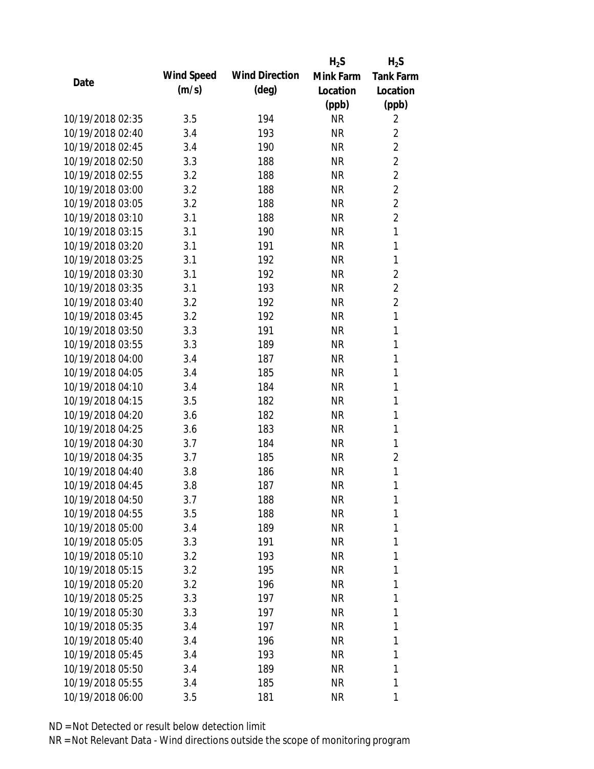|                  |            |                       | $H_2S$    | $H_2S$           |
|------------------|------------|-----------------------|-----------|------------------|
|                  | Wind Speed | <b>Wind Direction</b> | Mink Farm | <b>Tank Farm</b> |
| Date             | (m/s)      | $(\text{deg})$        | Location  | Location         |
|                  |            |                       | (ppb)     | (ppb)            |
| 10/19/2018 02:35 | 3.5        | 194                   | <b>NR</b> | $\overline{2}$   |
| 10/19/2018 02:40 | 3.4        | 193                   | <b>NR</b> | $\overline{2}$   |
| 10/19/2018 02:45 | 3.4        | 190                   | <b>NR</b> | $\overline{2}$   |
| 10/19/2018 02:50 | 3.3        | 188                   | <b>NR</b> | $\overline{2}$   |
| 10/19/2018 02:55 | 3.2        | 188                   | <b>NR</b> | $\overline{2}$   |
| 10/19/2018 03:00 | 3.2        | 188                   | <b>NR</b> | $\overline{2}$   |
| 10/19/2018 03:05 | 3.2        | 188                   | <b>NR</b> | $\overline{2}$   |
| 10/19/2018 03:10 | 3.1        | 188                   | <b>NR</b> | $\overline{2}$   |
| 10/19/2018 03:15 | 3.1        | 190                   | <b>NR</b> | 1                |
| 10/19/2018 03:20 | 3.1        | 191                   | <b>NR</b> | $\mathbf{1}$     |
| 10/19/2018 03:25 | 3.1        | 192                   | <b>NR</b> | 1                |
| 10/19/2018 03:30 | 3.1        | 192                   | <b>NR</b> | $\overline{2}$   |
| 10/19/2018 03:35 | 3.1        | 193                   | <b>NR</b> | $\overline{2}$   |
| 10/19/2018 03:40 | 3.2        | 192                   | <b>NR</b> | $\overline{2}$   |
| 10/19/2018 03:45 | 3.2        | 192                   | <b>NR</b> | $\mathbf{1}$     |
| 10/19/2018 03:50 | 3.3        | 191                   | <b>NR</b> | 1                |
| 10/19/2018 03:55 | 3.3        | 189                   | <b>NR</b> | 1                |
| 10/19/2018 04:00 | 3.4        | 187                   | <b>NR</b> | 1                |
| 10/19/2018 04:05 | 3.4        | 185                   | <b>NR</b> | 1                |
| 10/19/2018 04:10 | 3.4        | 184                   | <b>NR</b> | 1                |
| 10/19/2018 04:15 | 3.5        | 182                   | <b>NR</b> | 1                |
| 10/19/2018 04:20 | 3.6        | 182                   | <b>NR</b> | 1                |
| 10/19/2018 04:25 | 3.6        | 183                   | <b>NR</b> | 1                |
| 10/19/2018 04:30 | 3.7        | 184                   | <b>NR</b> | 1                |
| 10/19/2018 04:35 | 3.7        | 185                   | <b>NR</b> | $\overline{2}$   |
| 10/19/2018 04:40 | 3.8        | 186                   | <b>NR</b> | 1                |
| 10/19/2018 04:45 | 3.8        | 187                   | <b>NR</b> | 1                |
| 10/19/2018 04:50 | 3.7        | 188                   | <b>NR</b> | 1                |
| 10/19/2018 04:55 | 3.5        | 188                   | <b>NR</b> | 1                |
| 10/19/2018 05:00 | 3.4        | 189                   | <b>NR</b> | 1                |
| 10/19/2018 05:05 | 3.3        | 191                   | <b>NR</b> | 1                |
| 10/19/2018 05:10 | 3.2        | 193                   | <b>NR</b> | 1                |
| 10/19/2018 05:15 | 3.2        | 195                   | <b>NR</b> | 1                |
| 10/19/2018 05:20 | 3.2        | 196                   | <b>NR</b> | 1                |
| 10/19/2018 05:25 | 3.3        | 197                   | <b>NR</b> | 1                |
| 10/19/2018 05:30 | 3.3        | 197                   | <b>NR</b> | 1                |
| 10/19/2018 05:35 | 3.4        | 197                   | <b>NR</b> | 1                |
| 10/19/2018 05:40 | 3.4        | 196                   | <b>NR</b> | 1                |
| 10/19/2018 05:45 | 3.4        | 193                   | <b>NR</b> | 1                |
| 10/19/2018 05:50 | 3.4        | 189                   | <b>NR</b> | 1                |
| 10/19/2018 05:55 | 3.4        | 185                   | <b>NR</b> | 1                |
|                  |            |                       |           |                  |
| 10/19/2018 06:00 | 3.5        | 181                   | <b>NR</b> | 1                |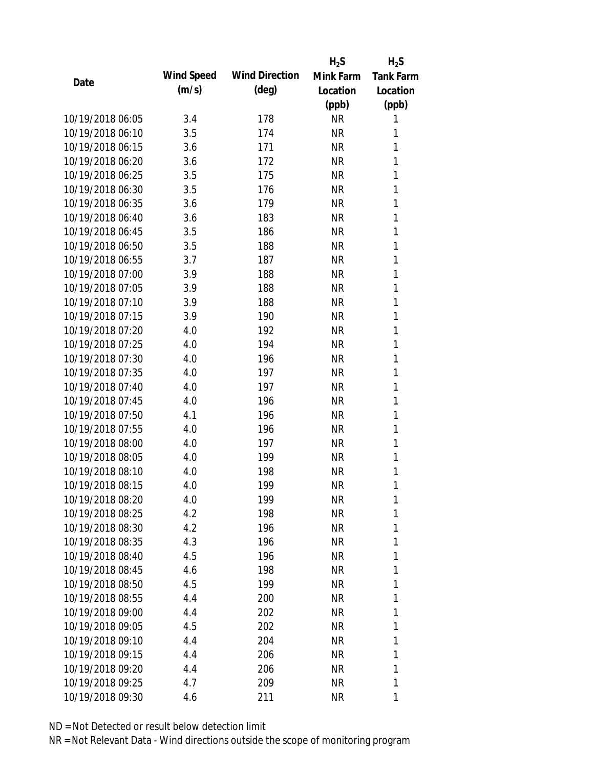|                  |            |                       | $H_2S$    | $H_2S$           |
|------------------|------------|-----------------------|-----------|------------------|
|                  | Wind Speed | <b>Wind Direction</b> | Mink Farm | <b>Tank Farm</b> |
| Date             | (m/s)      | $(\text{deg})$        | Location  | Location         |
|                  |            |                       | (ppb)     | (ppb)            |
| 10/19/2018 06:05 | 3.4        | 178                   | <b>NR</b> | 1                |
| 10/19/2018 06:10 | 3.5        | 174                   | <b>NR</b> | 1                |
| 10/19/2018 06:15 | 3.6        | 171                   | <b>NR</b> | 1                |
| 10/19/2018 06:20 | 3.6        | 172                   | <b>NR</b> | $\mathbf{1}$     |
| 10/19/2018 06:25 | 3.5        | 175                   | <b>NR</b> | 1                |
| 10/19/2018 06:30 | 3.5        | 176                   | <b>NR</b> | 1                |
| 10/19/2018 06:35 | 3.6        | 179                   | <b>NR</b> | 1                |
| 10/19/2018 06:40 | 3.6        | 183                   | <b>NR</b> | 1                |
| 10/19/2018 06:45 | 3.5        | 186                   | <b>NR</b> | 1                |
| 10/19/2018 06:50 | 3.5        | 188                   | <b>NR</b> | 1                |
| 10/19/2018 06:55 | 3.7        | 187                   | <b>NR</b> | 1                |
| 10/19/2018 07:00 | 3.9        | 188                   | <b>NR</b> | 1                |
| 10/19/2018 07:05 | 3.9        | 188                   | <b>NR</b> | 1                |
| 10/19/2018 07:10 | 3.9        | 188                   | <b>NR</b> | 1                |
| 10/19/2018 07:15 | 3.9        | 190                   | <b>NR</b> | 1                |
| 10/19/2018 07:20 | 4.0        | 192                   | <b>NR</b> | 1                |
| 10/19/2018 07:25 | 4.0        | 194                   | <b>NR</b> | 1                |
| 10/19/2018 07:30 | 4.0        | 196                   | <b>NR</b> | $\mathbf{1}$     |
| 10/19/2018 07:35 | 4.0        | 197                   | <b>NR</b> | 1                |
| 10/19/2018 07:40 | 4.0        | 197                   | <b>NR</b> | 1                |
| 10/19/2018 07:45 | 4.0        | 196                   | <b>NR</b> | 1                |
| 10/19/2018 07:50 | 4.1        | 196                   | <b>NR</b> | 1                |
| 10/19/2018 07:55 | 4.0        | 196                   | <b>NR</b> | $\mathbf{1}$     |
| 10/19/2018 08:00 | 4.0        | 197                   | <b>NR</b> | 1                |
| 10/19/2018 08:05 | 4.0        | 199                   | <b>NR</b> | 1                |
| 10/19/2018 08:10 | 4.0        | 198                   | <b>NR</b> | 1                |
| 10/19/2018 08:15 | 4.0        | 199                   | <b>NR</b> | 1                |
| 10/19/2018 08:20 | 4.0        | 199                   | <b>NR</b> | 1                |
| 10/19/2018 08:25 | 4.2        | 198                   | <b>NR</b> | 1                |
| 10/19/2018 08:30 | 4.2        | 196                   | <b>NR</b> | 1                |
| 10/19/2018 08:35 | 4.3        | 196                   | <b>NR</b> | 1                |
| 10/19/2018 08:40 | 4.5        | 196                   | <b>NR</b> | 1                |
| 10/19/2018 08:45 | 4.6        | 198                   | <b>NR</b> | 1                |
| 10/19/2018 08:50 | 4.5        | 199                   | <b>NR</b> | 1                |
| 10/19/2018 08:55 | 4.4        | 200                   | <b>NR</b> | 1                |
| 10/19/2018 09:00 | 4.4        | 202                   | <b>NR</b> | 1                |
| 10/19/2018 09:05 | 4.5        | 202                   | NR        | 1                |
| 10/19/2018 09:10 | 4.4        | 204                   | <b>NR</b> | 1                |
| 10/19/2018 09:15 | 4.4        | 206                   | <b>NR</b> | 1                |
| 10/19/2018 09:20 | 4.4        | 206                   | <b>NR</b> | 1                |
| 10/19/2018 09:25 | 4.7        | 209                   | <b>NR</b> | 1                |
| 10/19/2018 09:30 | 4.6        | 211                   | <b>NR</b> | 1                |
|                  |            |                       |           |                  |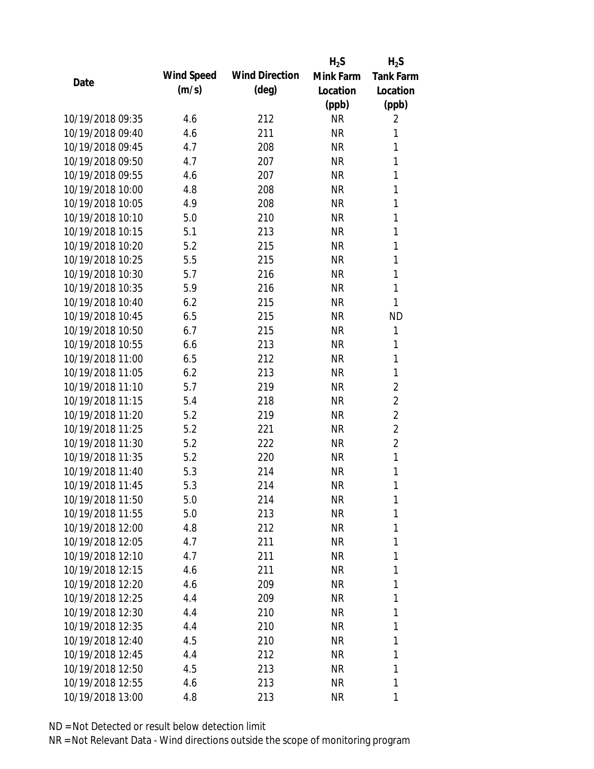|                  |            |                       | $H_2S$    | $H_2S$           |
|------------------|------------|-----------------------|-----------|------------------|
|                  | Wind Speed | <b>Wind Direction</b> | Mink Farm | <b>Tank Farm</b> |
| Date             | (m/s)      | $(\text{deg})$        | Location  | Location         |
|                  |            |                       | (ppb)     | (ppb)            |
| 10/19/2018 09:35 | 4.6        | 212                   | <b>NR</b> | 2                |
| 10/19/2018 09:40 | 4.6        | 211                   | <b>NR</b> | 1                |
| 10/19/2018 09:45 | 4.7        | 208                   | <b>NR</b> | 1                |
| 10/19/2018 09:50 | 4.7        | 207                   | <b>NR</b> | 1                |
| 10/19/2018 09:55 | 4.6        | 207                   | <b>NR</b> | 1                |
| 10/19/2018 10:00 | 4.8        | 208                   | <b>NR</b> | 1                |
| 10/19/2018 10:05 | 4.9        | 208                   | <b>NR</b> | 1                |
| 10/19/2018 10:10 | 5.0        | 210                   | <b>NR</b> | 1                |
| 10/19/2018 10:15 | 5.1        | 213                   | <b>NR</b> | 1                |
| 10/19/2018 10:20 | 5.2        | 215                   | <b>NR</b> | 1                |
| 10/19/2018 10:25 | 5.5        | 215                   | <b>NR</b> | 1                |
| 10/19/2018 10:30 | 5.7        | 216                   | <b>NR</b> | 1                |
| 10/19/2018 10:35 | 5.9        | 216                   | <b>NR</b> | 1                |
| 10/19/2018 10:40 | 6.2        | 215                   | <b>NR</b> | 1                |
| 10/19/2018 10:45 | 6.5        | 215                   | <b>NR</b> | <b>ND</b>        |
| 10/19/2018 10:50 | 6.7        | 215                   | <b>NR</b> | 1                |
| 10/19/2018 10:55 | 6.6        | 213                   | <b>NR</b> | 1                |
| 10/19/2018 11:00 | 6.5        | 212                   | <b>NR</b> | 1                |
| 10/19/2018 11:05 | 6.2        | 213                   | <b>NR</b> | 1                |
| 10/19/2018 11:10 | 5.7        | 219                   | <b>NR</b> | $\overline{2}$   |
| 10/19/2018 11:15 | 5.4        | 218                   | <b>NR</b> | $\overline{2}$   |
| 10/19/2018 11:20 | 5.2        | 219                   | <b>NR</b> | $\overline{2}$   |
| 10/19/2018 11:25 | 5.2        | 221                   | <b>NR</b> | $\overline{2}$   |
| 10/19/2018 11:30 | 5.2        | 222                   | <b>NR</b> | $\overline{2}$   |
| 10/19/2018 11:35 | 5.2        | 220                   | <b>NR</b> | 1                |
| 10/19/2018 11:40 | 5.3        | 214                   | <b>NR</b> | 1                |
| 10/19/2018 11:45 | 5.3        | 214                   | <b>NR</b> | 1                |
| 10/19/2018 11:50 | 5.0        | 214                   | <b>NR</b> | 1                |
| 10/19/2018 11:55 | 5.0        | 213                   | <b>NR</b> | 1                |
| 10/19/2018 12:00 | 4.8        | 212                   | <b>NR</b> | 1                |
| 10/19/2018 12:05 | 4.7        | 211                   | <b>NR</b> | 1                |
| 10/19/2018 12:10 | 4.7        | 211                   | <b>NR</b> | 1                |
| 10/19/2018 12:15 | 4.6        | 211                   | <b>NR</b> | 1                |
| 10/19/2018 12:20 | 4.6        | 209                   | <b>NR</b> | 1                |
| 10/19/2018 12:25 | 4.4        | 209                   | <b>NR</b> | 1                |
| 10/19/2018 12:30 | 4.4        | 210                   | <b>NR</b> | 1                |
| 10/19/2018 12:35 | 4.4        | 210                   | NR        | 1                |
| 10/19/2018 12:40 | 4.5        | 210                   | <b>NR</b> | 1                |
| 10/19/2018 12:45 | 4.4        | 212                   | <b>NR</b> | 1                |
| 10/19/2018 12:50 | 4.5        | 213                   | <b>NR</b> | 1                |
| 10/19/2018 12:55 | 4.6        | 213                   | <b>NR</b> | 1                |
| 10/19/2018 13:00 | 4.8        | 213                   | <b>NR</b> | 1                |
|                  |            |                       |           |                  |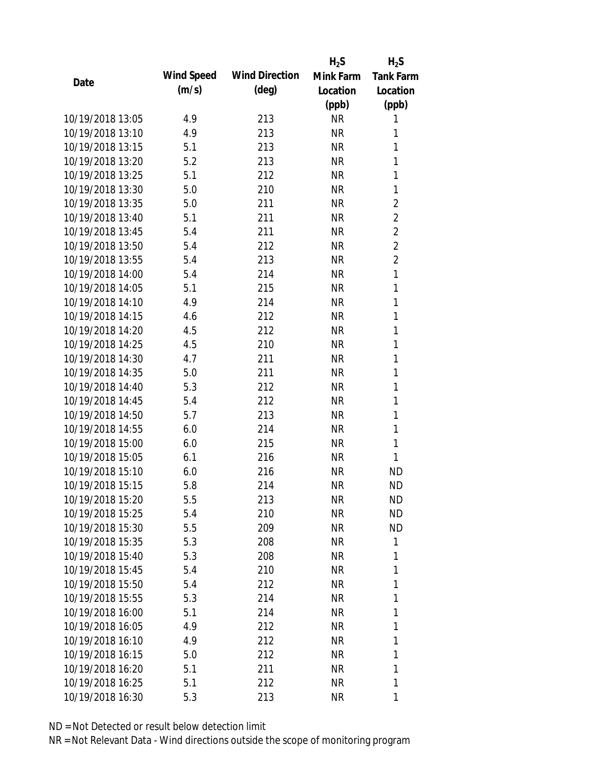|                  |            |                       | $H_2S$    | $H_2S$           |
|------------------|------------|-----------------------|-----------|------------------|
|                  | Wind Speed | <b>Wind Direction</b> | Mink Farm | <b>Tank Farm</b> |
| Date             | (m/s)      | $(\text{deg})$        | Location  | Location         |
|                  |            |                       | (ppb)     | (ppb)            |
| 10/19/2018 13:05 | 4.9        | 213                   | <b>NR</b> | 1                |
| 10/19/2018 13:10 | 4.9        | 213                   | <b>NR</b> | 1                |
| 10/19/2018 13:15 | 5.1        | 213                   | <b>NR</b> | 1                |
| 10/19/2018 13:20 | 5.2        | 213                   | <b>NR</b> | $\mathbf{1}$     |
| 10/19/2018 13:25 | 5.1        | 212                   | <b>NR</b> | 1                |
| 10/19/2018 13:30 | 5.0        | 210                   | <b>NR</b> | 1                |
| 10/19/2018 13:35 | 5.0        | 211                   | <b>NR</b> | $\overline{2}$   |
| 10/19/2018 13:40 | 5.1        | 211                   | <b>NR</b> | $\overline{2}$   |
| 10/19/2018 13:45 | 5.4        | 211                   | <b>NR</b> | $\overline{2}$   |
| 10/19/2018 13:50 | 5.4        | 212                   | <b>NR</b> | $\overline{2}$   |
| 10/19/2018 13:55 | 5.4        | 213                   | <b>NR</b> | $\overline{2}$   |
| 10/19/2018 14:00 | 5.4        | 214                   | <b>NR</b> | 1                |
| 10/19/2018 14:05 | 5.1        | 215                   | <b>NR</b> | $\mathbf{1}$     |
| 10/19/2018 14:10 | 4.9        | 214                   | <b>NR</b> | 1                |
| 10/19/2018 14:15 | 4.6        | 212                   | <b>NR</b> | 1                |
| 10/19/2018 14:20 | 4.5        | 212                   | <b>NR</b> | 1                |
| 10/19/2018 14:25 | 4.5        | 210                   | <b>NR</b> | 1                |
| 10/19/2018 14:30 | 4.7        | 211                   | <b>NR</b> | $\mathbf{1}$     |
| 10/19/2018 14:35 | 5.0        | 211                   | <b>NR</b> | 1                |
| 10/19/2018 14:40 | 5.3        | 212                   | <b>NR</b> | 1                |
| 10/19/2018 14:45 | 5.4        | 212                   | <b>NR</b> | 1                |
| 10/19/2018 14:50 | 5.7        | 213                   | <b>NR</b> | 1                |
| 10/19/2018 14:55 | 6.0        | 214                   | <b>NR</b> | $\mathbf{1}$     |
| 10/19/2018 15:00 | 6.0        | 215                   | <b>NR</b> | $\mathbf{1}$     |
| 10/19/2018 15:05 | 6.1        | 216                   | <b>NR</b> | 1                |
| 10/19/2018 15:10 | 6.0        | 216                   | <b>NR</b> | <b>ND</b>        |
| 10/19/2018 15:15 | 5.8        | 214                   | <b>NR</b> | <b>ND</b>        |
| 10/19/2018 15:20 | 5.5        | 213                   | <b>NR</b> | <b>ND</b>        |
| 10/19/2018 15:25 | 5.4        | 210                   | <b>NR</b> | <b>ND</b>        |
| 10/19/2018 15:30 | 5.5        | 209                   | NR        | <b>ND</b>        |
| 10/19/2018 15:35 | 5.3        | 208                   | NR        | 1                |
| 10/19/2018 15:40 | 5.3        | 208                   | <b>NR</b> | 1                |
| 10/19/2018 15:45 | 5.4        | 210                   | <b>NR</b> | 1                |
| 10/19/2018 15:50 | 5.4        | 212                   | <b>NR</b> | 1                |
| 10/19/2018 15:55 | 5.3        | 214                   | <b>NR</b> | 1                |
| 10/19/2018 16:00 | 5.1        | 214                   | <b>NR</b> | 1                |
| 10/19/2018 16:05 | 4.9        | 212                   | <b>NR</b> | 1                |
| 10/19/2018 16:10 | 4.9        | 212                   | NR        | 1                |
| 10/19/2018 16:15 | 5.0        | 212                   | <b>NR</b> | 1                |
| 10/19/2018 16:20 | 5.1        | 211                   | <b>NR</b> | 1                |
| 10/19/2018 16:25 | 5.1        | 212                   | <b>NR</b> | 1                |
|                  |            |                       |           |                  |
| 10/19/2018 16:30 | 5.3        | 213                   | <b>NR</b> | 1                |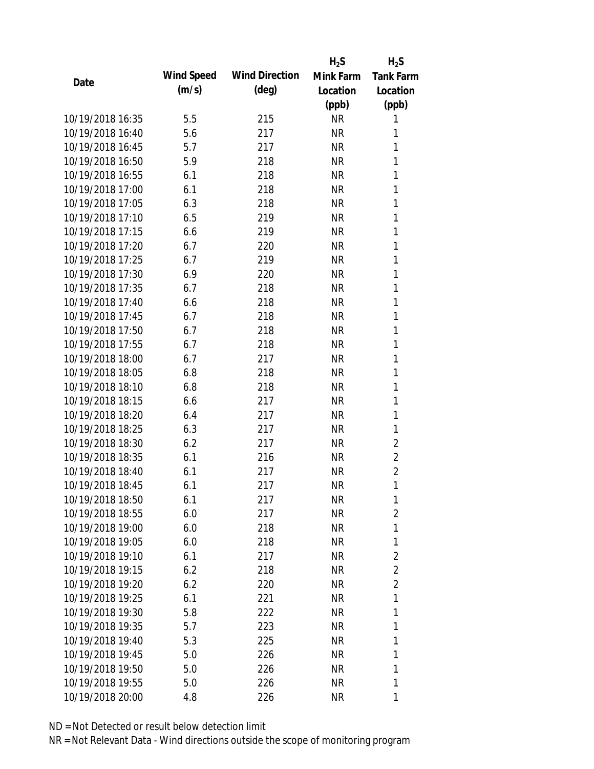|                  |            |                       | $H_2S$    | $H_2S$           |
|------------------|------------|-----------------------|-----------|------------------|
| Date             | Wind Speed | <b>Wind Direction</b> | Mink Farm | <b>Tank Farm</b> |
|                  | (m/s)      | $(\text{deg})$        | Location  | Location         |
|                  |            |                       | (ppb)     | (ppb)            |
| 10/19/2018 16:35 | 5.5        | 215                   | <b>NR</b> | 1                |
| 10/19/2018 16:40 | 5.6        | 217                   | <b>NR</b> | 1                |
| 10/19/2018 16:45 | 5.7        | 217                   | <b>NR</b> | 1                |
| 10/19/2018 16:50 | 5.9        | 218                   | <b>NR</b> | 1                |
| 10/19/2018 16:55 | 6.1        | 218                   | <b>NR</b> | 1                |
| 10/19/2018 17:00 | 6.1        | 218                   | <b>NR</b> | 1                |
| 10/19/2018 17:05 | 6.3        | 218                   | <b>NR</b> | 1                |
| 10/19/2018 17:10 | 6.5        | 219                   | <b>NR</b> | $\mathbf{1}$     |
| 10/19/2018 17:15 | 6.6        | 219                   | <b>NR</b> | 1                |
| 10/19/2018 17:20 | 6.7        | 220                   | <b>NR</b> | 1                |
| 10/19/2018 17:25 | 6.7        | 219                   | <b>NR</b> | 1                |
| 10/19/2018 17:30 | 6.9        | 220                   | <b>NR</b> | 1                |
| 10/19/2018 17:35 | 6.7        | 218                   | <b>NR</b> | 1                |
| 10/19/2018 17:40 | 6.6        | 218                   | <b>NR</b> | 1                |
| 10/19/2018 17:45 | 6.7        | 218                   | <b>NR</b> | 1                |
| 10/19/2018 17:50 | 6.7        | 218                   | <b>NR</b> | 1                |
| 10/19/2018 17:55 | 6.7        | 218                   | <b>NR</b> | 1                |
| 10/19/2018 18:00 | 6.7        | 217                   | <b>NR</b> | $\mathbf{1}$     |
| 10/19/2018 18:05 | 6.8        | 218                   | <b>NR</b> | 1                |
| 10/19/2018 18:10 | 6.8        | 218                   | <b>NR</b> | 1                |
| 10/19/2018 18:15 | 6.6        | 217                   | <b>NR</b> | 1                |
| 10/19/2018 18:20 | 6.4        | 217                   | <b>NR</b> | 1                |
| 10/19/2018 18:25 | 6.3        | 217                   | <b>NR</b> | 1                |
| 10/19/2018 18:30 | 6.2        | 217                   | <b>NR</b> | $\overline{2}$   |
| 10/19/2018 18:35 | 6.1        | 216                   | <b>NR</b> | $\overline{2}$   |
| 10/19/2018 18:40 | 6.1        | 217                   | <b>NR</b> | $\overline{2}$   |
| 10/19/2018 18:45 | 6.1        | 217                   | <b>NR</b> | 1                |
| 10/19/2018 18:50 | 6.1        | 217                   | <b>NR</b> | 1                |
| 10/19/2018 18:55 | 6.0        | 217                   | <b>NR</b> | 2                |
| 10/19/2018 19:00 | 6.0        | 218                   | <b>NR</b> | 1                |
| 10/19/2018 19:05 | 6.0        | 218                   | <b>NR</b> | 1                |
| 10/19/2018 19:10 | 6.1        | 217                   | <b>NR</b> | $\overline{2}$   |
| 10/19/2018 19:15 | 6.2        | 218                   | <b>NR</b> | 2                |
| 10/19/2018 19:20 | 6.2        | 220                   | <b>NR</b> | $\overline{2}$   |
| 10/19/2018 19:25 | 6.1        | 221                   | <b>NR</b> | 1                |
| 10/19/2018 19:30 | 5.8        | 222                   | <b>NR</b> | 1                |
| 10/19/2018 19:35 | 5.7        | 223                   | <b>NR</b> | 1                |
| 10/19/2018 19:40 | 5.3        | 225                   | NR        | 1                |
| 10/19/2018 19:45 | 5.0        | 226                   | <b>NR</b> | 1                |
| 10/19/2018 19:50 | 5.0        | 226                   | <b>NR</b> | 1                |
| 10/19/2018 19:55 | 5.0        | 226                   | <b>NR</b> | 1                |
| 10/19/2018 20:00 | 4.8        | 226                   | <b>NR</b> | 1                |
|                  |            |                       |           |                  |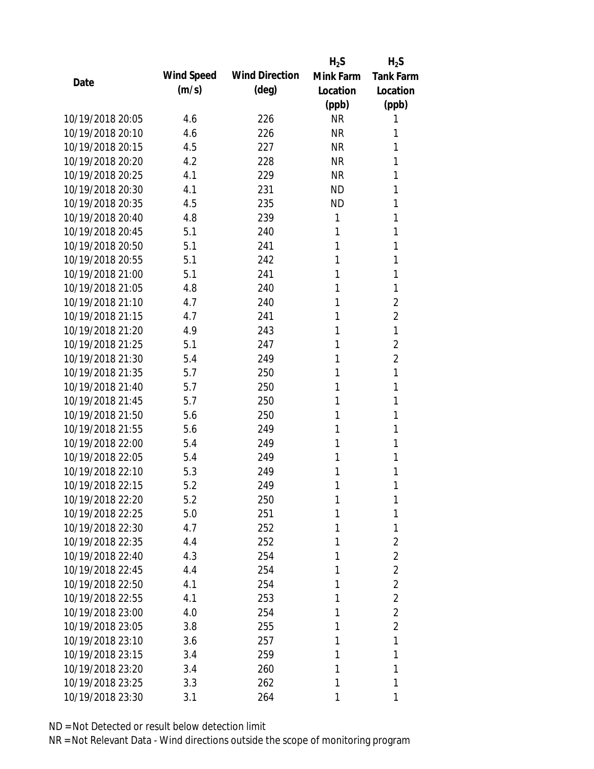|                  |            |                       | $H_2S$    | $H_2S$           |
|------------------|------------|-----------------------|-----------|------------------|
|                  | Wind Speed | <b>Wind Direction</b> | Mink Farm | <b>Tank Farm</b> |
| Date             | (m/s)      | $(\text{deg})$        | Location  | Location         |
|                  |            |                       | (ppb)     | (ppb)            |
| 10/19/2018 20:05 | 4.6        | 226                   | <b>NR</b> | 1                |
| 10/19/2018 20:10 | 4.6        | 226                   | <b>NR</b> | 1                |
| 10/19/2018 20:15 | 4.5        | 227                   | <b>NR</b> | 1                |
| 10/19/2018 20:20 | 4.2        | 228                   | <b>NR</b> | 1                |
| 10/19/2018 20:25 | 4.1        | 229                   | <b>NR</b> | 1                |
| 10/19/2018 20:30 | 4.1        | 231                   | <b>ND</b> | 1                |
| 10/19/2018 20:35 | 4.5        | 235                   | <b>ND</b> | 1                |
| 10/19/2018 20:40 | 4.8        | 239                   | 1         | 1                |
| 10/19/2018 20:45 | 5.1        | 240                   | 1         | 1                |
| 10/19/2018 20:50 | 5.1        | 241                   | 1         | 1                |
| 10/19/2018 20:55 | 5.1        | 242                   | 1         | 1                |
| 10/19/2018 21:00 | 5.1        | 241                   | 1         | 1                |
| 10/19/2018 21:05 | 4.8        | 240                   | 1         | 1                |
| 10/19/2018 21:10 | 4.7        | 240                   | 1         | $\overline{2}$   |
| 10/19/2018 21:15 | 4.7        | 241                   | 1         | $\overline{2}$   |
| 10/19/2018 21:20 | 4.9        | 243                   | 1         | 1                |
| 10/19/2018 21:25 | 5.1        | 247                   | 1         | $\overline{2}$   |
| 10/19/2018 21:30 | 5.4        | 249                   | 1         | 2                |
| 10/19/2018 21:35 | 5.7        | 250                   | 1         | 1                |
| 10/19/2018 21:40 | 5.7        | 250                   | 1         | 1                |
| 10/19/2018 21:45 | 5.7        | 250                   | 1         | 1                |
| 10/19/2018 21:50 | 5.6        | 250                   | 1         | 1                |
| 10/19/2018 21:55 | 5.6        | 249                   | 1         | 1                |
| 10/19/2018 22:00 | 5.4        | 249                   | 1         | 1                |
| 10/19/2018 22:05 | 5.4        | 249                   | 1         | 1                |
| 10/19/2018 22:10 | 5.3        | 249                   | 1         | 1                |
| 10/19/2018 22:15 | 5.2        | 249                   | 1         | 1                |
| 10/19/2018 22:20 | 5.2        | 250                   | 1         | 1                |
| 10/19/2018 22:25 | 5.0        | 251                   | 1         | 1                |
| 10/19/2018 22:30 | 4.7        | 252                   | 1         | 1                |
| 10/19/2018 22:35 | 4.4        | 252                   | 1         | $\overline{2}$   |
| 10/19/2018 22:40 | 4.3        | 254                   | 1         | $\overline{2}$   |
| 10/19/2018 22:45 | 4.4        | 254                   | 1         | $\overline{2}$   |
| 10/19/2018 22:50 | 4.1        | 254                   | 1         | $\overline{2}$   |
| 10/19/2018 22:55 | 4.1        | 253                   | 1         | $\overline{2}$   |
| 10/19/2018 23:00 | 4.0        | 254                   | 1         | $\overline{2}$   |
| 10/19/2018 23:05 | 3.8        | 255                   | 1         | $\overline{2}$   |
| 10/19/2018 23:10 | 3.6        | 257                   | 1         | 1                |
| 10/19/2018 23:15 | 3.4        | 259                   | 1         | 1                |
| 10/19/2018 23:20 | 3.4        | 260                   | 1         | 1                |
| 10/19/2018 23:25 | 3.3        | 262                   | 1         | 1                |
| 10/19/2018 23:30 | 3.1        | 264                   | 1         | 1                |
|                  |            |                       |           |                  |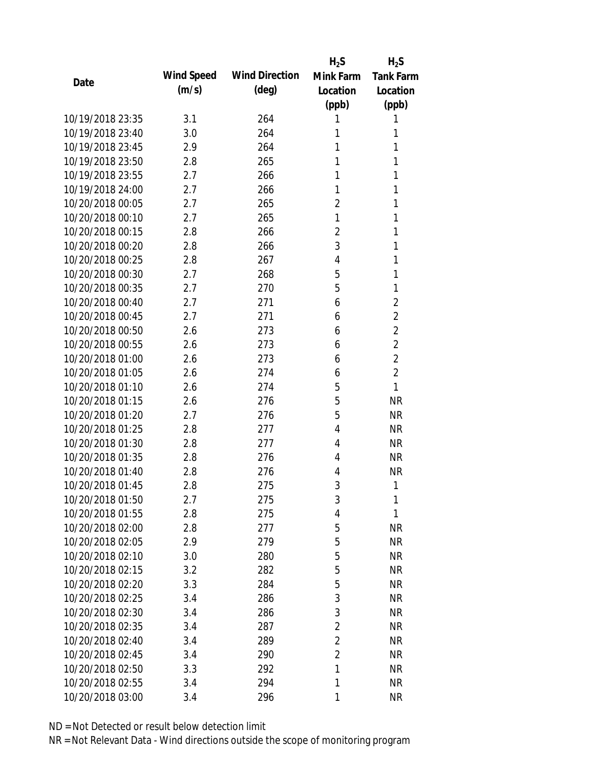|                  |            |                       | $H_2S$         | $H_2S$           |
|------------------|------------|-----------------------|----------------|------------------|
| Date             | Wind Speed | <b>Wind Direction</b> | Mink Farm      | <b>Tank Farm</b> |
|                  | (m/s)      | $(\text{deg})$        | Location       | Location         |
|                  |            |                       | (ppb)          | (ppb)            |
| 10/19/2018 23:35 | 3.1        | 264                   | 1              | 1                |
| 10/19/2018 23:40 | 3.0        | 264                   | 1              | 1                |
| 10/19/2018 23:45 | 2.9        | 264                   | 1              | 1                |
| 10/19/2018 23:50 | 2.8        | 265                   | 1              | 1                |
| 10/19/2018 23:55 | 2.7        | 266                   | 1              | 1                |
| 10/19/2018 24:00 | 2.7        | 266                   | 1              | 1                |
| 10/20/2018 00:05 | 2.7        | 265                   | $\overline{2}$ | 1                |
| 10/20/2018 00:10 | 2.7        | 265                   | 1              | 1                |
| 10/20/2018 00:15 | 2.8        | 266                   | $\overline{2}$ | 1                |
| 10/20/2018 00:20 | 2.8        | 266                   | 3              | 1                |
| 10/20/2018 00:25 | 2.8        | 267                   | $\overline{4}$ | 1                |
| 10/20/2018 00:30 | 2.7        | 268                   | 5              | 1                |
| 10/20/2018 00:35 | 2.7        | 270                   | 5              | 1                |
| 10/20/2018 00:40 | 2.7        | 271                   | 6              | 2                |
| 10/20/2018 00:45 | 2.7        | 271                   | 6              | $\overline{2}$   |
| 10/20/2018 00:50 | 2.6        | 273                   | 6              | $\overline{2}$   |
| 10/20/2018 00:55 | 2.6        | 273                   | 6              | $\overline{2}$   |
| 10/20/2018 01:00 | 2.6        | 273                   | 6              | $\overline{2}$   |
| 10/20/2018 01:05 | 2.6        | 274                   | 6              | $\overline{2}$   |
| 10/20/2018 01:10 | 2.6        | 274                   | 5              | 1                |
| 10/20/2018 01:15 | 2.6        | 276                   | 5              | <b>NR</b>        |
| 10/20/2018 01:20 | 2.7        | 276                   | 5              | <b>NR</b>        |
| 10/20/2018 01:25 | 2.8        | 277                   | $\overline{4}$ | <b>NR</b>        |
| 10/20/2018 01:30 | 2.8        | 277                   | 4              | <b>NR</b>        |
| 10/20/2018 01:35 | 2.8        | 276                   | 4              | <b>NR</b>        |
| 10/20/2018 01:40 | 2.8        | 276                   | 4              | <b>NR</b>        |
| 10/20/2018 01:45 | 2.8        | 275                   | 3              | 1                |
| 10/20/2018 01:50 | 2.7        | 275                   | 3              | 1                |
| 10/20/2018 01:55 | 2.8        | 275                   | 4              | 1                |
| 10/20/2018 02:00 | 2.8        | 277                   | 5              | <b>NR</b>        |
| 10/20/2018 02:05 | 2.9        | 279                   | 5              | <b>NR</b>        |
| 10/20/2018 02:10 | 3.0        | 280                   | 5              | <b>NR</b>        |
| 10/20/2018 02:15 | 3.2        | 282                   | 5              | <b>NR</b>        |
| 10/20/2018 02:20 | 3.3        | 284                   | 5              | <b>NR</b>        |
| 10/20/2018 02:25 | 3.4        | 286                   | 3              | <b>NR</b>        |
| 10/20/2018 02:30 | 3.4        | 286                   | 3              | <b>NR</b>        |
| 10/20/2018 02:35 | 3.4        | 287                   | $\overline{2}$ | <b>NR</b>        |
| 10/20/2018 02:40 | 3.4        | 289                   | $\overline{2}$ | <b>NR</b>        |
| 10/20/2018 02:45 | 3.4        | 290                   | 2              | <b>NR</b>        |
| 10/20/2018 02:50 | 3.3        | 292                   | 1              | <b>NR</b>        |
| 10/20/2018 02:55 | 3.4        | 294                   | 1              | <b>NR</b>        |
| 10/20/2018 03:00 | 3.4        | 296                   | 1              | <b>NR</b>        |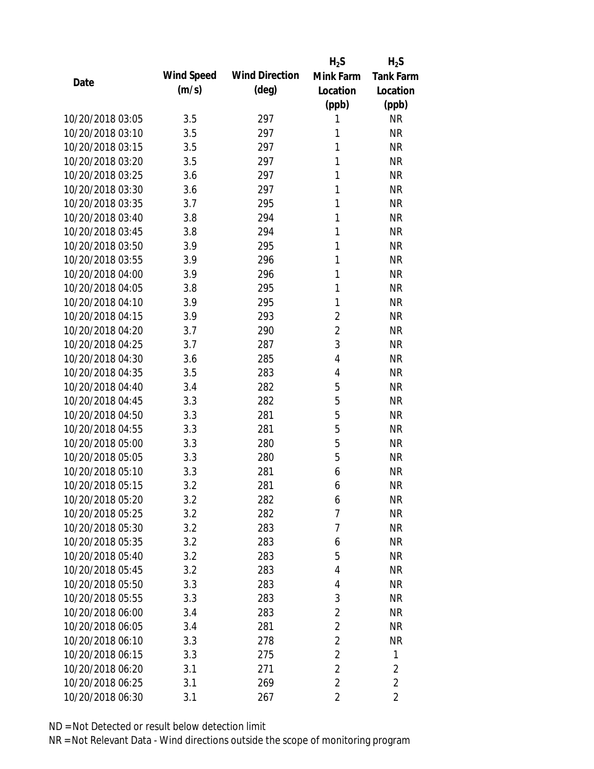|                  |            |                       | $H_2S$         | $H_2S$           |
|------------------|------------|-----------------------|----------------|------------------|
| Date             | Wind Speed | <b>Wind Direction</b> | Mink Farm      | <b>Tank Farm</b> |
|                  | (m/s)      | $(\text{deg})$        | Location       | Location         |
|                  |            |                       | (ppb)          | (ppb)            |
| 10/20/2018 03:05 | 3.5        | 297                   | 1              | <b>NR</b>        |
| 10/20/2018 03:10 | 3.5        | 297                   | 1              | <b>NR</b>        |
| 10/20/2018 03:15 | 3.5        | 297                   | 1              | <b>NR</b>        |
| 10/20/2018 03:20 | 3.5        | 297                   | 1              | <b>NR</b>        |
| 10/20/2018 03:25 | 3.6        | 297                   | 1              | <b>NR</b>        |
| 10/20/2018 03:30 | 3.6        | 297                   | 1              | <b>NR</b>        |
| 10/20/2018 03:35 | 3.7        | 295                   | 1              | <b>NR</b>        |
| 10/20/2018 03:40 | 3.8        | 294                   | 1              | <b>NR</b>        |
| 10/20/2018 03:45 | 3.8        | 294                   | 1              | <b>NR</b>        |
| 10/20/2018 03:50 | 3.9        | 295                   | 1              | <b>NR</b>        |
| 10/20/2018 03:55 | 3.9        | 296                   | 1              | <b>NR</b>        |
| 10/20/2018 04:00 | 3.9        | 296                   | 1              | <b>NR</b>        |
| 10/20/2018 04:05 | 3.8        | 295                   | 1              | <b>NR</b>        |
| 10/20/2018 04:10 | 3.9        | 295                   | 1              | <b>NR</b>        |
| 10/20/2018 04:15 | 3.9        | 293                   | $\overline{2}$ | <b>NR</b>        |
| 10/20/2018 04:20 | 3.7        | 290                   | $\overline{2}$ | <b>NR</b>        |
| 10/20/2018 04:25 | 3.7        | 287                   | 3              | <b>NR</b>        |
| 10/20/2018 04:30 | 3.6        | 285                   | $\overline{4}$ | <b>NR</b>        |
| 10/20/2018 04:35 | 3.5        | 283                   | 4              | <b>NR</b>        |
| 10/20/2018 04:40 | 3.4        | 282                   | 5              | <b>NR</b>        |
| 10/20/2018 04:45 | 3.3        | 282                   | 5              | <b>NR</b>        |
| 10/20/2018 04:50 | 3.3        | 281                   | 5              | <b>NR</b>        |
| 10/20/2018 04:55 | 3.3        | 281                   | 5              | <b>NR</b>        |
| 10/20/2018 05:00 | 3.3        | 280                   | 5              | <b>NR</b>        |
| 10/20/2018 05:05 | 3.3        | 280                   | 5              | <b>NR</b>        |
| 10/20/2018 05:10 | 3.3        | 281                   | 6              | <b>NR</b>        |
| 10/20/2018 05:15 | 3.2        | 281                   | 6              | <b>NR</b>        |
| 10/20/2018 05:20 | 3.2        | 282                   | 6              | <b>NR</b>        |
| 10/20/2018 05:25 | 3.2        | 282                   | 7              | <b>NR</b>        |
| 10/20/2018 05:30 | 3.2        | 283                   | 7              | <b>NR</b>        |
| 10/20/2018 05:35 | 3.2        | 283                   | 6              | <b>NR</b>        |
| 10/20/2018 05:40 | 3.2        | 283                   | 5              | <b>NR</b>        |
| 10/20/2018 05:45 | 3.2        | 283                   | 4              | <b>NR</b>        |
| 10/20/2018 05:50 | 3.3        | 283                   | 4              | <b>NR</b>        |
| 10/20/2018 05:55 | 3.3        | 283                   | 3              | <b>NR</b>        |
| 10/20/2018 06:00 | 3.4        | 283                   | $\overline{2}$ | <b>NR</b>        |
| 10/20/2018 06:05 | 3.4        | 281                   | $\overline{2}$ | <b>NR</b>        |
| 10/20/2018 06:10 | 3.3        | 278                   | $\overline{2}$ | <b>NR</b>        |
| 10/20/2018 06:15 | 3.3        | 275                   | $\overline{2}$ | 1                |
| 10/20/2018 06:20 | 3.1        | 271                   | 2              | $\overline{2}$   |
| 10/20/2018 06:25 | 3.1        | 269                   | $\overline{2}$ | $\overline{2}$   |
| 10/20/2018 06:30 | 3.1        | 267                   | $\overline{2}$ | $\overline{2}$   |
|                  |            |                       |                |                  |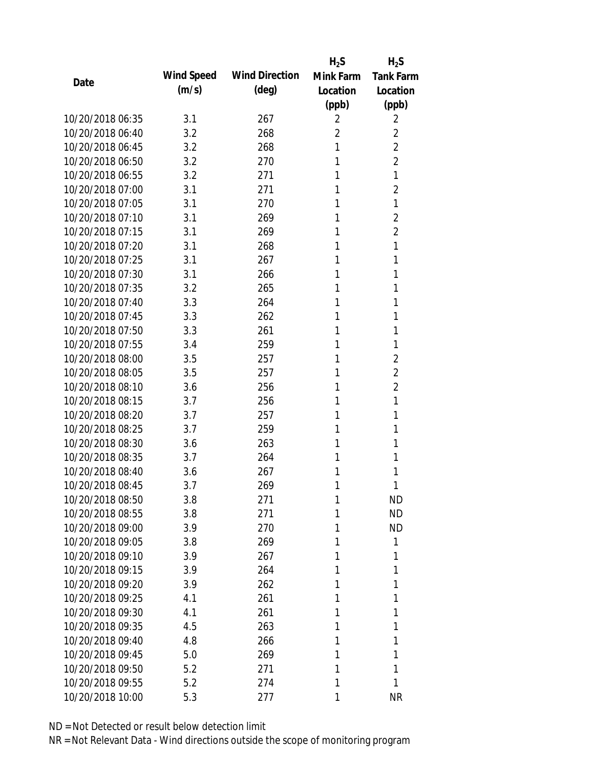|                  |            |                       | $H_2S$         | $H_2S$           |
|------------------|------------|-----------------------|----------------|------------------|
| Date             | Wind Speed | <b>Wind Direction</b> | Mink Farm      | <b>Tank Farm</b> |
|                  | (m/s)      | $(\text{deg})$        | Location       | Location         |
|                  |            |                       | (ppb)          | (ppb)            |
| 10/20/2018 06:35 | 3.1        | 267                   | 2              | 2                |
| 10/20/2018 06:40 | 3.2        | 268                   | $\overline{2}$ | $\overline{2}$   |
| 10/20/2018 06:45 | 3.2        | 268                   | 1              | $\overline{2}$   |
| 10/20/2018 06:50 | 3.2        | 270                   | 1              | $\overline{2}$   |
| 10/20/2018 06:55 | 3.2        | 271                   | 1              | 1                |
| 10/20/2018 07:00 | 3.1        | 271                   | 1              | $\overline{2}$   |
| 10/20/2018 07:05 | 3.1        | 270                   | 1              | 1                |
| 10/20/2018 07:10 | 3.1        | 269                   | 1              | $\overline{2}$   |
| 10/20/2018 07:15 | 3.1        | 269                   | 1              | $\overline{2}$   |
| 10/20/2018 07:20 | 3.1        | 268                   | 1              | 1                |
| 10/20/2018 07:25 | 3.1        | 267                   | 1              | 1                |
| 10/20/2018 07:30 | 3.1        | 266                   | 1              | 1                |
| 10/20/2018 07:35 | 3.2        | 265                   | 1              | 1                |
| 10/20/2018 07:40 | 3.3        | 264                   | 1              | 1                |
| 10/20/2018 07:45 | 3.3        | 262                   | 1              | 1                |
| 10/20/2018 07:50 | 3.3        | 261                   | 1              | 1                |
| 10/20/2018 07:55 | 3.4        | 259                   | 1              | 1                |
| 10/20/2018 08:00 | 3.5        | 257                   | 1              | $\overline{2}$   |
| 10/20/2018 08:05 | 3.5        | 257                   | 1              | $\overline{2}$   |
| 10/20/2018 08:10 | 3.6        | 256                   | 1              | 2                |
| 10/20/2018 08:15 | 3.7        | 256                   | 1              | 1                |
| 10/20/2018 08:20 | 3.7        | 257                   | 1              | 1                |
| 10/20/2018 08:25 | 3.7        | 259                   | 1              | 1                |
| 10/20/2018 08:30 | 3.6        | 263                   | 1              | 1                |
| 10/20/2018 08:35 | 3.7        | 264                   | 1              | 1                |
| 10/20/2018 08:40 | 3.6        | 267                   | 1              | 1                |
| 10/20/2018 08:45 | 3.7        | 269                   | 1              | 1                |
| 10/20/2018 08:50 | 3.8        | 271                   | 1              | <b>ND</b>        |
| 10/20/2018 08:55 | 3.8        | 271                   | 1              | <b>ND</b>        |
| 10/20/2018 09:00 | 3.9        | 270                   | 1              | <b>ND</b>        |
| 10/20/2018 09:05 | 3.8        | 269                   | 1              | 1                |
| 10/20/2018 09:10 | 3.9        | 267                   | 1              | 1                |
| 10/20/2018 09:15 | 3.9        | 264                   | 1              | 1                |
| 10/20/2018 09:20 | 3.9        | 262                   | 1              | 1                |
| 10/20/2018 09:25 | 4.1        | 261                   | 1              | 1                |
| 10/20/2018 09:30 | 4.1        | 261                   | 1              | 1                |
| 10/20/2018 09:35 | 4.5        | 263                   | 1              | 1                |
| 10/20/2018 09:40 | 4.8        | 266                   | 1              | 1                |
| 10/20/2018 09:45 | 5.0        | 269                   | 1              | 1                |
| 10/20/2018 09:50 | 5.2        | 271                   | 1              | 1                |
| 10/20/2018 09:55 | 5.2        | 274                   | 1              | 1                |
| 10/20/2018 10:00 |            |                       |                | <b>NR</b>        |
|                  | 5.3        | 277                   | 1              |                  |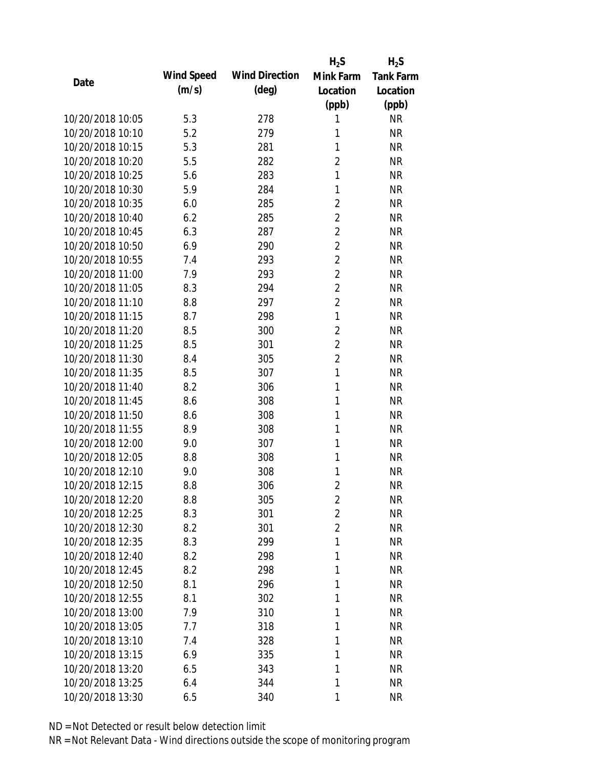|                  |            |                       | $H_2S$         | $H_2S$           |
|------------------|------------|-----------------------|----------------|------------------|
| Date             | Wind Speed | <b>Wind Direction</b> | Mink Farm      | <b>Tank Farm</b> |
|                  | (m/s)      | $(\text{deg})$        | Location       | Location         |
|                  |            |                       | (ppb)          | (ppb)            |
| 10/20/2018 10:05 | 5.3        | 278                   | 1              | <b>NR</b>        |
| 10/20/2018 10:10 | 5.2        | 279                   | 1              | <b>NR</b>        |
| 10/20/2018 10:15 | 5.3        | 281                   | 1              | <b>NR</b>        |
| 10/20/2018 10:20 | 5.5        | 282                   | $\overline{2}$ | <b>NR</b>        |
| 10/20/2018 10:25 | 5.6        | 283                   | 1              | <b>NR</b>        |
| 10/20/2018 10:30 | 5.9        | 284                   | 1              | <b>NR</b>        |
| 10/20/2018 10:35 | 6.0        | 285                   | $\overline{2}$ | <b>NR</b>        |
| 10/20/2018 10:40 | 6.2        | 285                   | $\overline{2}$ | <b>NR</b>        |
| 10/20/2018 10:45 | 6.3        | 287                   | $\overline{2}$ | <b>NR</b>        |
| 10/20/2018 10:50 | 6.9        | 290                   | $\overline{2}$ | <b>NR</b>        |
| 10/20/2018 10:55 | 7.4        | 293                   | $\overline{2}$ | <b>NR</b>        |
| 10/20/2018 11:00 | 7.9        | 293                   | $\overline{2}$ | <b>NR</b>        |
| 10/20/2018 11:05 | 8.3        | 294                   | $\overline{2}$ | <b>NR</b>        |
| 10/20/2018 11:10 | 8.8        | 297                   | $\overline{2}$ | <b>NR</b>        |
| 10/20/2018 11:15 | 8.7        | 298                   | $\mathbf{1}$   | <b>NR</b>        |
| 10/20/2018 11:20 | 8.5        | 300                   | $\overline{2}$ | <b>NR</b>        |
| 10/20/2018 11:25 | 8.5        | 301                   | $\overline{2}$ | <b>NR</b>        |
| 10/20/2018 11:30 | 8.4        | 305                   | $\overline{2}$ | <b>NR</b>        |
| 10/20/2018 11:35 | 8.5        | 307                   | $\mathbf{1}$   | <b>NR</b>        |
| 10/20/2018 11:40 | 8.2        | 306                   | 1              | <b>NR</b>        |
| 10/20/2018 11:45 | 8.6        | 308                   | 1              | <b>NR</b>        |
| 10/20/2018 11:50 | 8.6        | 308                   | 1              | <b>NR</b>        |
| 10/20/2018 11:55 | 8.9        | 308                   | 1              | <b>NR</b>        |
| 10/20/2018 12:00 | 9.0        | 307                   | 1              | <b>NR</b>        |
| 10/20/2018 12:05 | 8.8        | 308                   | 1              | <b>NR</b>        |
| 10/20/2018 12:10 | 9.0        | 308                   | 1              | <b>NR</b>        |
| 10/20/2018 12:15 | 8.8        | 306                   | $\overline{2}$ | <b>NR</b>        |
| 10/20/2018 12:20 | 8.8        | 305                   | $\overline{2}$ | <b>NR</b>        |
| 10/20/2018 12:25 | 8.3        | 301                   | $\overline{2}$ | <b>NR</b>        |
| 10/20/2018 12:30 | 8.2        | 301                   | $\overline{2}$ | <b>NR</b>        |
| 10/20/2018 12:35 | 8.3        | 299                   | 1              | <b>NR</b>        |
| 10/20/2018 12:40 | 8.2        | 298                   | 1              | <b>NR</b>        |
| 10/20/2018 12:45 | 8.2        | 298                   | 1              | <b>NR</b>        |
| 10/20/2018 12:50 | 8.1        | 296                   | 1              | <b>NR</b>        |
| 10/20/2018 12:55 | 8.1        | 302                   | 1              | <b>NR</b>        |
| 10/20/2018 13:00 | 7.9        | 310                   | 1              | <b>NR</b>        |
| 10/20/2018 13:05 | 7.7        | 318                   | 1              | <b>NR</b>        |
| 10/20/2018 13:10 | 7.4        | 328                   | 1              | <b>NR</b>        |
| 10/20/2018 13:15 | 6.9        | 335                   | 1              | <b>NR</b>        |
| 10/20/2018 13:20 | 6.5        | 343                   | 1              | <b>NR</b>        |
| 10/20/2018 13:25 | 6.4        | 344                   | 1              | <b>NR</b>        |
| 10/20/2018 13:30 | 6.5        | 340                   | 1              | <b>NR</b>        |
|                  |            |                       |                |                  |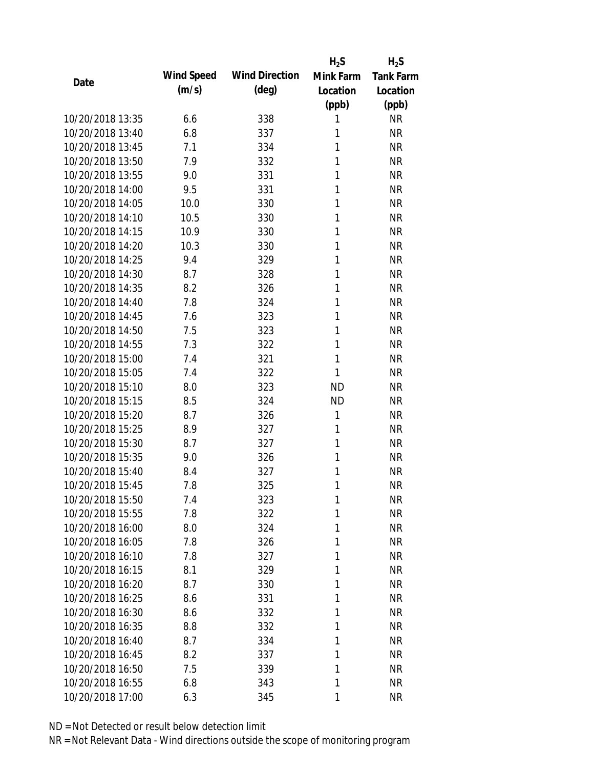|                  |            |                       | $H_2S$       | $H_2S$           |
|------------------|------------|-----------------------|--------------|------------------|
| Date             | Wind Speed | <b>Wind Direction</b> | Mink Farm    | <b>Tank Farm</b> |
|                  | (m/s)      | $(\text{deg})$        | Location     | Location         |
|                  |            |                       | (ppb)        | (ppb)            |
| 10/20/2018 13:35 | 6.6        | 338                   | 1            | <b>NR</b>        |
| 10/20/2018 13:40 | 6.8        | 337                   | 1            | <b>NR</b>        |
| 10/20/2018 13:45 | 7.1        | 334                   | 1            | <b>NR</b>        |
| 10/20/2018 13:50 | 7.9        | 332                   | 1            | <b>NR</b>        |
| 10/20/2018 13:55 | 9.0        | 331                   | 1            | <b>NR</b>        |
| 10/20/2018 14:00 | 9.5        | 331                   | 1            | <b>NR</b>        |
| 10/20/2018 14:05 | 10.0       | 330                   | 1            | <b>NR</b>        |
| 10/20/2018 14:10 | 10.5       | 330                   | 1            | <b>NR</b>        |
| 10/20/2018 14:15 | 10.9       | 330                   | 1            | <b>NR</b>        |
| 10/20/2018 14:20 | 10.3       | 330                   | 1            | <b>NR</b>        |
| 10/20/2018 14:25 | 9.4        | 329                   | 1            | <b>NR</b>        |
| 10/20/2018 14:30 | 8.7        | 328                   | 1            | <b>NR</b>        |
| 10/20/2018 14:35 | 8.2        | 326                   | 1            | <b>NR</b>        |
| 10/20/2018 14:40 | 7.8        | 324                   | 1            | <b>NR</b>        |
| 10/20/2018 14:45 | 7.6        | 323                   | 1            | <b>NR</b>        |
| 10/20/2018 14:50 | 7.5        | 323                   | 1            | <b>NR</b>        |
| 10/20/2018 14:55 | 7.3        | 322                   | 1            | <b>NR</b>        |
| 10/20/2018 15:00 | 7.4        | 321                   | 1            | <b>NR</b>        |
| 10/20/2018 15:05 | 7.4        | 322                   | 1            | <b>NR</b>        |
| 10/20/2018 15:10 | 8.0        | 323                   | <b>ND</b>    | <b>NR</b>        |
| 10/20/2018 15:15 | 8.5        | 324                   | <b>ND</b>    | <b>NR</b>        |
| 10/20/2018 15:20 | 8.7        | 326                   | 1            | <b>NR</b>        |
| 10/20/2018 15:25 | 8.9        | 327                   | $\mathbf{1}$ | <b>NR</b>        |
| 10/20/2018 15:30 | 8.7        | 327                   | 1            | <b>NR</b>        |
| 10/20/2018 15:35 | 9.0        | 326                   | 1            | <b>NR</b>        |
| 10/20/2018 15:40 | 8.4        | 327                   | 1            | <b>NR</b>        |
| 10/20/2018 15:45 | 7.8        | 325                   | 1            | <b>NR</b>        |
| 10/20/2018 15:50 | 7.4        | 323                   | 1            | <b>NR</b>        |
| 10/20/2018 15:55 | 7.8        | 322                   | 1            | <b>NR</b>        |
| 10/20/2018 16:00 | 8.0        | 324                   | 1            | <b>NR</b>        |
| 10/20/2018 16:05 | 7.8        | 326                   | 1            | <b>NR</b>        |
| 10/20/2018 16:10 | 7.8        | 327                   | 1            | <b>NR</b>        |
| 10/20/2018 16:15 | 8.1        | 329                   | 1            | <b>NR</b>        |
| 10/20/2018 16:20 | 8.7        | 330                   | 1            | <b>NR</b>        |
| 10/20/2018 16:25 | 8.6        | 331                   | 1            | <b>NR</b>        |
| 10/20/2018 16:30 | 8.6        | 332                   | 1            | <b>NR</b>        |
| 10/20/2018 16:35 | 8.8        | 332                   | 1            | <b>NR</b>        |
| 10/20/2018 16:40 | 8.7        | 334                   | 1            | <b>NR</b>        |
| 10/20/2018 16:45 | 8.2        | 337                   | 1            | <b>NR</b>        |
| 10/20/2018 16:50 | 7.5        | 339                   | 1            | <b>NR</b>        |
| 10/20/2018 16:55 | 6.8        | 343                   | 1            | <b>NR</b>        |
| 10/20/2018 17:00 | 6.3        | 345                   | 1            | <b>NR</b>        |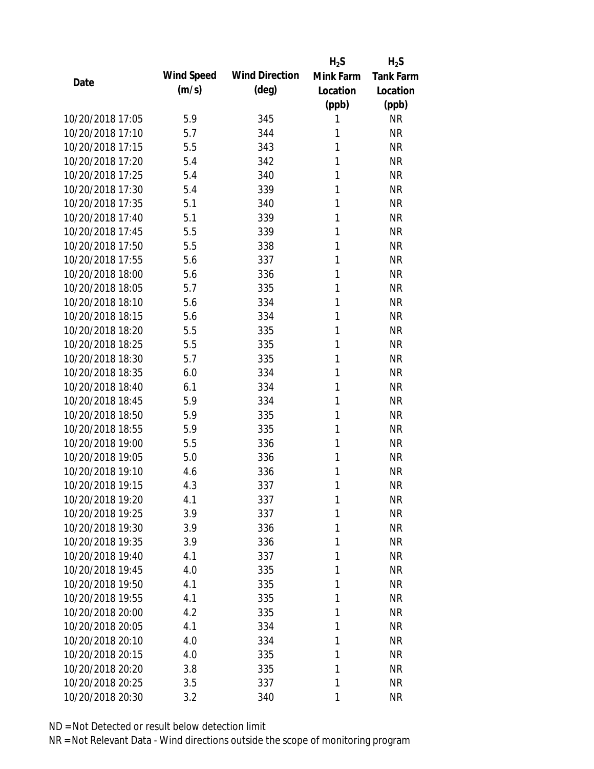|                  |            |                       | $H_2S$       | $H_2S$           |
|------------------|------------|-----------------------|--------------|------------------|
| Date             | Wind Speed | <b>Wind Direction</b> | Mink Farm    | <b>Tank Farm</b> |
|                  | (m/s)      | $(\text{deg})$        | Location     | Location         |
|                  |            |                       | (ppb)        | (ppb)            |
| 10/20/2018 17:05 | 5.9        | 345                   | 1            | <b>NR</b>        |
| 10/20/2018 17:10 | 5.7        | 344                   | 1            | <b>NR</b>        |
| 10/20/2018 17:15 | 5.5        | 343                   | 1            | <b>NR</b>        |
| 10/20/2018 17:20 | 5.4        | 342                   | 1            | <b>NR</b>        |
| 10/20/2018 17:25 | 5.4        | 340                   | 1            | <b>NR</b>        |
| 10/20/2018 17:30 | 5.4        | 339                   | 1            | <b>NR</b>        |
| 10/20/2018 17:35 | 5.1        | 340                   | 1            | <b>NR</b>        |
| 10/20/2018 17:40 | 5.1        | 339                   | 1            | <b>NR</b>        |
| 10/20/2018 17:45 | 5.5        | 339                   | 1            | <b>NR</b>        |
| 10/20/2018 17:50 | 5.5        | 338                   | 1            | <b>NR</b>        |
| 10/20/2018 17:55 | 5.6        | 337                   | 1            | <b>NR</b>        |
| 10/20/2018 18:00 | 5.6        | 336                   | 1            | <b>NR</b>        |
| 10/20/2018 18:05 | 5.7        | 335                   | 1            | <b>NR</b>        |
| 10/20/2018 18:10 | 5.6        | 334                   | 1            | <b>NR</b>        |
| 10/20/2018 18:15 | 5.6        | 334                   | 1            | <b>NR</b>        |
| 10/20/2018 18:20 | 5.5        | 335                   | 1            | <b>NR</b>        |
| 10/20/2018 18:25 | 5.5        | 335                   | 1            | <b>NR</b>        |
| 10/20/2018 18:30 | 5.7        | 335                   | 1            | <b>NR</b>        |
| 10/20/2018 18:35 | 6.0        | 334                   | $\mathbf{1}$ | <b>NR</b>        |
| 10/20/2018 18:40 | 6.1        | 334                   | 1            | <b>NR</b>        |
| 10/20/2018 18:45 | 5.9        | 334                   | 1            | <b>NR</b>        |
| 10/20/2018 18:50 | 5.9        | 335                   | 1            | <b>NR</b>        |
| 10/20/2018 18:55 | 5.9        | 335                   | 1            | <b>NR</b>        |
| 10/20/2018 19:00 | 5.5        | 336                   | 1            | <b>NR</b>        |
| 10/20/2018 19:05 | 5.0        | 336                   | 1            | <b>NR</b>        |
| 10/20/2018 19:10 | 4.6        | 336                   | 1            | <b>NR</b>        |
| 10/20/2018 19:15 | 4.3        | 337                   | 1            | <b>NR</b>        |
| 10/20/2018 19:20 | 4.1        | 337                   | 1            | <b>NR</b>        |
| 10/20/2018 19:25 | 3.9        | 337                   | 1            | <b>NR</b>        |
| 10/20/2018 19:30 | 3.9        | 336                   | 1            | <b>NR</b>        |
| 10/20/2018 19:35 | 3.9        | 336                   | 1            | <b>NR</b>        |
| 10/20/2018 19:40 | 4.1        | 337                   | 1            | <b>NR</b>        |
| 10/20/2018 19:45 | 4.0        | 335                   | 1            | <b>NR</b>        |
| 10/20/2018 19:50 | 4.1        | 335                   | 1            | <b>NR</b>        |
| 10/20/2018 19:55 | 4.1        | 335                   | 1            | <b>NR</b>        |
| 10/20/2018 20:00 | 4.2        | 335                   | 1            | <b>NR</b>        |
| 10/20/2018 20:05 | 4.1        |                       | 1            | <b>NR</b>        |
| 10/20/2018 20:10 | 4.0        | 334<br>334            | 1            | <b>NR</b>        |
| 10/20/2018 20:15 |            |                       | 1            | <b>NR</b>        |
| 10/20/2018 20:20 | 4.0        | 335                   | 1            | <b>NR</b>        |
|                  | 3.8        | 335                   |              |                  |
| 10/20/2018 20:25 | 3.5        | 337                   | 1            | <b>NR</b>        |
| 10/20/2018 20:30 | 3.2        | 340                   | 1            | <b>NR</b>        |